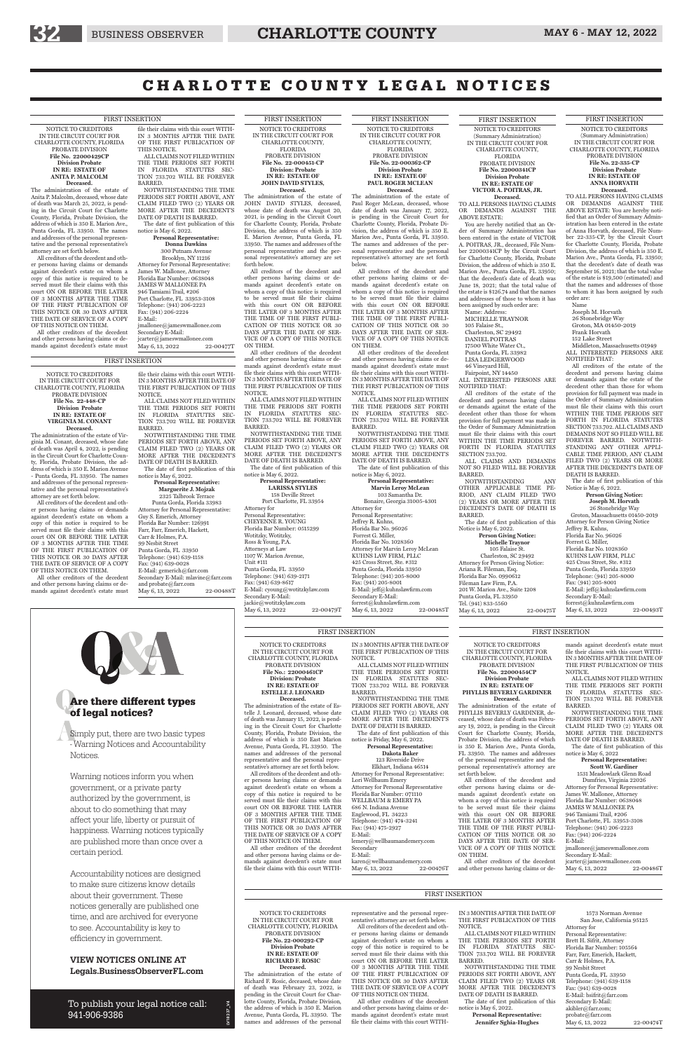NOTICE TO CREDITORS IN THE CIRCUIT COURT FOR CHARLOTTE COUNTY, FLORIDA PROBATE DIVISION **File No. 22000429CP Division Probate IN RE: ESTATE OF ANITA P. MALCOLM Deceased.**

The administration of the estate of Anita P. Malcolm, deceased, whose date of death was March 25, 2022, is pending in the Circuit Court for Charlotte County, Florida, Probate Division, the address of which is 350 E. Marion Ave., Punta Gorda, FL 33950. The names and addresses of the personal representative and the personal representative's attorney are set forth below.

All creditors of the decedent and other persons having claims or demands against decedent's estate on whom a copy of this notice is required to be served must file their claims with this court ON OR BEFORE THE LATER OF 3 MONTHS AFTER THE TIME OF THE FIRST PUBLICATION OF THIS NOTICE OR 30 DAYS AFTER THE DATE OF SERVICE OF A COPY OF THIS NOTICE ON THEM.

All other creditors of the decedent and other persons having claims or demands against decedent's estate must file their claims with this court WITH-IN 3 MONTHS AFTER THE DATE OF THE FIRST PUBLICATION OF THIS NOTICE. ALL CLAIMS NOT FILED WITHIN

THE TIME PERIODS SET FORTH IN FLORIDA STATUTES SEC-TION 733.702 WILL BE FOREVER BARRED.

NOTWITHSTANDING THE TIME PERIODS SET FORTH ABOVE, ANY CLAIM FILED TWO (2) YEARS OR MORE AFTER THE DECEDENT'S DATE OF DEATH IS BARRED. The date of first publication of this

notice is May 6, 2022. **Personal Representative:**

#### **Donna Dawkins**

The date of first publication of this Notice is May 6, 2022.

300 Putnam Avenue Brooklyn, NY 11216 Attorney for Personal Representative: James W. Mallonee, Attorney Florida Bar Number: 0638048 JAMES W MALLONEE PA 946 Tamiami Trail, #206 Port Charlotte, FL 33953-3108 Telephone: (941) 206-2223 Fax: (941) 206-2224 E-Mail: jmallonee@jameswmallonee.com

#### Secondary E-Mail:

jcarter@jameswmallonee.com<br>Mav 6.13. 2022 22-00477T May 6, 13, 2022

#### FIRST INSERTION

NOTICE TO CREDITORS (Summary Administration) IN THE CIRCUIT COURT FOR CHARLOTTE COUNTY, FLORIDA PROBATE DIVISION **File No. 22-335-CP Division Probate IN RE: ESTATE OF ANNA HORVATH**

MICHELLE TRAYNOR 105 Falaise St., Charleston, SC 29492 DANIEL POITRAS 17500 White Water Ct., Punta Gorda, FL 33982 LISA LEDGERWOOD 46 Vineyard Hill, Fairpoint, NY 14450

**Deceased.** TO ALL PERSONS HAVING CLAIMS OR DEMANDS AGAINST THE ABOVE ESTATE: You are hereby notified that an Order of Summary Administration has been entered in the estate of Anna Horvath, deceased, File Number 22-335-CP, by the Circuit Court for Charlotte County, Florida, Probate Division, the address of which is 350 E. Marion Ave., Punta Gorda, FL 33950; that the decedent's date of death was September 16, 2021; that the total value of the estate is \$19,500 (estimated) and that the names and addresses of those to whom it has been assigned by such order are:

Name Joseph M. Horvath 26 Stonebridge Way

Groton, MA 01450-2019

Frank Horvath 152 Lake Street

Middleton, Massachusetts 01949 ALL INTERESTED PERSONS ARE

201 W. Marion Ave., Suite 1208 Punta Gorda, FL 33950 Tel. (941) 833-5560 May 6, 13, 2022 22-00475T NOTIFIED THAT: All creditors of the estate of the decedent and persons having claims or demands against the estate of the decedent other than those for whom provision for full payment was made in the Order of Summary Administration must file their claims with this court WITHIN THE TIME PERIODS SET FORTH IN FLORIDA STATUTES SECTION 733.702. ALL CLAIMS AND DEMANDS NOT SO FILED WILL BE FOREVER BARRED. NOTWITH-STANDING ANY OTHER APPLI-CABLE TIME PERIOD, ANY CLAIM FILED TWO (2) YEARS OR MORE AFTER THE DECEDENT'S DATE OF DEATH IS BARRED.

Paul Roger McLean, deceased, whose date of death was January 17, 2022, is pending in the Circuit Court for Charlotte County, Florida, Probate Division, the address of which is 350 E. Marion Ave., Punta Gorda, FL 33950. The names and addresses of the personal representative and the personal representative's attorney are set forth below.

> **Person Giving Notice: Joseph M. Horvath**

26 Stonebridge Way Groton, Massachusetts 01450-2019

 **Personal Representative: Marvin Leroy McLean** 103 Samantha Dr. Bonaire, Georgia 31005-4301 Attorney for Personal Representative: Jeffrey R. Kuhns, Florida Bar No. 96026 Forrest G. Miller, Florida Bar No. 1028360 Attorney for Marvin Leroy McLean KUHNS LAW FIRM, PLLC 425 Cross Street, Ste. #312 Punta Gorda, Florida 33950 Telephone: (941) 205-8000 Fax: (941) 205-8001 E-Mail: jeff@kuhnslawfirm.com Secondary E-Mail: forrest@kuhnslawfirm.com May 6, 13, 2022 22-00485T

Attorney for Person Giving Notice Jeffrey R. Kuhns, Florida Bar No. 96026 Forrest G. Miller, Florida Bar No. 1028360 KUHNS LAW FIRM, PLLC 425 Cross Street, Ste. #312 Punta Gorda, Florida 33950 Telephone: (941) 205-8000 Fax: (941) 205-8001 E-Mail: jeff@kuhnslawfirm.com Secondary E-Mail: forrest@kuhnslawfirm.com

May 6, 13, 2022 22-00493T

#### FIRST INSERTION FIRST INSERTION

FIRST INSERTION NOTICE TO CREDITORS (Summary Administration) IN THE CIRCUIT COURT FOR CHARLOTTE COUNTY,

FLORIDA PROBATE DIVISION **File No. 22000341CP Division Probate IN RE: ESTATE OF VICTOR A. POITRAS, JR.**

**Deceased.** TO ALL PERSONS HAVING CLAIMS OR DEMANDS AGAINST THE ABOVE ESTATE:

You are hereby notified that an Order of Summary Administration has been entered in the estate of VICTOR A. POITRAS, JR., deceased, File Number 22000341CP by the Circuit Court for Charlotte County, Florida, Probate Division, the address of which is 350 E. Marion Ave., Punta Gorda, FL 33950; that the decedent's date of death was June 18, 2021; that the total value of the estate is \$126.74 and that the names and addresses of those to whom it has been assigned by such order are: Name: Address:

Port Charlotte, FL 33954 Attorney for Personal Representative: CHEYENNE R. YOUNG Florida Bar Number: 0515299 Wotitzky, Wotitzky, Ross & Young, P.A. Attorneys at Law 1107 W. Marion Avenue, Unit #111 Punta Gorda, FL 33950 Telephone: (941) 639-2171 Fax: (941) 639-8617 E-Mail: cyoung@wotitzkylaw.com Secondary E-Mail: jackie@wotitzkylaw.com May 6, 13, 2022 22-00479T ALL INTERESTED PERSONS ARE NOTIFIED THAT:

All creditors of the estate of the decedent and persons having claims or demands against the estate of the decedent other than those for whom provision for full payment was made in the Order of Summary Administration must file their claims with this court WITHIN THE TIME PERIODS SET FORTH IN FLORIDA STATUTES SECTION 733.702.

ALL CLAIMS AND DEMANDS NOT SO FILED WILL BE FOREVER BARRED.

NOTWITHSTANDING ANY OTHER APPLICABLE TIME PE-RIOD, ANY CLAIM FILED TWO (2) YEARS OR MORE AFTER THE DECEDENT'S DATE OF DEATH IS BARRED. The date of first publication of this Notice is May 6, 2022. **Person Giving Notice: Michelle Traynor** 105 Falaise St. Charleston, SC 29492 Attorney for Person Giving Notice: Ariana R. Fileman, Esq. Florida Bar No. 0990612 Fileman Law Firm, P.A.

123 Riverside Driv Elkhart, Indiana 46514 Attorney for Personal Representative: Lori Wellbaum Emery Attorney for Personal Representative Florida Bar Number: 071110 WELLBAUM & EMERY PA 686 N. Indiana Avenue Englewood, FL 34223 Telephone: (941) 474-3241 Fax: (941) 475-2927 E-Mail: lemery@wellbaumandemery.com Secondary E-Mail:

 $\begin{array}{l} \mathrm{karen} @ \mathrm{wellbaum and } \mathrm{emery.com}\\ \mathrm{May}~6,13,2022 \qquad \qquad 22\text{-}00476 \mathrm{T} \end{array}$ May 6, 13, 2022

FIRST INSERTION NOTICE TO CREDITORS IN THE CIRCUIT COURT FOR CHARLOTTE COUNTY, FLORIDA PROBATE DIVISION **File No. 22-000362-CP Division Probate IN RE: ESTATE OF PAUL ROGER MCLEAN Deceased.** The administration of the estate of

> notice is May 6, 2022 **Personal Repres**

1531 Meadowlark Glenn Road Dumfries, Virginia 22026 Attorney for Personal Representative: James W. Mallonee, Attorney Florida Bar Number: 0638048 JAMES W MALLONEE PA 946 Tamiami Trail, #206 Port Charlotte, FL 33953-3108 Telephone: (941) 206-2223 Fax: (941) 206-2224 E-Mail: jmallonee@jameswmallonee.com Secondary E-Mail:  $jcarter@jameswmallonee.com$ <br>May 6, 13, 2022 22-00486T  $May\ 6, 13, 2022$ 

All creditors of the decedent and other persons having claims or demands against decedent's estate on whom a copy of this notice is required to be served must file their claims with this court ON OR BEFORE THE LATER OF 3 MONTHS AFTER THE TIME OF THE FIRST PUBLI-CATION OF THIS NOTICE OR 30 DAYS AFTER THE DATE OF SER-VICE OF A COPY OF THIS NOTICE ON THEM.

All other creditors of the decedent and other persons having claims or demands against decedent's estate must file their claims with this court WITH-IN 3 MONTHS AFTER THE DATE OF THE FIRST PUBLICATION OF THIS NOTICE.

ALL CLAIMS NOT FILED WITHIN THE TIME PERIODS SET FORTH IN FLORIDA STATUTES SEC-TION 733.702 WILL BE FOREVER BARRED.

NOTWITHSTANDING THE TIME PERIODS SET FORTH ABOVE, ANY CLAIM FILED TWO (2) YEARS OR MORE AFTER THE DECEDENT'S DATE OF DEATH IS BARRED.

The date of first publication of this notice is May 6, 2022.

> 1573 Norman Avenue San Jose, California 95125 Attorney for Personal Representative: Brett H. Sifrit, Attorney Florida Bar Number: 105564 Farr, Farr, Emerich, Hackett, Carr & Holmes, P.A. 99 Nesbit Street Punta Gorda, FL 33950 Telephone: (941) 639-1158 Fax: (941) 639-0028 E-Mail: bsifrit@farr.com Secondary E-Mail: akibler@farr.com; probate@farr.com May 6, 13, 2022 22-00474T

FIRST INSERTION

NOTICE TO CREDITORS IN THE CIRCUIT COURT FOR CHARLOTTE COUNTY, FLORIDA PROBATE DIVISION **File No. 22-000451-CP Division: Probate IN RE: ESTATE OF JOHN DAVID STYLES, Deceased.**

The administration of the estate of JOHN DAVID STYLES, deceased, whose date of death was August 20, 2021, is pending in the Circuit Court for Charlotte County, Florida, Probate Division, the address of which is 350 E. Marion Avenue, Punta Gorda, FL 33950. The names and addresses of the personal representative and the personal representative's attorney are set forth below.

THE TIME PERIODS SET FORTH IN FLORIDA STATUTES SEC-TION 733.702 WILL BE FOREVER **BARRED** 

**Marguerite J. Mojzak** 2325 Talbrook Terrace Punta Gorda, Florida 33983 Attorney for Personal Representative: Guy S. Emerich, Attorney Florida Bar Number: 126991 Farr, Farr, Emerich, Hackett, Carr & Holmes, P.A. 99 Nesbit Street Punta Gorda, FL 33950 Telephone: (941) 639-1158 Fax: (941) 639-0028 E-Mail: gemerich@farr.com Secondary E-Mail: mlavine@farr.com and probate@farr.com May 6, 13, 2022 22-00488T

All creditors of the decedent and other persons having claims or demands against decedent's estate on whom a copy of this notice is required to be served must file their claims with this court ON OR BEFORE THE LATER OF 3 MONTHS AFTER THE TIME OF THE FIRST PUBLI-CATION OF THIS NOTICE OR 30 DAYS AFTER THE DATE OF SER-VICE OF A COPY OF THIS NOTICE ON THEM.

All other creditors of the decedent and other persons having claims or demands against decedent's estate must file their claims with this court WITH-IN 3 MONTHS AFTER THE DATE OF THE FIRST PUBLICATION OF THIS NOTICE.

ALL CLAIMS NOT FILED WITHIN THE TIME PERIODS SET FORTH IN FLORIDA STATUTES SEC-TION 733.702 WILL BE FOREVER BARRED.

 $N18237_{-}$  $V4$ LV18237\_V4

NOTWITHSTANDING THE TIME PERIODS SET FORTH ABOVE, ANY CLAIM FILED TWO (2) YEARS OR MORE AFTER THE DECEDENT'S DATE OF DEATH IS BARRED. The date of first publication of this

notice is May 6, 2022. **Personal Representative:**

**LARISSA STYLES** 158 Deville Street

NOTICE TO CREDITORS IN THE CIRCUIT COURT FOR CHARLOTTE COUNTY, FLORIDA PROBATE DIVISION **File No.: 22000461CP Division: Probate IN RE: ESTATE OF ESTELLE J. LEONARD Deceased.** The administration of the estate of Estelle J. Leonard, deceased, whose date of death was January 15, 2022, is pending in the Circuit Court for Charlotte County, Florida, Probate Division, the address of which is 350 East Marion Avenue, Punta Gorda, FL 33950. The

names and addresses of the personal presentative and the personal repre sentative's attorney are set forth below.

All creditors of the decedent and other persons having claims or demands against decedent's estate on whom a copy of this notice is required to be served must file their claims with this court ON OR BEFORE THE LATER OF 3 MONTHS AFTER THE TIME OF THE FIRST PUBLICATION OF THIS NOTICE OR 30 DAYS AFTER THE DATE OF SERVICE OF A COPY OF THIS NOTICE ON THEM.

All other creditors of the decedent and other persons having claims or demands against decedent's estate must file their claims with this court WITH-

IN 3 MONTHS AFTER THE DATE OF THE FIRST PUBLICATION OF THIS NOTICE. ALL CLAIMS NOT FILED WITHIN

THE TIME PERIODS SET FORTH IN FLORIDA STATUTES SEC-TION 733.702 WILL BE FOREVER BARRED.

NOTWITHSTANDING THE TIME PERIODS SET FORTH ABOVE, ANY CLAIM FILED TWO (2) YEARS OR MORE AFTER THE DECEDENT'S DATE OF DEATH IS BARRED. The date of first publication of this

notice is Friday, May 6, 2022.

**Personal Representative: Dakota Baker**

NOTICE TO CREDITORS IN THE CIRCUIT COURT FOR CHARLOTTE COUNTY, FLORIDA PROBATE DIVISION **File No. 22000454CP**

**Division Probate IN RE: ESTATE OF PHYLLIS BEVERLY GARDINER Deceased.** The administration of the estate of PHYLLIS BEVERLY GARDINER, deceased, whose date of death was Febru-

ary 19, 2022, is pending in the Circuit Court for Charlotte County, Florida, Probate Division, the address of which is 350 E. Marion Ave., Punta Gorda, FL 33950. The names and addresses

of the personal representative and the

personal representative's attorney are

set forth below.

All creditors of the decedent and other persons having claims or demands against decedent's estate on whom a copy of this notice is required to be served must file their claims with this court ON OR BEFORE THE LATER OF 3 MONTHS AFTER THE TIME OF THE FIRST PUBLI-CATION OF THIS NOTICE OR 30 DAYS AFTER THE DATE OF SER-VICE OF A COPY OF THIS NOTICE

ON THEM.

All other creditors of the decedent and other persons having claims or de-

#### mands against decedent's estate must file their claims with this court WITH-IN 3 MONTHS AFTER THE DATE OF THE FIRST PUBLICATION OF THIS NOTICE.

ALL CLAIMS NOT FILED WITHIN THE TIME PERIODS SET FORTH IN FLORIDA STATUTES SEC-TION 733.702 WILL BE FOREVER BARRED.

NOTWITHSTANDING THE TIME PERIODS SET FORTH ABOVE, ANY CLAIM FILED TWO (2) YEARS OR MORE AFTER THE DECEDENT'S DATE OF DEATH IS BARRED. The date of first publication of this

#### **Scott W. Gardiner**

NOTICE TO CREDITORS IN THE CIRCUIT COURT FOR CHARLOTTE COUNTY, FLORIDA PROBATE DIVISION **File No. 22-000292-CP Division Probate IN RE: ESTATE OF RICHARD F. ROSIC Deceased.** The administration of the estate of

Richard F. Rosic, deceased, whose date of death was February 23, 2022, is pending in the Circuit Court for Charlotte County, Florida, Probate Division, the address of which is 350 E. Marion Avenue, Punta Gorda, FL 33950. The names and addresses of the personal

representative and the personal representative's attorney are set forth below. All creditors of the decedent and other persons having claims or demands against decedent's estate on whom a copy of this notice is required to be served must file their claims with this court ON OR BEFORE THE LATER OF 3 MONTHS AFTER THE TIME OF THE FIRST PUBLICATION OF THIS NOTICE OR 30 DAYS AFTER THE DATE OF SERVICE OF A COPY OF THIS NOTICE ON THEM.

All other creditors of the decedent and other persons having claims or demands against decedent's estate must file their claims with this court WITH-

IN 3 MONTHS AFTER THE DATE OF THE FIRST PUBLICATION OF THIS NOTICE.

ALL CLAIMS NOT FILED WITHIN THE TIME PERIODS SET FORTH IN FLORIDA STATUTES SEC-TION 733.702 WILL BE FOREVER BARRED.

NOTWITHSTANDING THE TIME PERIODS SET FORTH ABOVE, ANY CLAIM FILED TWO (2) YEARS OR MORE AFTER THE DECEDENT'S DATE OF DEATH IS BARRED.

The date of first publication of this notice is May 6, 2022.

**Personal Representative: Jennifer Sghia-Hughes**

NOTICE TO CREDITORS IN THE CIRCUIT COURT FOR CHARLOTTE COUNTY, FLORIDA PROBATE DIVISION **File No. 22-448-CP Division Probate IN RE: ESTATE OF VIRGINIA M. CONANT Deceased.**

The administration of the estate of Virginia M. Conant, deceased, whose date of death was April 4, 2022, is pending in the Circuit Court for Charlotte County, Florida, Probate Division, the address of which is 350 E. Marion Avenue - Punta Gorda, FL 33950. The names and addresses of the personal representative and the personal representative's attorney are set forth below.

All creditors of the decedent and other persons having claims or demands against decedent's estate on whom a copy of this notice is required to be served must file their claims with this court ON OR BEFORE THE LATER OF 3 MONTHS AFTER THE TIME OF THE FIRST PUBLICATION OF THIS NOTICE OR 30 DAYS AFTER THE DATE OF SERVICE OF A COPY OF THIS NOTICE ON THEM.

All other creditors of the decedent and other persons having claims or demands against decedent's estate must



file their claims with this court WITH-IN 3 MONTHS AFTER THE DATE OF THE FIRST PUBLICATION OF THIS NOTICE. ALL CLAIMS NOT FILED WITHIN

NOTWITHSTANDING THE TIME PERIODS SET FORTH ABOVE, ANY CLAIM FILED TWO (2) YEARS OR MORE AFTER THE DECEDENT'S DATE OF DEATH IS BARRED.

The date of first publication of this notice is May 6, 2022. **Personal Representative:**

## CHARLOTTE COUNTY LEGAL NOTICES

#### FIRST INSERTION

#### FIRST INSERTION

FIRST INSERTION

#### VIEW NOTICES ONLINE AT Legals.BusinessObserverFL.com

Are there different types

of legal notices?

Simply put, there are two basic types - Warning Notices and Accountability

Notices.

Warning notices inform you when government, or a private party authorized by the government, is about to do something that may affect your life, liberty or pursuit of happiness. Warning notices typically are published more than once over a certain period.

Accountability notices are designed to make sure citizens know details about their government. These notices generally are published one time, and are archived for everyone to see. Accountability is key to efficiency in government.

### To publish your legal notice call: 941-906-9386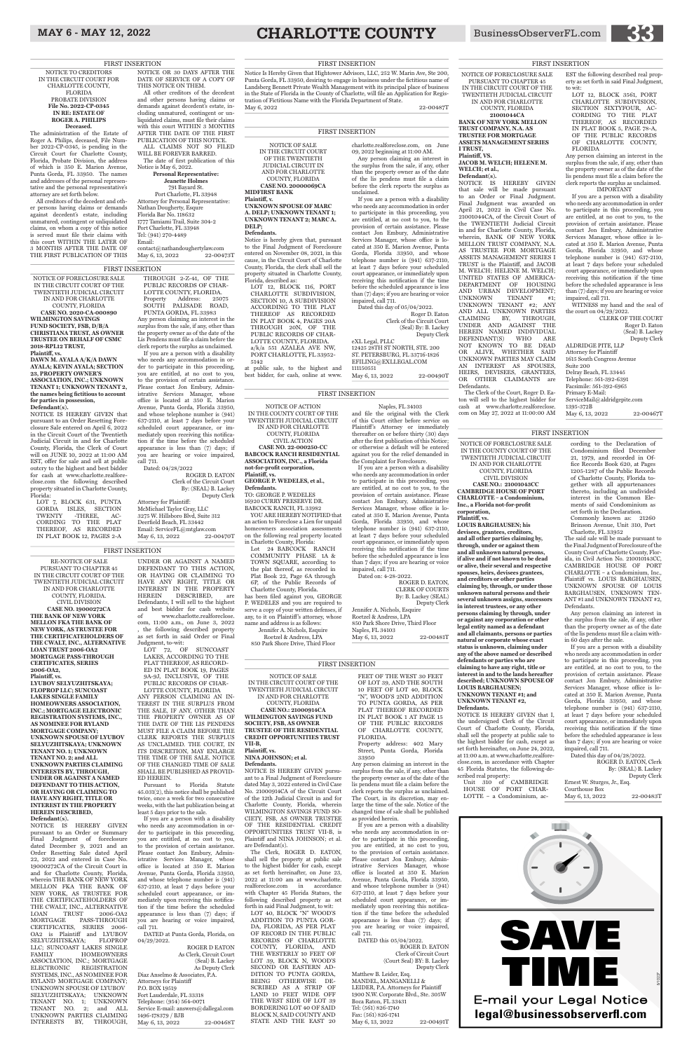NOTICE OF FORECLOSURE SALE IN THE CIRCUIT COURT OF THE TWENTIETH JUDICIAL CIRCUIT IN AND FOR CHARLOTTE COUNTY, FLORIDA

**CASE NO. 2020-CA-000890 WILMINGTON SAVINGS FUND SOCIETY, FSB, D/B/A CHRISTIANA TRUST, AS OWNER TRUSTEE ON BEHALF OF CSMC 2018-RPL12 TRUST, Plaintiff, vs.**

**DAWN M. AYALA A/K/A DAWN AYALA; KEVIN AYALA; SECTION 23, PROPERTY OWNER'S ASSOCIATION, INC.; UNKNOWN TENANT 1; UNKNOWN TENANT 2, the names being fictitious to account for parties in possession, Defendant(s).**

NOTICE IS HEREBY GIVEN that pursuant to an Order Resetting Foreclosure Sale entered on April 6, 2022 in the Circuit Court of the Twentieth Judicial Circuit in and for Charlotte County, Florida, the Clerk of Court will on JUNE 10, 2022 at 11:00 AM EST, offer for sale and sell at public outcry to the highest and best bidder for cash at www.charlotte.realforeclose.com the following described property situated in Charlotte County, Florida:

LOT 7, BLOCK 631, PUNTA GORDA ISLES, SECTION TWENTY -THREE, AC-CORDING TO THE PLAT THEREOF, AS RECORDED IN PLAT BOOK 12, PAGES 2-A

Attorney for Plaintiff: McMichael Taylor Gray, LLC 3275 W. Hillsboro Blvd, Suite 312 Deerfield Beach, FL 33442 Email: ServiceFL@mtglaw.com<br>May 6, 13, 2022 22-00470T May 6, 13, 2022

THROUGH 2-Z-41, OF THE PUBLIC RECORDS OF CHAR-LOTTE COUNTY, FLORIDA. Property Address: 25075 SOUTH PALISADE ROAD, PUNTA GORDA, FL 33983 Any person claiming an interest in the surplus from the sale, if any, other than the property owner as of the date of the Lis Pendens must file a claim before the clerk reports the surplus as unclaimed.

If you are a person with a disability who needs any accommodation in order to participate in this proceeding, you are entitled, at no cost to you, to the provision of certain assistance. Please contact Jon Embury, Administrative Services Manager, whose office is located at 350 E. Marion Avenue, Punta Gorda, Florida 33950, and whose telephone number is (941) 637-2110, at least 7 days before your scheduled court appearance, or immediately upon receiving this notification if the time before the scheduled appearance is less than (7) days; if you are hearing or voice impaired, call 711.

Dated: 04/28/2022

ROGER D. EATON Clerk of the Circuit Court By: (SEAL) B. Lackey Deputy Clerk

#### OF THE CHANGED TIME OF SALE SHALL BE PUBLISHED AS PROVID-ED HEREIN.<br>Pursuant to

RE-NOTICE OF SALE PURSUANT TO CHAPTER 45 IN THE CIRCUIT COURT OF THE TWENTIETH JUDICIAL CIRCUIT IN AND FOR CHARLOTTE COUNTY, FLORIDA. CIVIL DIVISION **CASE NO. 19000272CA THE BANK OF NEW YORK MELLON FKA THE BANK OF NEW YORK, AS TRUSTEE FOR THE CERTIFICATEHOLDERS OF THE CWALT, INC., ALTERNATIVE LOAN TRUST 2006-OA2 MORTGAGE PASS-THROUGH CERTIFICATES, SERIES 2006-OA2, Plaintiff, vs. LYUBOV SELYUZHITSKAYA; FLOPROP LLC; SUNCOAST** 

> ROGER D EATON As Clerk, Circuit Court (Seal) B. Lackey As Deputy Clerk Diaz Anselmo & Associates, P.A. Attorneys for Plaintiff P.O. BOX 19519 Fort Lauderdale, FL 33318 Telephone: (954) 564-0071 Service E-mail: answers@dallegal.com 1496-178379 / BJB May 6, 13, 2022 22-00468T

**LAKES SINGLE FAMILY HOMEOWNERS ASSOCIATION, INC.; MORTGAGE ELECTRONIC REGISTRATION SYSTEMS, INC., AS NOMINEE FOR RYLAND MORTGAGE COMPANY; UNKNOWN SPOUSE OF LYUBOV SELYUZHITSKAYA; UNKNOWN TENANT NO. 1; UNKNOWN TENANT NO. 2; and ALL** 

#### **UNKNOWN PARTIES CLAIMING INTERESTS BY, THROUGH, UNDER OR AGAINST A NAMED DEFENDANT TO THIS ACTION, OR HAVING OR CLAIMING TO HAVE ANY RIGHT, TITLE OR INTEREST IN THE PROPERTY HEREIN DESCRIBED,**

AND URBAN DEVELOPMENT;<br>UNKNOWN TENANT #1: UNKNOWN TENANT #1; UNKNOWN TENANT #2; ANY AND ALL UNKNOWN PARTIES CLAIMING BY, THROUGH, UNDER AND AGAINST THE HEREIN NAMED INDIVIDUAL DEFENDANT(S) WHO ARE NOT KNOWN TO BE DEAD OR ALIVE, WHETHER SAID UNKNOWN PARTIES MAY CLAIM AN INTEREST AS SPOUSES, HEIRS, DEVISEES, GRANTEES, OR OTHER CLAIMANTS are



**Defendant(s).** NOTICE IS HEREBY GIVEN pursuant to an Order or Summary Final Judgment of foreclosure dated December 9, 2021 and an Order Resetting Sale dated April 22, 2022 and entered in Case No. 19000272CA of the Circuit Court in and for Charlotte County, Florida, wherein THE BANK OF NEW YORK MELLON FKA THE BANK OF NEW YORK, AS TRUSTEE FOR THE CERTIFICATEHOLDERS OF THE CWALT, INC., ALTERNATIVE LOAN TRUST 2006-OA2 LOAN TRUST 2006-OA2 MORTGAGE PASS-THROUGH CERTIFICATES, SERIES 2006- OA2 is Plaintiff and LYUBOV SELYUZHITSKAYA; FLOPROP LLC; SUNCOAST LAKES SINGLE FAMILY HOMEOWNERS ASSOCIATION, INC.; MORTGAGE ELECTRONIC REGISTRATION SYSTEMS, INC., AS NOMINEE FOR RYLAND MORTGAGE COMPANY; UNKNOWN SPOUSE OF LYUBOV SELYUZHITSKAYA; UNKNOWN TENANT NO. 1; UNKNOWN TENANT NO. 2; and ALL UNKNOWN PARTIES CLAIMING INTERESTS BY, THROUGH,

UNDER OR AGAINST A NAMED DEFENDANT TO THIS ACTION, OR HAVING OR CLAIMING TO HAVE ANY RIGHT, TITLE OR INTEREST IN THE PROPERTY HEREIN DESCRIBED, are Defendants, I will sell to the highest and best bidder for cash website of www.charlotte.realforeclose. com, 11:00 a.m., on June 3, 2022 , the following described property as set forth in said Order or Final Judgment, to-wit:

the court on 04/29/2022. CLERK OF THE COURT

Suite 200 Delray Beach, FL 33445 Telephone: 561-392-6391 Facsimile: 561-392-6965 Primary E-Mail: ServiceMail@aldridgepite.com 1395-372B May 6, 13, 2022 22-00467T

LOT 72, OF SUNCOAST LAKES, ACCORDING TO THE PLAT THEREOF, AS RECORD-ED IN PLAT BOOK 19, PAGES 9A-9J, INCLUSIVE, OF THE PUBLIC RECORDS OF CHAR-

LOTTE COUNTY, FLORIDA ANY PERSON CLAIMING AN IN-TEREST IN THE SURPLUS FROM THE SALE, IF ANY, OTHER THAN THE PROPERTY OWNER AS OF THE DATE OF THE LIS PENDENS MUST FILE A CLAIM BEFORE THE CLERK REPORTS THE SURPLUS AS UNCLAIMED. THE COURT, IN ITS DESCRETION, MAY ENLARGE THE TIME OF THE SALE. NOTICE

Pursuant to Florida Statute 45.031(2), this notice shall be published twice, once a week for two consecutive weeks, with the last publication being at least 5 days prior to the sale.

If you are a person with a disability who needs any accommodation in order to participate in this proceeding, you are entitled, at no cost to you, to the provision of certain assistance. Please contact Jon Embury, Administrative Services Manager, whose office is located at 350 E. Marion Avenue, Punta Gorda, Florida 33950, and whose telephone number is (941)  $637-2110$ , at least 7 days before your scheduled court appearance, or immediately upon receiving this notification if the time before the scheduled appearance is less than (7) days; if you are hearing or voice impaired, call 711.

DATED at Punta Gorda, Florida, on 04/29/2022.

ROGER D. EATON, Clerk By: (SEAL) B. Lackey Deputy Clerk Ernest W. Sturges, Jr., Esq. Courthouse Box May 6, 13, 2022 22-00483T

NOTICE OF FORECLOSURE SALE PURSUANT TO CHAPTER 45 IN THE CIRCUIT COURT OF THE TWENTIETH JUDICIAL CIRCUIT IN AND FOR CHARLOTTE COUNTY, FLORIDA **21001044CA BANK OF NEW YORK MELLON TRUST COMPANY, N.A. AS TRUSTEE FOR MORTGAGE ASSETS MANAGEMENT SERIES**

**I TRUST, Plaintiff, VS.**

**JACOB M. WELCH; HELENE M.** 

**WELCH; et al., Defendant(s).**

 $\rm DEPARTMENT$   $\rm$  OF

NOTICE IS HEREBY GIVEN that sale will be made pursuant to an Order or Final Judgment. Final Judgment was awarded on April 21, 2022 in Civil Case No. 21001044CA, of the Circuit Court of the TWENTIETH Judicial Circuit in and for Charlotte County, Florida, wherein, BANK OF NEW YORK MELLON TRUST COMPANY, N.A. AS TRUSTEE FOR MORTGAGE ASSETS MANAGEMENT SERIES I TRUST is the Plaintiff, and JACOB M. WELCH; HELENE M. WELCH; UNITED STATES OF AMERICA-

Defendants.

The Clerk of the Court, Roger D. Eaton will sell to the highest bidder for cash at www.charlotte.realforeclose. com on May 27, 2022 at 11:00:00 AM

EST the following described real property as set forth in said Final Judgment, to wit:

MANDEL, MANGANELLI & LEIDER, P.A. Attorneys for Plaintiff 1900 N.W. Corporate Blvd., Ste. 305W Boca Raton, FL 33431 Tel: (561) 826-1740 Fax: (561) 826-1741 May 6, 13, 2022 22-00491T LOT 12, BLOCK 3561, PORT CHARLOTTE SUBDIVISION, SECTION SIXTYFOUR, AC-CORDING TO THE PLAT THEREOF, AS RECORDED IN PLAT BOOK 5, PAGE 78-A, OF THE PUBLIC RECORDS<br>OF CHARLOTTE COUNTY, CHARLOTTE COUNTY, FLORIDA

Any person claiming an interest in the surplus from the sale, if any, other than the property owner as of the date of the lis pendens must file a claim before the clerk reports the surplus as unclaimed.

LOT 12, BLOCK 116, PORT CHARLOTTE SUBDIVISION, SECTION 10, A SUBDIVISION ACCORDING TO THE PLAT THEREOF AS RECORDED IN PLAT BOOK 4, PAGES 20A THROUGH 20N, OF THE PUBLIC RECORDS OF CHAR-LOTTE COUNTY, FLORIDA. a/k/a 551 AZALEA AVE NW, PORT CHARLOTTE, FL 33952-

IMPORTANT If you are a person with a disability who needs any accommodation in order to participate in this proceeding, you are entitled, at no cost to you, to the provision of certain assistance. Please contact Jon Embury, Administrative Services Manager, whose office is located at 350 E. Marion Avenue, Punta Gorda, Florida 33950, and whose telephone number is (941) 637-2110, at least 7 days before your scheduled court appearance, or immediately upon receiving this notification if the time before the scheduled appearance is less than (7) days; if you are hearing or voice impaired, call 711. WITNESS my hand and the seal of

Roger D. Eaton (Seal) B. Lackey Deputy Clerk ALDRIDGE PITE, LLP Attorney for Plaintiff 1615 South Congress Avenue

NOTICE OF FORECLOSURE SALE IN THE COUNTY COURT OF THE TWENTIETH JUDICIAL CIRCUIT IN AND FOR CHARLOTTE COUNTY, FLORIDA

CIVIL DIVISION **CASE NO.: 21001043CC CAMBRIDGE HOUSE OF PORT CHARLOTTE – a Condominium, Inc., a Florida not-for-profit** 

**corporation,**

#### **Plaintiff, vs.**

**LOUIS BARGHAUSEN; his devisees, grantees, creditors, and all other parties claiming by, through, under or against them and all unknown natural persons, if alive and if not known to be dead or alive, their several and respective spouses, heirs, devisees grantees, and creditors or other parties claiming by, through, or under those unknown natural persons and their several unknown assigns, successors in interest trustees, or any other persons claiming by through, under or against any corporation or other legal entity named as a defendant and all claimants, persons or parties natural or corporate whose exact status is unknown, claiming under any of the above named or described defendants or parties who are claiming to have any right, title or interest in and to the lands hereafter described; UNKNOWN SPOUSE OF LOUIS BARGHAUSEN; UNKNOWN TENANT #1; and**

**UNKNOWN TENANT #2, Defendants.** NOTICE IS HEREBY GIVEN that I,

the undersigned Clerk of the Circuit Court of Charlotte County, Florida, shall sell the property at public sale to the highest bidder for cash, except as set forth hereinafter, on June 24, 2022, at 11:00 a.m. at www.charlotte.realforeclose.com, in accordance with Chapter 45 Florida Statutes, the following-described real property: Unit 310 of CAMBRIDGE

HOUSE OF PORT CHAR-LOTTE – a Condominium, ac-

Notice Is Hereby Given that Hightower Advisors, LLC, 252 W. Marin Ave, Ste 200, Punta Gorda, FL 33950, desiring to engage in business under the fictitious name of Landsberg Bennett Private Wealth Management with its principal place of business in the State of Florida in the County of Charlotte, will file an Application for Registration of Fictitious Name with the Florida Department of State. May 6, 2022 22-00487T

cording to the Declaration of Condominium filed December 21, 1979, and recorded in Office Records Book 620, at Pages 1205-1287 of the Public Records of Charlotte County, Florida together with all appurtenances thereto, including an undivided interest in the Common Elements of said Condominium as set forth in the Declaration. Commonly known as: 21260 Brinson Avenue, Unit 310, Port

May 6, 13, 2022 22-00473T FIRST INSERTION

> May 6, 13, 2022 22-00490T FIRST INSERTION

> > Charlotte, FL 33952 The said sale will be made pursuant to the Final Judgment of Foreclosure of the County Court of Charlotte County, Florida, in Civil Action No. 210010143CC, CAMBRIDGE HOUSE OF PORT CHARLOTTE – a Condominium, Inc., Plaintiff vs. LOUIS BARGHAUSEN, UNKNOWN SPOUSE OF LOUIS BARGHAUSEN, UNKNOWN TEN-ANT #1 and UNKNOWN TENANT #2, Defendants.

> > Any person claiming an interest in the surplus from the sale, if any, other than the property owner as of the date of the lis pendens must file a claim within 60 days after the sale.

> > If you are a person with a disability who needs any accommodation in order to participate in this proceeding, you are entitled, at no cost to you, to the provision of certain assistance. Please contact Jon Embury, Administrative Services Manager, whose office is located at 350 E. Marion Avenue, Punta Gorda, Florida 33950, and whose telephone number is (941) 637-2110, at least 7 days before your scheduled court appearance, or immediately upon receiving this notification if the time before the scheduled appearance is less than 7 days; if you are hearing or voice impaired, call 711.

Dated this day of 04/28/2022.

NOTICE OF SALE IN THE CIRCUIT COURT OF THE TWENTIETH JUDICIAL CIRCUIT IN AND FOR CHARLOTTE COUNTY, FLORIDA **CASE NO.: 21000914CA WILMINGTON SAVINGS FUND SOCIETY, FSB, AS OWNER TRUSTEE OF THE RESIDENTIAL CREDIT OPPORTUNITIES TRUST** 

**VII-B, Plaintiff, vs.** 

**NINA JOHNSON; et al.**

#### **Defendants.**

NOTICE IS HEREBY GIVEN pursuant to a Final Judgment of Foreclosure dated May 3, 2022 entered in Civil Case No. 21000914CA of the Circuit Court of the 12th Judicial Circuit in and for Charlotte County, Florida, wherein WILMINGTON SAVINGS FUND SO-CIETY, FSB, AS OWNER TRUSTEE OF THE RESIDENTIAL CREDIT OPPORTUNITIES TRUST VII-B, is Plaintiff and NINA JOHNSON; et al. are Defendant(s).

The Clerk, ROGER D. EATON, shall sell the property at public sale to the highest bidder for cash, except as set forth hereinafter, on June 23, 2022 at 11:00 am at www.charlotte. realforeclose.com in accordance with Chapter 45 Florida Statues, the following described property as set forth in said Final Judgment, to wit: LOT 40, BLOCK "N" WOOD'S ADDITION TO PUNTA GOR-DA, FLORIDA, AS PER PLAT OF RECORD IN THE PUBLIC RECORDS OF CHARLOTTE COUNTY, FLORIDA, AND THE WESTERLY 10 FEET OF LOT 39, BLOCK N, WOOD'S SECOND OR EASTERN AD-DITION TO PUNTA GORDA, BEING OTHERWISE DE-SCRIBED AS A STRIP OF LAND 10 FEET WIDE OFF THE WEST SIDE OF LOT 39 BORDERING LOT 40 OF SAID BLOCK N, SAID COUNTY AND STATE AND THE EAST 20

Street, Punta Gorda, Florida 33950

Any person claiming an interest in the surplus from the sale, if any, other than the property owner as of the date of the lis pendens must file a claim before the clerk reports the surplus as unclaimed. The Court, in its discretion, may enlarge the time of the sale. Notice of the changed time of sale shall be published as provided herein.

If you are a person with a disability who needs any accommodation in order to participate in this proceeding, you are entitled, at no cost to you, to the provision of certain assistance. Please contact Jon Embury, Administrative Services Manager, whose office is located at 350 E. Marion Avenue, Punta Gorda, Florida 33950, and whose telephone number is (941) 637-2110, at least 7 days before your scheduled court appearance, or immediately upon receiving this notification if the time before the scheduled appearance is less than (7) days; if you are hearing or voice impaired, call 711.

DATED this 05/04/2022.

ROGER D. EATON Clerk of Circuit Court (Court Seal) BY: B. Lackey Deputy Clerk Matthew B. Leider, Esq.

NOTICE OF SALE IN THE CIRCUIT COURT OF THE TWENTIETH JUDICIAL CIRCUIT IN AND FOR CHARLOTTE COUNTY, FLORIDA **CASE NO. 20000069CA**

**MIDFIRST BANK Plaintiff, v.**

**UNKNOWN SPOUSE OF MARC A. DELP; UNKNOWN TENANT 1; UNKNOWN TENANT 2; MARC A.** 

**DELP; Defendants.**

Notice is hereby given that, pursuant to the Final Judgment of Foreclosure entered on November 08, 2021, in this cause, in the Circuit Court of Charlotte County, Florida, the clerk shall sell the property situated in Charlotte County,

Florida, described as:

5142

at public sale, to the highest and best bidder, for cash, online at www. charlotte.realforeclose.com, on June 09, 2022 beginning at 11:00 AM.

Any person claiming an interest in the surplus from the sale, if any, other than the property owner as of the date of the lis pendens must file a claim before the clerk reports the surplus as unclaimed.

If you are a person with a disability who needs any accommodation in order to participate in this proceeding, you are entitled, at no cost to you, to the provision of certain assistance. Please contact Jon Embury, Administrative Services Manager, whose office is located at 350 E. Marion Avenue, Punta Gorda, Florida 33950, and whose telephone number is (941) 637-2110, at least 7 days before your scheduled court appearance, or immediately upon receiving this notification if the time before the scheduled appearance is less than (7) days; if you are hearing or voice impaired, call 711.

Dated this day of 05/04/2022. Roger D. Eaton Clerk of the Circuit Court (Seal) By: B. Lackey Deputy Clerk eXL Legal, PLLC 12425 28TH ST NORTH, STE. 200 ST. PETERSBURG, FL 33716-1826 EFILING@EXLLEGAL.COM 111150551

NOTICE OF ACTION IN THE COUNTY COURT OF THE TWENTIETH JUDICIAL CIRCUIT IN AND FOR CHARLOTTE COUNTY, FLORIDA CIVIL ACTION **CASE NO. 22-000250-CC BABCOCK RANCH RESIDENTIAL ASSOCIATION, INC., a Florida not-for-profit corporation,**

**Plaintiff, vs.**

**GEORGE P. WEDELES, et al.,**

**Defendants.**

TO: GEORGE P. WEDELES 16920 CURRY PRESERVE DR. BABCOCK RANCH, FL 33982 YOU ARE HEREBY NOTIFIED that an action to Foreclose a Lien for unpaid homeowners association assessments on the following real property located in Charlotte County, Florida: Lot 24 BABCOCK RANCH COMMUNITY PHASE 1A & TOWN SQUARE, according to the plat thereof, as recorded in Plat Book 22, Page 6A through 6P, of the Public Records of Charlotte County, Florida. has been filed against you, GEORGE P. WEDELES and you are required to serve a copy of your written defenses, if any, to it on Plaintiff's attorney, whose name and address is as follows: Jennifer A. Nichols, Esquire Roetzel & Andress, LPA 850 Park Shore Drive, Third Floor

Naples, FL 34103

and file the original with the Clerk of this Court either before service on Plaintiff's Attorney or immediately thereafter on or before thirty (30) days after the first publication of this Notice; or otherwise a default will be entered against you for the relief demanded in

the Complaint for Foreclosure.

If you are a person with a disability

who needs any accommodation in order to participate in this proceeding, you are entitled, at no cost to you, to the provision of certain assistance. Please contact Jon Embury, Administrative Services Manager, whose office is located at 350 E. Marion Avenue, Punta Gorda, Florida 33950, and whose telephone number is (941) 637-2110, at least 7 days before your scheduled court appearance, or immediately upon receiving this notification if the time before the scheduled appearance is less than 7 days; if you are hearing or voice impaired, call 711.

May 6, 13, 2022 22-00481T

FEET OF THE WEST 30 FEET OF LOT 39, AND THE SOUTH 10 FEET OF LOT 40, BLOCK "N", WOOD'S 2ND ADDITION TO PUNTA GORDA, AS PER PLAT THEREOF RECORDED IN PLAT BOOK 1 AT PAGE 15 OF THE PUBLIC RECORDS OF CHARLOTTE COUNTY, FLORIDA. Property address: 402 Mary

Dated on: 4-28-2022.

ROGER D. EATON, CLERK OF COURTS

By: B. Lackey (SEAL) Deputy Clerk

Jennifer A. Nichols, Esquire Roetzel & Andress, LPA 850 Park Shore Drive, Third Floor Naples, FL 34103

NOTICE TO CREDITORS IN THE CIRCUIT COURT FOR CHARLOTTE COUNTY, FLORIDA PROBATE DIVISION **File No. 2022-CP-0345 IN RE: ESTATE OF ROGER A. PHILIPS Deceased.**

The administration of the Estate of Roger A. Philips, deceased, File Number 2022-CP-0345, is pending in the Circuit Court for Charlotte County, Florida, Probate Division, the address of which is 350 E. Marion Avenue, Punta Gorda, FL 33950. The names and addresses of the personal representative and the personal representative's attorney are set forth below.

All creditors of the decedent and other persons having claims or demands against decedent's estate, including unmatured, contingent or unliquidated claims, on whom a copy of this notice is served must file their claims with this court WITHIN THE LATER OF 3 MONTHS AFTER THE DATE OF THE FIRST PUBLICATION OF THIS NOTICE OR 30 DAYS AFTER THE DATE OF SERVICE OF A COPY OF THIS NOTICE ON THEM. All other creditors of the decedent and other persons having claims or demands against decedent's estate, including unmatured, contingent or unliquidated claims, must file their claims with this court WITHIN 3 MONTHS AFTER THE DATE OF THE FIRST PUBLICATION OF THIS NOTICE. ALL CLAIMS NOT SO FILED WILL BE FOREVER BARRED. The date of first publication of this Notice is May 6, 2022. **Personal Representative: Jeanette Holmes** 791 Bayard St. Port Charlotte, FL 33948 Attorney for Personal Representative: Nathan Dougherty, Esqure Florida Bar No. 118632 1777 Tamiami Trail, Suite 304-2 Port Charlotte, FL 33948

Tel: (941) 270-4489

Email:

contact@nathandoughertylaw.com

FIRST INSERTION

#### FIRST INSERTION

#### FIRST INSERTION

#### FIRST INSERTION

FIRST INSERTION

#### FIRST INSERTION

#### FIRST INSERTION

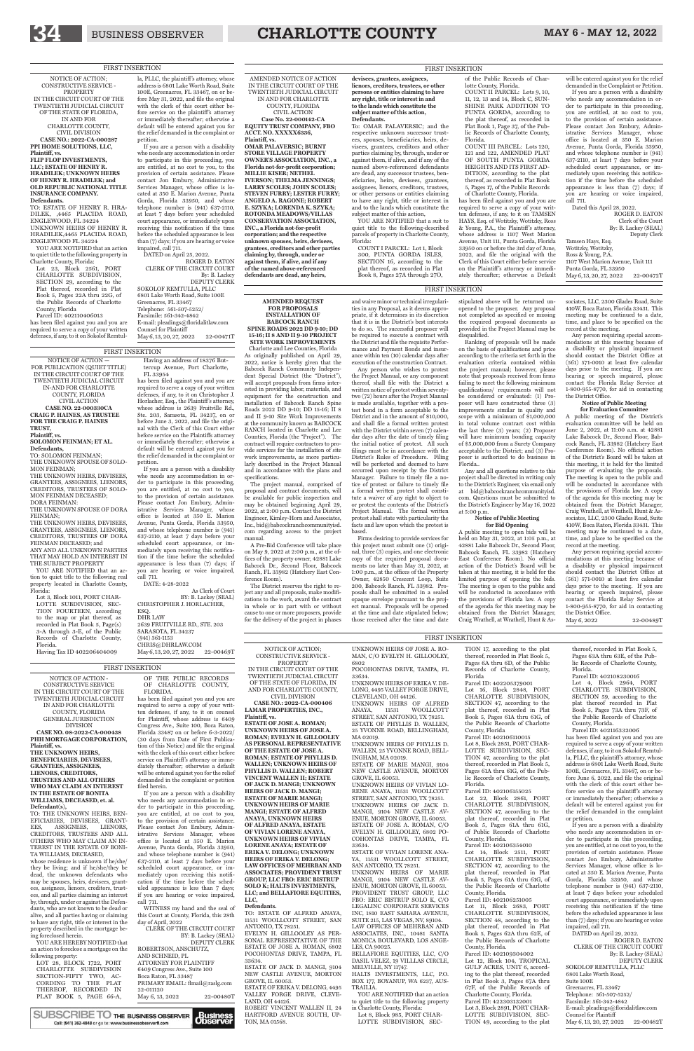#### NOTICE OF ACTION; CONSTRUCTIVE SERVICE - PROPERTY

IN THE CIRCUIT COURT OF THE TWENTIETH JUDICIAL CIRCUIT OF THE STATE OF FLORIDA, IN AND FOR CHARLOTTE COUNTY,

CIVIL DIVISION **CASE NO.: 2022-CA-000406 LAMAR PROPERTIES, INC., Plaintiff, vs. ESTATE OF JOSE A. ROMAN; UNKNOWN HEIRS OF JOSE A. ROMAN; EVELYN H. GILLOOLEY AS PERSONAL REPRESENTATIVE OF THE ESTATE OF JOSE A. ROMAN; ESTATE OF PHYLLIS D. WALLEN; UNKNOWN HEIRS OF PHYLLIS D. WALLEN; ROBERT VINCENT WALLEN II; ESTATE OF JACK D. MANGI; UNKNOWN HEIRS OF JACK D. MANGI; ESTATE OF MARIE MANGI; UNKNOWN HEIRS OF MARIE MANGI; ESTATE OF ALFRED ANAYA, UNKNOWN HEIRS OF ALFRED ANAYA, ESTATE OF VIVIAN LORENE ANAYA, UNKNOWN HEIRS OF VIVIAN LORENE ANAYA; ESTATE OF ERIKA V. DELONG; UNKNOWN HEIRS OF ERIKA V. DELONG; LAW OFFICES OF MEHRBAN AND ASSOCIATES; PROVIDENT TRUST GROUP, LLC FBO: ERIC BISTRUP SOLO K; HALTS INVESTMENTS, LLC; and BELLAFIORE EQUITIES, LLC,**

#### **Defendants.**

TO: ESTATE OF ALFRED ANAYA, 11531 WOOLLCOTT STREET, SAN ANTONIO, TX 78251. EVELYN H. GILLOOLEV AS PER-SONAL REPRESENTATIVE OF THE ESTATE OF JOSE A. ROMAN, 6802 POCOHONTAS DRIVE, TAMPA, FL 33634. ESTATE OF JACK D. MANGI, 9104

NEW CASTLE AVENUE, MORTON GROVE, IL 60053.

ESTATE OF ERIKA V. DELONG, 4495 VALLEY FORGE DRIVE, CLEVE-LAND, OH 44126.

ROBERT VINCENT WALLEN II, 24 HARTFORD AVENUE SOUTH, UP-TON, MA 01568.

Lot 8, Block 985, PORT CHAR-LOTTE SUBDIVISION, SEC-

UNKNOWN HEIRS OF JOSE A. RO-MAN, C/O EVELYN H. GILLOOLEY, 6802 POCOHONTAS DRIVE, TAMPA, FL 33634. UNKNOWN HEIRS OF ERIKA V. DE-

LONG, 4495 VALLEY FORGE DRIVE, CLEVELAND, OH 44126. UNKNOWN HEIRS OF ALFRED ANAYA, 11531 WOOLLCOTT STREET, SAN ANTONIO, TX 78251. ESTATE OF PHYLLIS D. WALLEN, 25 YVONNE ROAD, BELLINGHAM, MA 02019.

UNKNOWN HEIRS OF PHYLLIS D. WALLEN, 25 YVONNE ROAD, BELL-INGHAM, MA 02019.

> Lot 22, Block 2861, PORT CHARLOTTE SUBDIVISION, SECTION 47, according to the plat thereof, recorded in Plat Book 5, Pages 61A thru 61G, of Public Records of Charlotte County, Florida.

ESTATE OF MARIE MANGI, 9104 NEW CASTLE AVENUE, MORTON GROVE, IL 60053.

UNKNOWN HEIRS OF VIVIAN LO-RENE ANAYA, 11531 WOOLLCOTT STREET, SAN ANTONIO, TX 78251. UNKNOWN HEIRS OF JACK D. MANGI, 9104 NEW CASTLE AV-ENUE, MORTON GROVE, IL 60053. ESTATE OF JOSE A. ROMAN, C/O EVELYN H. GILLOOLEY, 6802 PO-COHONTAS DRIVE, TAMPA, FL 33634.

ESTATE OF VIVIAN LORENE ANA-YA, 11531 WOOLLCOTT STREET, SAN ANTONIO, TX 78251.

UNKNOWN HEIRS OF MARIE MANGI, 9104 NEW CASTLE AV-ENUE, MORTON GROVE, IL 60053. PROVIDENT TRUST GROUP LLC FBO: ERIC BISTRUP SOLO K, C/O LEGALINC CORPORATE SERVICES INC, 1810 EAST SAHARA AVENUE, SUITE 215, LAS VEGAS, NV, 89104. LAW OFFICES OF MEHRBAN AND ASSOCIATES, INC., 10481 SANTA MONICA BOULEVARD, LOS ANGE-LES, CA 90025.

BELLAFIORE EQUITIES, LLC, C/O DASIL VELEZ, 19 VILLLAS CIRCLE, MELVILLE, NY 11747.

HALTS INVESTMENTS, LLC, P.O. BOX 177, BOYANUP, WA 6237, AUS-TRAILIA.

YOU ARE NOTIFIED that an action to quiet title to the following property in Charlotte County, Florida:

#### TION 17, according to the plat thereof, recorded in Plat Book 5, Pages 6A thru 6D, of the Public Records of Charlotte County, Florida

SOKOLOF REMTULLA, PLLC 6801 Lake Worth Road, Suite 100E Greenacres, FL 33467 Telephone: 561-507-5252/ Facsimile: 561-342-4842 E-mail: pleadings@floridalitlaw.com Counsel for Plaintiff May 6, 13, 20, 27, 2022 22-00482T

Parcel ID: 402205379001 Lot 16, Block 2848, PORT CHARLOTTE SUBDIVISION, SECTION 47, according to the plat thereof, recorded in Plat Book 5, Pages 61A thru 61G, of the Public Records of Charlotte County, Florida

Parcel ID: 402106110015 Lot 8, Block 2851, PORT CHAR-LOTTE SUBDIVISION SEC-TION 47, according to the plat

thereof, recorded in Plat Book 5, Pages 61A thru 61G, of the Public Records of Charlotte County, Florida.

#### Parcel ID: 402106155025

Parcel ID: 402106354010 Lot 14, Block 2511, PORT CHARLOTTE SUBDIVISION, SECTION 47, according to the plat thereof, recorded in Plat Book 5, Pages 61A thru 61G, of the Public Records of Charlotte

County, Florida. Parcel ID: 402106251005

Lot 11, Block 2683, PORT CHARLOTTE SUBDIVISION, SECTION 48, according to the plat thereof, recorded in Plat Book 5, Pages 62A thru 62E, of the Public Records of Charlotte County, Florida.

Parcel ID: 402109304002 Lot 12, Block 104, TROPICAL GULF ACRES, UNIT 6, according to the plat thereof, recorded in Plat Book 3, Pages 67A thru 67F, of the Public Records of Charlotte County, Florida. Parcel ID: 422303132001 Lot 3, Block 2891, PORT CHAR-LOTTE SUBDIVISION, SEC-TION 49, according to the plat

thereof, recorded in Plat Book 5, Pages 63A thru 63E, of the Public Records of Charlotte County, Florida.

Parcel ID: 402108230016 Lot 4, Block 2964, PORT CHARLOTTE SUBDIVISION, SECTION 59, according to the plat thereof recorded in Plat Book 5, Pages 73A thru 73F, of the Public Records of Charlotte County, Florida.

Parcel ID: 402116332006

Dated this April 28, 2022. ROGER D. EATON Clerk of the Court By: B. Lackey (SEAL) Deputy Clerk Tamsen Hays, Esq. Wotitzky, Wotitzky, Ross & Young, P.A. 1107 West Marion Avenue, Unit 111 Punta Gorda, FL 33950 May 6, 13, 20, 27, 2022 22-00472T

NOTICE OF ACTION -FOR PUBLICATION (QUIET TITLE) IN THE CIRCUIT COURT OF THE TWENTIETH JUDICIAL CIRCUIT IN-AND FOR CHARLOTTE COUNTY, FLORIDA CIVIL ACTION **CASE NO. 22-000330CA CRAIG P. HAINES, AS TRUSTEE FOR THE CRAIG P. HAINES** 

> has been filed against you and you are required to serve a copy of your written defenses, if any, to it on Sokolof Remtulla, PLLC, the plaintiff 's attorney, whose address is 6801 Lake Worth Road, Suite 100E, Greenacres, FL 33467, on or before June 6, 2022, and file the original with the clerk of this court either before service on the plaintiff's attorney or immediately thereafter; otherwise a default will be entered against you for the relief demanded in the complaint or petition. If you are a person with a disability who needs any accommodation in order to participate in this proceeding, you are entitled, at no cost to you, to the provision of certain assistance. Please contact Jon Embury, Administrative Services Manager, whose office is located at 350 E. Marion Avenue, Punta Gorda, Florida 33950, and whose telephone number is (941) 637-2110, at least 7 days before your scheduled court appearance, or immediately upon receiving this notification if the time before the scheduled appearance is less than (7) days; if you are hearing or voice impaired, call 711. DATED on April 29, 2022.

YOU ARE NOTIFIED that an action to quiet title to the following real property located in Charlotte County, Florida:

> ROGER D. EATON CLERK OF THE CIRCUIT COURT By: B. Lackey (SEAL) DEPUTY CLERK

AMENDED NOTICE OF ACTION IN THE CIRCUIT COURT OF THE TWENTIETH JUDICIAL CIRCUIT IN AND FOR CHARLOTTE COUNTY, FLORIDA

CIVIL ACTION **Case No. 22-000142-CA EQUITY TRUST COMPANY, FBO ACCT. NO. XXXXX6336,**

#### **BENEFICIARIES, DEVISE GRANTEES, ASSIGNEES, LIENORS, CREDITORS, TRUSTEES AND ALL OTHERS WHO MAY CLAIM AN INTEREST IN THE ESTATE OF BONITA WILLIAMS, DECEASED, et. al. Defendant(s),**

TO: THE UNKNOWN HEIRS, BEN-EFICIARIES, DEVISEES, GRANT-<br>EES, ASSIGNEES, LIENORS, EES, ASSIGNEES, LIENORS, CREDITORS, TRUSTEES AND ALL OTHERS WHO MAY CLAIM AN IN-TEREST IN THE ESTATE OF BONI-TA WILLIAMS, DECEASED,

**Plaintiff, vs. OMAR PALAVERSIC; BURNT STORE VILLAGE PROPERTY OWNER'S ASSOCIATION, INC., a Florida not-for-profit corporation; MILLIE KISER; NETHEL IVERSON; THELMA JENNINGS; LARRY SCOLES; JOHN SCOLES; STEVEN FURRY; LESTER FURRY; ANGELO A. RAGONE; ROBERT E. SZYKA; LORENDA K. SZYKA; ROTONDA MEADOWS/VILLAS CONSERVATION ASSOCIATION, INC., a Florida not-for-profit corporation; and the respective unknown spouses, heirs, devisees, grantees, creditors and other parties claiming by, through, under or against them, if alive, and if any of the named above-referenced defendants are dead, any heirs,** 

whose residence is unknown if he/she/ they be living; and if he/she/they be dead, the unknown defendants who may be spouses, heirs, devisees, grantees, assignees, lienors, creditors, trustees, and all parties claiming an interest by, through, under or against the Defendants, who are not known to be dead or alive, and all parties having or claiming to have any right, title or interest in the property described in the mortgage being foreclosed herein.

#### **devisees, grantees, assignees, lienors, creditors, trustees, or other persons or entities claiming to have any right, title or interest in and to the lands which constitute the subject matter of this action, Defendants.**

To: OMAR PALAVERSIC; and the respective unknown successor trustees, spouses, beneficiaries, heirs, devisees, grantees, creditors and other parties claiming by, through, under or against them, if alive, and if any of the named above-referenced defendants are dead, any successor trustees, beneficiaries, heirs, devisees, grantees, assignees, lienors, creditors, trustees, or other persons or entities claiming to have any right, title or interest in and to the lands which constitute the subject matter of this action, YOU ARE NOTIFIED that a suit to

AND SCHNEID, PL ATTORNEY FOR PLAINTIFF 6409 Congress Ave., Suite 100 Boca Raton, FL 33487 PRIMARY EMAIL: flmail@raslg.com 22-011120 May 6, 13, 2022 22-00480T quiet title to the following-described parcels of property in Charlotte County, Florida: COUNT I PARCEL: Lot 1, Block

300, PUNTA GORDA ISLES, SECTION 16, according to the plat thereof, as recorded in Plat Book 8, Pages 27A through 27O, of the Public Records of Char-

lotte County, Florida. COUNT II PARCEL: Lots 9, 10, 11, 12, 13 and 14, Block C, SUN-SHINE PARK ADDITION TO PUNTA GORDA, according to the plat thereof, as recorded in Plat Book 1, Page 37, of the Public Records of Charlotte County,

la, PLLC, the plaintiff's attorney, whose address is 6801 Lake Worth Road, Suite 100E, Greenacres, FL 33467, on or before May 31, 2022, and file the original with the clerk of this court either before service on the plaintiff's attorney or immediately thereafter; otherwise a default will be entered against you for the relief demanded in the complaint or petition.

Florida.

DATED on April 25, 2022. ROGER D. EATON CLERK OF THE CIRCUIT COURT By: B. Lackey DEPUTY CLERK SOKOLOF REMTULLA, PLLC 6801 Lake Worth Road, Suite 100E Greenacres, FL 33467 Telephone: 561-507-5252/ Facsimile: 561-342-4842 E-mail: pleadings@floridalitlaw.com Counsel for Plaintiff May 6, 13, 20, 27, 2022 22-00471T

COUNT III PARCEL: Lots 120, 121 and 122, AMENDED PLAT OF SOUTH PUNTA GORDA HEIGHTS AND ITS FIRST AD-DITION, according to the plat thereof, as recorded in Plat Book 5, Pages 17, of the Public Records of Charlotte County, Florida. has been filed against you and you are required to serve a copy of your written defenses, if any, to it on TAMSEN HAYS, Esq. of Wotitzky, Wotitzky, Ross & Young, P.A., the Plaintiff 's attorney, whose address is 1107 West Marion Avenue, Unit 111, Punta Gorda, Florida 33950 on or before the 3rd day of June, 2022, and file the original with the Clerk of this Court either before service on the Plaintiff's attorney or immediately thereafter; otherwise a Default

will be entered against you for the relief demanded in the Complaint or Petition.

If you are a person with a disability who needs any accommodation in order to participate in this proceeding, you are entitled, at no cost to you, to the provision of certain assistance. Please contact Jon Embury, Administrative Services Manager, whose office is located at 350 E. Marion Avenue, Punta Gorda, Florida 33950, and whose telephone number is (941) 637-2110, at least 7 days before your scheduled court appearance, or immediately upon receiving this notification if the time before the scheduled appearance is less than (7) days; if you are hearing or voice impaired, call 711.

**TRUST, Plaintiff, vs. SOLOMON FEINMAN; ET AL.**

**Defendants,** TO: SOLOMON FEINMAN;

THE UNKNOWN SPOUSE OF SOLO-MON FEINMAN; THE UNKNOWN HEIRS, DEVISEES, GRANTEES, ASSIGNEES, LIENORS, CREDITORS, TRUSTEES OF SOLO-

MON FEINMAN DECEASED; DORA FEINMAN: THE UNKNOWN SPOUSE OF DORA

FEINMAN; THE UNKNOWN HEIRS, DEVISEES, GRANTEES, ASSIGNEES, LIENORS, CREDITORS, TRUSTEES OF DORA FEINMAN DECEASED; and

ANY AND ALL UNKNOWN PARTIES THAT MAY HOLD AN INTEREST IN THE SUBJECT PROPERTY

Lot 3, Block 1011, PORT CHAR-LOTTE SUBDIVISION, SEC-TION FOURTEEN, according to the map or plat thereof, as recorded in Plat Book 5, Page(s) 3-A through 3-E, of the Public Records of Charlotte County, Florida.

Having Tax ID 402206404009

Having an address of 18376 Buttercup Avenue, Port Charlotte, FL 33954

has been filed against you and you are required to serve a copy of your written defenses, if any, to it on Christopher J. Horlacher, Esq., the Plaintiff 's attorney, whose address is 2639 Fruitville Rd., Ste. 203, Sarasota, FL 34237, on or before June 3, 2022, and file the original with the Clerk of this Court either before service on the Plaintiffs attorney or immediately thereafter; otherwise a default will be entered against you for the relief demanded in the complaint or petition.

If you are a person with a disability who needs any accommodation in order to participate in this proceeding, you are entitled, at no cost to you, to the provision of certain assistance. Please contact Jon Embury, Administrative Services Manager, whose office is located at 350 E. Marion Avenue, Punta Gorda, Florida 33950, and whose telephone number is (941) 637-2110, at least 7 days before your scheduled court appearance, or immediately upon receiving this notification if the time before the scheduled appearance is less than (7) days; if you are hearing or voice impaired, call 711.

DATE: 4-28-2022 As Clerk of Court

BY: B. Lackey (SEAL) CHRISTOPHER J. HORLACHER, ESQ. DHR LAW 2639 FRUITVILLE RD., STE. 203 SARASOTA, FL 34237 (941) 361-1153 CHRIS@DHRLAW.COM May 6, 13, 20, 27, 2022 22-00469T

NOTICE OF ACTION - CONSTRUCTIVE SERVICE IN THE CIRCUIT COURT OF THE TWENTIETH JUDICIAL CIRCUIT IN AND FOR CHARLOTTE COUNTY, FLORIDA GENERAL JURISDICTION DIVISION **CASE NO. 08-2022-CA-000438 PHH MORTGAGE CORPORATION,**

**Plaintiff, vs.**

**THE UNKNOWN HEIRS,** 

YOU ARE HEREBY NOTIFIED that an action to foreclose a mortgage on the

following property: LOT 28, BLOCK 1722, PORT CHARLOTTE SUBDIVISION SECTION-FIFTY TWO, AC-CORDING TO THE PLAT THEREOF, RECORDED IN PLAT BOOK 5, PAGE 66-A,

**SUBSCRIBE TO THE BUSINESS OBSERVER Business**<br>**Observer** Call: (941) 362-4848 or go to: www.busi

### OF THE PUBLIC RECORDS OF CHARLOTTE COUNTY,

FLORIDA. has been filed against you and you are required to serve a copy of your written defenses, if any, to it on counsel for Plaintiff, whose address is 6409 Congress Ave., Suite 100, Boca Raton, Florida 33487 on or before 6-3-2022/ (30 days from Date of First Publication of this Notice) and file the original with the clerk of this court either before service on Plaintiff's attorney or immediately thereafter; otherwise a default will be entered against you for the relief demanded in the complaint or petition filed herein. If you are a person with a disability who needs any accommodation in order to participate in this proceeding, you are entitled, at no cost to you, to the provision of certain assistance. Please contact Jon Embury, Administrative Services Manager, whose office is located at 350 E. Marion Avenue, Punta Gorda, Florida 33950, and whose telephone number is (941) 637-2110, at least 7 days before your scheduled court appearance, or immediately upon receiving this notification if the time before the scheduled appearance is less than 7 days; if you are hearing or voice impaired, call 711. WITNESS my hand and the seal of this Court at County, Florida, this 28th day of April, 2022

CLERK OF THE CIRCUIT COURT BY: B. Lackey (SEAL) DEPUTY CLERK ROBERTSON, ANSCHUTZ,

NOTICE OF ACTION; CONSTRUCTIVE SERVICE - PROPERTY IN THE CIRCUIT COURT OF THE TWENTIETH JUDICIAL CIRCUIT OF THE STATE OF FLORIDA, IN AND FOR CHARLOTTE COUNTY, CIVIL DIVISION **CASE NO.: 2022-CA-000287 PPI HOME SOLUTIONS, LLC, Plaintiff, vs.**

**FLIP FLOP INVESTMENTS, LLC; ESTATE OF HENRY R. HRADILEK; UNKNOWN HEIRS OF HENRY R. HRADILEK; and OLD REPUBLIC NATIONAL TITLE INSURANCE COMPANY. Defendants.**

TO: ESTATE OF HENRY R. HRA-DILEK, ,4465 PLACIDA ROAD, ENGLEWOOD, FL 34224 UNKNOWN HEIRS OF HENRY R. HRADILEK,4465 PLACIDA ROAD, ENGLEWOOD FL 34224

YOU ARE NOTIFIED that an action to quiet title to the following property in Charlotte County, Florida: Lot 23, Block 2561, PORT CHARLOTTE SUBDIVISION, SECTION 29, according to the

Plat thereof, recorded in Plat Book 5, Pages 22A thru 22G, of the Public Records of Charlotte County, Florida Parcel ID: 402110406013

has been filed against you and you are required to serve a copy of your written defenses, if any, to it on Sokolof Remtul-

If you are a person with a disability who needs any accommodation in order to participate in this proceeding, you are entitled, at no cost to you, to the provision of certain assistance. Please contact Jon Embury, Administrative Services Manager, whose office is located at 350 E. Marion Avenue, Punta Gorda, Florida 33950, and whose telephone number is (941) 637-2110, at least 7 days before your scheduled court appearance, or immediately upon receiving this notification if the time before the scheduled appearance is less than (7) days; if you are hearing or voice impaired, call 711.

#### **AMENDED REQUEST FOR PROPOSALS INSTALLATION OF BABCOCK RANCH SPINE ROADS 2022 DD 9-10; DD 15-16; II 8 AND II 9-10 PROJECT SITE WORK IMPROVEMENTS**

Charlotte and Lee Counties, Florida As originally published on April 29, 2022, notice is hereby given that the Babcock Ranch Community Independent Special District (the "District"), will accept proposals from firms interested in providing labor, materials, and equipment for the construction and installation of Babcock Ranch Spine Roads 2022 DD 9-10; DD 15-16; II 8 and II 9-10 Site Work Improvements at the community known as BABCOCK RANCH located in Charlotte and Lee Counties, Florida (the "Project"). The contract will require contractors to provide services for the installation of site work improvements, as more particularly described in the Project Manual and in accordance with the plans and specifications.

The project manual, comprised of proposal and contract documents, will be available for public inspection and may be obtained beginning April 29, 2022, at 2:00 p.m. Contact the District Engineer, Kimley-Horn and Associates, Inc., bid@babcockranchcommunityisd. com regarding access to the project manual.

A Pre-Bid Conference will take place on May 9, 2022 at 2:00 p.m., at the offices of the property owner, 42881 Lake Babcock Dr., Second Floor, Babcock Ranch, FL 33982 (Hatchery East Conference Room).

The District reserves the right to reject any and all proposals, make modifications to the work, award the contract in whole or in part with or without cause to one or more proposers, provide for the delivery of the project in phases

and waive minor or technical irregularities in any Proposal, as it deems appropriate, if it determines in its discretion that it is in the District's best interests to do so. The successful proposer will be required to execute a contract with the District and file the requisite Performance and Payment Bonds and insurance within ten (10) calendar days after execution of the construction Contract.

Any person who wishes to protest the Project Manual, or any component thereof, shall file with the District a written notice of protest within seventytwo (72) hours after the Project Manual is made available, together with a protest bond in a form acceptable to the District and in the amount of \$10,000, and shall file a formal written protest with the District within seven (7) calendar days after the date of timely filing the initial notice of protest. All such filings must be in accordance with the District's Rules of Procedure. Filing will be perfected and deemed to have occurred upon receipt by the District Manager. Failure to timely file a notice of protest or failure to timely file a formal written protest shall constitute a waiver of any right to object to or protest the contents of the District's Project Manual. The formal written protest shall state with particularity the facts and law upon which the protest is based.

Firms desiring to provide services for this project must submit one (1) original, three (3) copies, and one electronic copy of the required proposal documents no later than May 31, 2022, at 1:00 p.m., at the offices of the Property Owner, 42850 Crescent Loop, Suite 200, Babcock Ranch, FL 33982. Proposals shall be submitted in a sealed opaque envelope pursuant to the project manual. Proposals will be opened at the time and date stipulated below; those received after the time and date

stipulated above will be returned unopened to the proposer. Any proposal not completed as specified or missing the required proposal documents as provided in the Project Manual may be

disqualified.

Ranking of proposals will be made on the basis of qualifications and price according to the criteria set forth in the evaluation criteria contained within the project manual; however, please note that proposals received from firms failing to meet the following minimum qualifications/ requirements will not be considered or evaluated: (1) Proposer will have constructed three (3) improvements similar in quality and scope with a minimum of \$1,000,000 in total volume contract cost within

the last three (3) years; (2) Proposer will have minimum bonding capacity of \$5,000,000 from a Surety Company acceptable to the District; and (3) Proposer is authorized to do business in Florida.. Any and all questions relative to this project shall be directed in writing only to the District's Engineer, via email only at bid@babcockranchcommunityisd.

com. Questions must be submitted to the District's Engineer by May 16, 2022

at 5:00 p.m.

**Notice of Public Meeting for Bid Opening**<br>
A public meeting to open bids will be held on May 31, 2022, at 1:05 p.m., at 42881 Lake Babcock Dr., Second Floor, Babcock Ranch, FL 33982 (Hatchery East Conference Room). No official action of the District's Board will be taken at this meeting, it is held for the limited purpose of opening the bids. The meeting is open to the public and will be conducted in accordance with the provisions of Florida law. A copy of the agenda for this meeting may be obtained from the District Manager, Craig Wrathell, at Wrathell, Hunt & As-

sociates, LLC, 2300 Glades Road, Suite 410W, Boca Raton, Florida 33431. This meeting may be continued to a date, time, and place to be specified on the record at the meeting.

Any person requiring special accommodations at this meeting because of a disability or physical impairment should contact the District Office at (561) 571-0010 at least five calendar days prior to the meeting. If you are hearing or speech impaired, please contact the Florida Relay Service at 1-800-955-8770, for aid in contacting the District Office.

#### **Notice of Public Meeting for Evaluation Committee**

A public meeting of the District's evaluation committee will be held on June 2, 2022, at 11:00 a.m. at 42881 Lake Babcock Dr., Second Floor, Babcock Ranch, FL 33982 (Hatchery East Conference Room). No official action of the District's Board will be taken at this meeting, it is held for the limited purpose of evaluating the proposals. The meeting is open to the public and will be conducted in accordance with the provisions of Florida law. A copy of the agenda for this meeting may be obtained from the District Manager, Craig Wrathell, at Wrathell, Hunt & Associates, LLC, 2300 Glades Road, Suite 410W, Boca Raton, Florida 33431. This meeting may be continued to a date, time, and place to be specified on the record at the meeting.

Any person requiring special accommodations at this meeting because of a disability or physical impairment should contact the District Office at (561) 571-0010 at least five calendar days prior to the meeting. If you are hearing or speech impaired, please contact the Florida Relay Service at 1-800-955-8770, for aid in contacting the District Office.

May 6, 2022 22-00489T

#### FIRST INSERTION

FIRST INSERTION

FIRST INSERTION FIRST INSERTION

#### FIRST INSERTION

#### FIRST INSERTION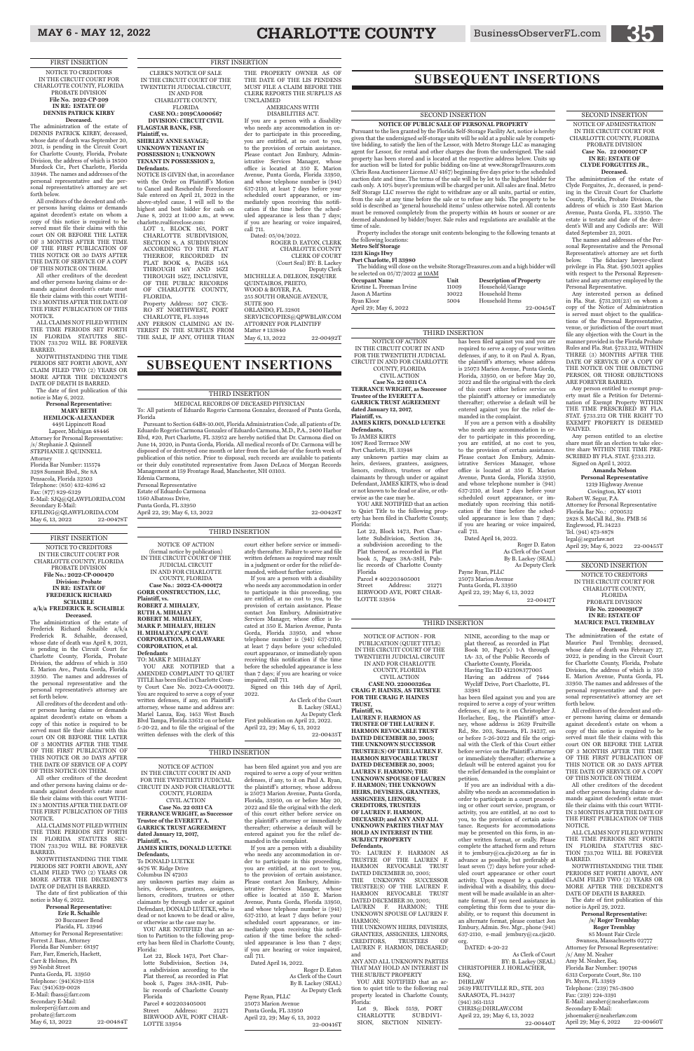NOTICE OF ACTION (formal notice by publication) IN THE CIRCUIT COURT OF THE JUDICIAL CIRCUIT IN AND FOR CHARLOTTE COUNTY, FLORIDA **Case No.: 2022-CA-000172 GORR CONSTRUCTION, LLC, Plaintiff, vs. ROBERT J. MIHALEY, RUTH A. MIHALEY ROBERT M. MIHALEY, MARK P. MIHALEY, HELEN H. MIHALEY,CAPE CAVE CORPORATION, A DELAWARE CORPORATION, et al. Defendants** TO: MARK P. MIHALEY YOU ARE NOTIFIED that a

AMENDED COMPLAINT TO QUIET TITLE has been filed in Charlotte County Court Case No. 2022-CA-000172. You are required to serve a copy of your written defenses, if any, on Plaintiff's attorney, whose name and address are: Mariel Lanza, Esq. 1453 West Busch Blvd Tampa, Florida 33612 on or before 5-20-22, and to file the original of the written defenses with the clerk of this

court either before service or immediately thereafter. Failure to serve and file written defenses as required may result in a judgment or order for the relief demanded, without further notice.

If you are a person with a disability who needs any accommodation in order to participate in this proceeding, you are entitled, at no cost to you, to the provision of certain assistance. Please contact Jon Embury, Administrative Services Manager, whose office is located at 350 E. Marion Avenue, Punta Gorda, Florida 33950, and whose telephone number is (941) 637-2110, at least 7 days before your scheduled court appearance, or immediately upon receiving this notification if the time before the scheduled appearance is less than 7 days; if you are hearing or voice impaired, call 711.

Signed on this 14th day of April, 2022.

As Clerk of the Court B. Lackey (SEAL) As Deputy Clerk First publication on April 22, 2022.

April 22, 29; May 6, 13, 2022 22-00435T

#### THIRD INSERTION

#### SECOND INSERTION

YOU ARE NOTIFIED that an action to Quiet Title to the following property has been filed in Charlotte County, Florida: Lot 22, Block 1473, Port Char-

**NOTICE OF PUBLIC SALE OF PERSONAL PROPERTY** Pursuant to the lien granted by the Florida Self-Storage Facility Act, notice is hereby given that the undersigned self-storage units will be sold at a public sale by competitive bidding, to satisfy the lien of the Lessor, with Metro Storage LLC as managing agent for Lessor, for rental and other charges due from the undersigned. The said property has been stored and is located at the respective address below. Units up for auction will be listed for public bidding on-line at www.StorageTreasures.com (Chris Rosa Auctioneer License AU 4167) beginning five days prior to the scheduled auction date and time. The terms of the sale will be by lot to the highest bidder for cash only. A 10% buyer's premium will be charged per unit. All sales are final. Metro Self Storage LLC reserves the right to withdraw any or all units, partial or entire, from the sale at any time before the sale or to refuse any bids. The property to be sold is described as "general household items" unless otherwise noted. All contents must be removed completely from the property within 48 hours or sooner or are deemed abandoned by bidder/buyer. Sale rules and regulations are available at the time of sale.

Property includes the storage unit contents belonging to the following tenants at the following locations:

#### **Metro Self Storage 1231 Kings Hwy**

#### **Port Charlotte, Fl 33980**

YOU ARE NOTIFIED that an action to Partition to the following property has been filed in Charlotte County, Florida:

The bidding will close on the website StorageTreasures.com and a high bidder will be selected on 05/17/2022 at 10AM

| <b>Occupant Name</b>       | Unit  | <b>Description of Property</b> |
|----------------------------|-------|--------------------------------|
| Kristine L. Freeman Irvine | 11009 | Household/Garage               |
| Jason A Martins            | 10022 | Household Items                |
| Ryan Kloor                 | 5004  | Household Items                |
| April 29; May 6, 2022      |       | 22-00454T                      |

NOTICE OF ACTION IN THE CIRCUIT COURT IN AND FOR THE TWENTIETH JUDICIAL CIRCUIT IN AND FOR CHARLOTTE COUNTY, FLORIDA CIVIL ACTION **Case No. 22 0311 CA**

**TERRANCE WRIGHT, as Successor Trustee of the EVERETT A. GARRICK TRUST AGREEMENT dated January 12, 2017, Plaintiff, vs. JAMES KIRTS, DONALD LUETKE**

**Defendants,** To JAMES KIRTS

1087 Reed Terrrace NW Port Charlotte, Fl. 33948 any unknown parties may claim as

heirs, devisees, grantees, assignees, lienors, creditors, trustees or other claimants by through under or against Defendant, JAMES KIRTS, who is dead or not known to be dead or alive, or otherwise as the case may be.

lotte Subdivision, Section 34, a subdivision according to the Plat thereof, as recorded in Plat book 5, Pages 38A-38H, Public records of Charlotte County Florida Parcel # 402203405001 Street Address: 21271

BIRWOOD AVE, PORT CHAR-LOTTE 33954

has been filed against you and you are required to serve a copy of your written defenses, if any, to it on Paul A. Ryan, the plaintiff's attorney, whose address is 25073 Marion Avenue, Punta Gorda, Florida, 33950, on or before May 20, 2022 and file the original with the clerk of this court either before service on

the plaintiff 's attorney or immediately thereafter; otherwise a default will be entered against you for the relief demanded in the complaint. If you are a person with a disability who needs any accommodation in order to participate in this proceeding,

any and all inknown parties THAT MAY HOLD AN INTEREST IN THE SUBJECT PROPERTY

YOU ARE NOTIFIED that an action to quiet title to the following real property located in Charlotte County, Florida:

Lot 9, Block 5159, PORT CHARLOTTE SUBDIVI-CHARLOTTE SUBDIVI-<br>SION, SECTION NINETY-

you are entitled, at no cost to you, to the provision of certain assistance. Please contact Jon Embury, Administrative Services Manager, whose office is located at 350 E. Marion Avenue, Punta Gorda, Florida 33950, and whose telephone number is (941) 637-2110, at least 7 days before your scheduled court appearance, or immediately upon receiving this notification if the time before the scheduled appearance is less than 7 days; if you are hearing or voice impaired,

Dated April 14, 2022.

call 711. Payne Ryan, PLLC

Roger D. Eaton As Clerk of the Court By B. Lackey (SEAL) As Deputy Clerk

25073 Marion Avenue Punta Gorda, FL 33950 April 22, 29; May 6, 13, 2022 22-00417T

NOTICE OF ACTION IN THE CIRCUIT COURT IN AND FOR THE TWENTIETH JUDICIAL CIRCUIT IN AND FOR CHARLOTTE COUNTY, FLORIDA CIVIL ACTION **Case No. 22 0311 CA TERRANCE WRIGHT, as Successor Trustee of the EVERETT A. GARRICK TRUST AGREEMENT dated January 12, 2017, Plaintiff, vs. JAMES KIRTS, DONALD LUETKE**

**Defendants,** To DONALD LUETKE 4676 W. Ridge Drive Columbus IN 47203

any unknown parties may claim as heirs, devisees, grantees, assignees, lienors, creditors, trustees or other claimants by through under or against Defendant, DONALD LUETKE, who is dead or not known to be dead or alive, or otherwise as the case may be.

Lot 22, Block 1473, Port Charlotte Subdivision, Section 34, a subdivision according to the Plat thereof, as recorded in Plat book 5, Pages 38A-38H, Public records of Charlotte County Florida Parcel # 402203405001 Street Address: 21271

BIRWOOD AVE, PORT CHAR-LOTTE 33954

Robert W. Segur, P.A. Attorney for Personal Representative Florida Bar No.: 0700532 2828 S. McCall Rd., Ste. PMB 56 Englewood, FL 34223 Tel. (941) 473-8878 legal@segurlaw.net April 29; May 6, 2022 22-00455T

has been filed against you and you are required to serve a copy of your written defenses, if any, to it on Paul A. Ryan, the plaintiff 's attorney, whose address is 25073 Marion Avenue, Punta Gorda, Florida, 33950, on or before May 20, 2022 and file the original with the clerk of this court either before service on the plaintiff's attorney or immediately thereafter; otherwise a default will be entered against you for the relief demanded in the complaint.

If you are a person with a disability who needs any accommodation in order to participate in this proceeding, you are entitled, at no cost to you, to the provision of certain assistance. Please contact Jon Embury, Administrative Services Manager, whose office is located at 350 E. Marion Avenue, Punta Gorda, Florida 33950, and whose telephone number is (941) 637-2110, at least 7 days before your scheduled court appearance, or immediately upon receiving this notification if the time before the scheduled appearance is less than 7 days; if you are hearing or voice impaired, call 711.

NOTWITHSTANDING THE TIME PERIODS SET FORTH ABOVE, ANY CLAIM FILED TWO (2) YEARS OR MORE AFTER THE DECEDENT'S DATE OF DEATH IS BARRED.

85 Mount Fair Circle Swansea, Massachusetts 02777 Attorney for Personal Representative: /s/ Amy M. Neaher Amy M. Neaher, Esq. Florida Bar Number: 190748 6313 Corporate Court, Ste. 110 Ft. Myers, FL 33919 Telephone: (239) 785-3800 Fax: (239) 224-3391 E-Mail: aneaher@neaherlaw.com Secondary E-Mail: jshoemaker@neaherlaw.com April 29; May 6, 2022 22-00460T

Dated April 14, 2022.

Roger D. Eaton As Clerk of the Court By B. Lackey (SEAL) As Deputy Clerk

Payne Ryan, PLLC 25073 Marion Avenue Punta Gorda, FL 33950 April 22, 29; May 6, 13, 2022 22-00416T

THIRD INSERTION

#### THIRD INSERTION

#### THIRD INSERTION

MEDICAL RECORDS OF DECEASED PHYSICIAN To: All patients of Eduardo Rogerio Carmona Gonzalez, deceased of Punta Gorda,

Florida Pursuant to Section 64B8-10.001, Florida Administration Code, all patients of Dr. Eduardo Rogerio Carmona Gonzalez of Eduardo Carmona, M.D., P.A., 2400 Harbor Blvd, #20, Port Charlotte, FL 33952 are hereby notified that Dr. Carmona died on June 14, 2020, in Punta Gorda, Florida. All medical records of Dr. Carmona will be disposed of or destroyed one month or later from the last day of the fourth week of publication of this notice. Prior to disposal, such records are available to patients or their duly constituted representative from Jason DeLuca of Morgan Records Management at 159 Frontage Road, Manchester, NH 03103. Edenia Carmona,

Personal Representative Estate of Eduardo Carmona 1560 Albatross Drive, Punta Gorda, FL 33950

April 22, 29; May 6, 13, 2022 22-00428T

Dated: 05/04/2022. ROGER D. EATON, CLERK CHARLOTTE COUNTY CLERK OF COURT (Court Seal) BY: B. Lackey Deputy Clerk MICHELLE A. DELEON, ESQUIRE QUINTAIROS, PRIETO, WOOD & BOYER, P.A. 255 SOUTH ORANGE AVENUE, SUITE 900 ORLANDO, FL 32801 SERVICECOPIES@QPWBLAW.COM ATTORNEY FOR PLAINTIFF Matter # 133840 May 6, 13, 2022 22-00492T

#### THIRD INSERTION

NOTICE OF ACTION - FOR PUBLICATION (QUIET TITLE) IN THE CIRCUIT COURT OF THE TWENTIETH JUDICIAL CIRCUIT IN AND FOR CHARLOTTE COUNTY, FLORIDA

CIVIL ACTION **CASE NO. 22000326ca**

**CRAIG P. HAINES, AS TRUSTEE FOR THE CRAIG P. HAINES TRUST, Plaintiff, vs. LAUREN F. HARMON AS TRUSTEE OF THE LAUREN F. HARMON REVOCABLE TRUST DATED DECEMBER 30, 2005; THE UNKNOWN SUCCESSOR TRUSTEE(S) OF THE LAUREN F. HARMON REVOCABLE TRUST** 

**DATED DECEMBER 30, 2005; LAUREN F. HARMON; THE UNKNOWN SPOUSE OF LAUREN F. HARMON; THE UNKNOWN HEIRS, DEVISEES, GRANTEES, ASSIGNEES, LIENORS, CREDITORS, TRUSTEES OF LAUREN F. HARMON, DECEASED; and ANY AND ALL UNKNOWN PARTIES THAT MAY HOLD AN INTEREST IN THE SUBJECT PROPERTY Defendants,**

TO: LAUREN F. HARMON AS TRUSTEE OF THE LAUREN F. HARMON REVOCABLE TRUST DATED DECEMBER 30, 2005; THE UNKNOWN SUCCESSOR TRUSTEE(S) OF THE LAUREN F. HARMON REVOCABLE TRUST DATED DECEMBER 30, 2005;

20 Buccaneer Bend Placida, FL 33946 Attorney for Personal Representative: Forrest J. Bass, Attorney Florida Bar Number: 68197 Farr, Farr, Emerich, Hackett, Carr & Holmes, PA 99 Nesbit Street Punta Gorda, FL 33950 Telephone: (941)639-1158 Fax: (941)639-0028 E-Mail: fbass@farr.com Secondary E-Mail: msleeper@farr.com and probate@farr.com May 6, 13, 2022 22-00484T

LAUREN F. HARMON; THE UNKNOWN SPOUSE OF LAUREN F. HARMON;

THE UNKNOWN HEIRS, DEVISEES, GRANTEES, ASSIGNEES, LIENORS, CREDITORS, TRUSTEES OF CREDITORS, TRUSTEES OF LAUREN F. HARMON, DECEASED; and

NINE, according to the map or plat thereof, as recorded in Plat Book 10, Page(s) 1-A through 1A- 33, of the Public Records of Charlotte County, Florida. Having Tax ID 412108377005 Having an address of 7444 Wycliff Drive, Port Charlotte, FL 33981

NOTWITHSTANDING THE TIME PERIODS SET FORTH ABOVE, ANY CLAIM FILED TWO (2) YEARS OR MORE AFTER THE DECEDENT'S DATE OF DEATH IS BARRED.

**Personal Representative: MARY BETH HEMLOCK-ALEXANDER** 4491 Lippincott Road Lapeer, Michigan 48446 Attorney for Personal Representative: /s/ Stephanie J. Quinnell STEPHANIE J. QUINNELL Attorney Florida Bar Number: 115574 3298 Summit Blvd., Ste 8A Pensacola, Florida 32503 Telephone: (850) 432-4386 x2 Fax: (877) 829-6329 E-Mail: SJQ@QLAWFLORIDA.COM Secondary E-Mail:  $\mathbf{EFILING}@$ QLAWFLORIDA.COM May 6, 13, 2022 22-00478T

> has been filed against you and you are required to serve a copy of your written defenses, if any, to it on Christopher J. Horlacher, Esq., the Plaintiff's attorney, whose address is 2639 Fruitville Rd., Ste. 203, Sarasota, FL 34237, on or before 5-26-2022 and file the original with the Clerk of this Court either before service on the Plaintiff 's attorney or immediately thereafter; otherwise a

default will be entered against you for the relief demanded in the complaint or petition.

If you are an individual with a disability who needs an accommodation in order to participate in a court proceeding or other court service, program, or activity, you are entitled, at no cost to you, to the provision of certain assistance. Requests for accommodations may be presented on this form, in another written format, or orally. Please complete the attached form and return it to jembury@ca.cjis20.org as far in advance as possible, but preferably at least seven (7) days before your scheduled court appearance or other court activity. Upon request by a qualified individual with a disability, this document will be made available in an alternate format. If you need assistance in completing this form due to your disability, or to request this document in an alternate format, please contact Jon Embury, Admin. Svc. Mgr., phone (941) 637-2110, e-mail jembury@ca.cjis20. org.

DATED: 4-20-22

As Clerk of Court BY: B. Lackey (SEAL) CHRISTOPHER J. HORLACHER, ESQ.

#### DHRLAW

2639 FRUITVILLE RD., STE. 203 SARASOTA, FL 34237 (941) 361-1153 CHRIS@DHRLAW.COM April 22, 29; May 6, 13, 2022 22-00440T

SECOND INSERTION NOTICE OF ADMINSTRATION IN THE CIRCUIT COURT FOR

#### CHARLOTTE COUNTY, FLORIDA PROBATE DIVISION **Case No. 22 000107 CP IN RE: ESTATE OF CLYDE FORGUITES JR.,**

**Deceased.** The administration of the estate of Clyde Forguites, Jr., deceased, is pending in the Circuit Court for Charlotte County, Florida, Probate Division, the address of which is 350 East Marion Avenue, Punta Gorda, FL. 33950. The estate is testate and date of the decedent's Will and any Codicils are: Will dated September 23, 2021.

The names and addresses of the Personal Representative and the Personal Representative's attorney are set forth below. The fiduciary lawyer-client privilege in Fla. Stat. §90.5021 applies with respect to the Personal Repr tative and any attorney employed by the Personal Representative.

Any interested person as defined in Fla. Stat. §731.201(23) on whom a copy of the Notice of Administration is served must object to the qualifications of the Personal Representative, venue, or jurisdiction of the court must file any objection with the Court in the manner provided in the Florida Probate Rules and Fla. Stat. §733.212, WITHIN THREE (3) MONTHS AFTER THE DATE OF SERVICE OF A COPY OF THE NOTICE ON THE OBJECTING PERSON, OR THOSE OBJECTIONS ARE FOREVER BARRED.

Any person entitled to exempt property must file a Petition for Determination of Exempt Property WITHIN THE TIME PRESCRIBED BY FLA. STAT. §733.212 OR THE RIGHT TO EXEMPT PROPERTY IS DEEMED WAIVED.

Any person entitled to an elective share must file an election to take elective share WITHIN THE TIME PRE-SCRIBED BY FLA. STAT. §733.212. Signed on April 1, 2022.

**Amanda Nelson**

**Personal Representative**  1219 Highway Avenue Covington, KY 41011

SECOND INSERTION

#### NOTICE TO CREDITORS IN THE CIRCUIT COURT FOR CHARLOTTE COUNTY, FLORIDA PROBATE DIVISION **File No. 22000391CP IN RE: ESTATE OF MAURICE PAUL TREMBLAY Deceased.**

The administration of the estate of Maurice Paul Tremblay, deceased, whose date of death was February 27, 2022, is pending in the Circuit Court for Charlotte County, Florida, Probate Division, the address of which is 350 E. Marion Avenue, Punta Gorda, FL 33950. The names and addresses of the personal representative and the personal representative's attorney are set forth below.

All creditors of the decedent and other persons having claims or demands against decedent's estate on whom a copy of this notice is required to be served must file their claims with this court ON OR BEFORE THE LATER OF 3 MONTHS AFTER THE TIME OF THE FIRST PUBLICATION OF

#### THIS NOTICE OR 30 DAYS AFTER THE DATE OF SERVICE OF A COPY OF THIS NOTICE ON THEM.

All other creditors of the decedent and other persons having claims or demands against decedent's estate must file their claims with this court WITH-IN 3 MONTHS AFTER THE DATE OF THE FIRST PUBLICATION OF THIS NOTICE.

ALL CLAIMS NOT FILED WITHIN THE TIME PERIODS SET FORTH IN FLORIDA STATUTES SEC-TION 733.702 WILL BE FOREVER BARRED.

The date of first publication of this notice is April 29, 2022.

#### **Personal Representative: /s/ Roger Tremblay**

**Roger Tremblay**

### **SUBSEQUENT INSERTIONS**

## **SUBSEQUENT INSERTIONS**

CLERK'S NOTICE OF SALE IN THE CIRCUIT COURT OF THE TWENTIETH JUDICIAL CIRCUIT, IN AND FOR

CHARLOTTE COUNTY, FLORIDA **CASE NO.: 2019CA000667 DIVISION: CIRCUIT CIVIL FLAGSTAR BANK, FSB,** 

#### **Plaintiff, vs. SHIRLEY ANNE SAVAGE; UNKNOWN TENANT IN POSSESSION 1; UNKNOWN TENANT IN POSSESSION 2, Defendants.**

NOTICE IS GIVEN that, in accordance with the Order on Plaintiff 's Motion to Cancel and Reschedule Foreclosure Sale entered on April 21, 2022 in the above-styled cause, I will sell to the highest and best bidder for cash on June 8, 2022 at 11:00 a.m., at www.

charlotte.realforeclose.com: LOT 1, BLOCK 165, PORT CHARLOTTE SUBDIVISION, SECTION 8, A SUBDIVISION ACCORDING TO THE PLAT THEREOF, RECORDED IN PLAT BOOK 4, PAGES 16A THROUGH 16Y AND 16ZI THROUGH 16Z7, INCLUSIVE, OF THE PUBLIC RECORDS OF CHARLOTTE COUNTY, FLORIDA. Property Address: 507 CICE-

RO ST NORTHWEST, PORT CHARLOTTE, FL 33948

ANY PERSON CLAIMING AN IN-TEREST IN THE SURPLUS FROM THE SALE, IF ANY, OTHER THAN

#### THE PROPERTY OWNER AS OF THE DATE OF THE LIS PENDENS MUST FILE A CLAIM BEFORE THE

CLERK REPORTS THE SURPLUS AS UNCLAIMED AMERICANS WITH

DISABILITIES ACT. If you are a person with a disability

who needs any accommodation in order to participate in this proceeding, you are entitled, at no cost to you, to the provision of certain assistance. Please contact Jon Embury, Administrative Services Manager, whose office is located at 350 E. Marion Avenue, Punta Gorda, Florida 33950, and whose telephone number is (941) 637-2110, at least 7 days before your scheduled court appearance, or immediately upon receiving this notification if the time before the scheduled appearance is less than 7 days; if you are hearing or voice impaired, call 711.

FIRST INSERTION NOTICE TO CREDITORS IN THE CIRCUIT COURT FOR CHARLOTTE COUNTY, FLORIDA PROBATE DIVISION **File No.: 2022-CP-000470 Division: Probate IN RE: ESTATE OF FREDERICK RICHARD SCHAIBLE a/k/a FREDERICK R. SCHAIBLE**

**Deceased.** The administration of the estate of Frederick Richard Schaible a/k/a Frederick R. Schaible, deceased, whose date of death was April 8, 2021, is pending in the Circuit Court for Charlotte County, Florida, Probate Division, the address of which is 350 E. Marion Ave., Punta Gorda, Florida 33950. The names and addresses of the personal representative and the personal representative's attorney are set forth below.

All creditors of the decedent and other persons having claims or demands against decedent's estate on whom a copy of this notice is required to be served must file their claims with this court ON OR BEFORE THE LATER OF 3 MONTHS AFTER THE TIME OF THE FIRST PUBLICATION OF THIS NOTICE OR 30 DAYS AFTER

THE DATE OF SERVICE OF A COPY OF THIS NOTICE ON THEM.

All other creditors of the decedent and other persons having claims or demands against decedent's estate must file their claims with this court WITH-IN 3 MONTHS AFTER THE DATE OF THE FIRST PUBLICATION OF THIS NOTICE.

ALL CLAIMS NOT FILED WITHIN THE TIME PERIODS SET FORTH IN FLORIDA STATUTES SEC-TION 733.702 WILL BE FOREVER BARRED.

NOTWITHSTANDING THE TIME PERIODS SET FORTH ABOVE, ANY CLAIM FILED TWO (2) YEARS OR MORE AFTER THE DECEDENT'S DATE OF DEATH IS BARRED.

The date of first publication of this notice is May 6, 2022.

**Personal Representative: Eric R. Schaible**

FIRST INSERTION NOTICE TO CREDITORS IN THE CIRCUIT COURT FOR CHARLOTTE COUNTY, FLORIDA PROBATE DIVISION **File No. 2022-CP-209 IN RE: ESTATE OF DENNIS PATRICK KIRBY Deceased.**

The administration of the estate of DENNIS PATRICK KIRBY, deceased, whose date of death was September 20, 2021, is pending in the Circuit Court for Charlotte County, Florida, Probate Division, the address of which is 18500 Murdock Cir., Port Charlotte, Florida 33948. The names and addresses of the personal representative and the personal representative's attorney are set forth below.

All creditors of the decedent and other persons having claims or demands against decedent's estate on whom a copy of this notice is required to be served must file their claims with this court ON OR BEFORE THE LATER OF 3 MONTHS AFTER THE TIME OF THE FIRST PUBLICATION OF THIS NOTICE OR 30 DAYS AFTER THE DATE OF SERVICE OF A COPY OF THIS NOTICE ON THEM.

All other creditors of the decedent and other persons having claims or demands against decedent's estate must file their claims with this court WITH-IN 3 MONTHS AFTER THE DATE OF THE FIRST PUBLICATION OF THIS NOTICE.

ALL CLAIMS NOT FILED WITHIN THE TIME PERIODS SET FORTH IN FLORIDA STATUTES SEC-TION 733.702 WILL BE FOREVER BARRED.

The date of first publication of this notice is May 6, 2022.

#### FIRST INSERTION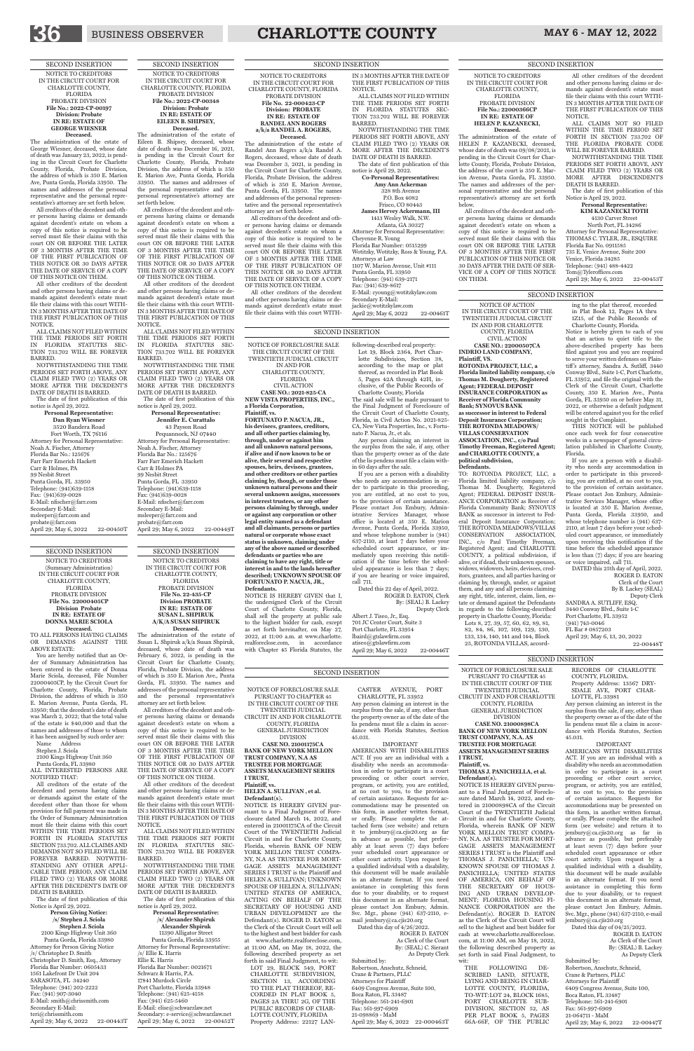NOTICE OF FORECLOSURE SALE THE CIRCUIT COURT OF THE TWENTIETH JUDICIAL CIRCUIT IN AND FOR CHARLOTTE COUNTY, FLORIDA CIVIL ACTION **CASE NO.: 2021-825-CA NEW VISTA PROPERTIES, INC., a Florida Corporation, Plaintiff, vs. FORTUNATO P. NACUA, JR., his devisees, grantees, creditors, and all other parties claiming by, through, under or against him and all unknown natural persons, if alive and if now known to be or alive, their several and respective spouses, heirs, devisees, grantees, and other creditors or other parties claiming by, though, or under those unknown natural persons and their several unknown assigns, successors in interest trustees, or any other persons claiming by through, under or against any corporation or other** 

NOTICE IS HEREBY GIVEN that I, the undersigned Clerk of the Circuit Court of Charlotte County, Florida, shall sell the property at public sale to the highest bidder for cash, except as set forth hereinafter, on May 27, 2022, at 11:00 a.m. at www.charlotte. realforeclose.com, in accordance with Chapter 45 Florida Statutes, the

**legal entity named as a defendant and all claimants, persons or parties natural or corporate whose exact status is unknown, claiming under any of the above named or described defendants or parties who are claiming to have any right, title or interest in and to the lands hereafter described; UNKNOWN SPOUSE OF FORTUNATO P. NACUA, JR., Defendants.**

> Albert J. Tiseo, Jr., Esq. 701 JC Center Court, Suite 3 Port Charlotte, FL 33954 lbaird@gtslawfirm.com atiseo@gtslawfirm.com April 29; May 6, 2022 22-00446T

NOTICE OF FORECLOSURE SALE PURSUANT TO CHAPTER 45

following-described real property: Lot 19, Block 2364, Port Charlotte Subdivision, Section 38, according to the map or plat thereof, as recorded in Plat Book 5, Pages 42A through 42H, in-

clusive, of the Public Records of Charlotte County, Florida The said sale will be made pursuant to the Final Judgment of Foreclosure of the Circuit Court of Charlotte County, Florida, in Civil Action No. 2021-825- CA, New Vista Properties, Inc., v. Fortu-

nato P. Nacua, Jr., et als. Any person claiming an interest in the surplus from the sale, if any, other than the property owner as of the date of the lis pendens must file a claim within 60 days after the sale.

If you are a person with a disability who needs any accommodation in order to participate in this proceeding, you are entitled, at no cost to you, to the provision of certain assistance. Please contact Jon Embury, Administrative Services Manager, whose office is located at 350 E. Marion Avenue, Punta Gorda, Florida 33950, and whose telephone number is (941) 637-2110, at least 7 days before your scheduled court appearance, or immediately upon receiving this notification if the time before the scheduled appearance is less than 7 days; if you are hearing or voice impaired, call 711.

Dated this 22 day of April, 2022. ROGER D. EATON, Clerk By: (SEAL) B. Lackey Deputy Clerk

IN THE CIRCUIT COURT OF THE TWENTIETH JUDICIAL CIRCUIT IN AND FOR CHARLOTTE COUNTY, FLORIDA GENERAL JURISDICTION

DIVISION **CASE NO. 21001175CA BANK OF NEW YORK MELLON** 

**TRUST COMPANY, N.A AS**

#### **TRUSTEE FOR MORTGAGE ASSETS MANAGEMENT SERIES I TRUST,**

**Plaintiff, vs.**

### **HELEN A. SULLIVAN , et al. Defendant(s).** NOTICE IS HEREBY GIVEN pur-

suant to a Final Judgment of Foreclosure dated March 14, 2022, and entered in 21001175CA of the Circuit Court of the TWENTIETH Judicial Circuit in and for Charlotte County, Florida, wherein BANK OF NEW YORK MELLON TRUST COMPA-NY, N.A AS TRUSTEE FOR MORT-GAGE ASSETS MANAGEMENT SERIES I TRUST is the Plaintiff and HELEN A. SULLIVAN; UNKNOWN SPOUSE OF HELEN A. SULLIVAN; UNITED STATES OF AMERICA, ACTING ON BEHALF OF THE SECRETARY OF HOUSING AND URBAN DEVELOPMENT are the Defendant(s). ROGER D. EATON as the Clerk of the Circuit Court will sell to the highest and best bidder for cash at www.charlotte.realforeclose.com, at 11:00 AM, on May 18, 2022, the following described property as set forth in said Final Judgment, to wit: LOT 29, BLOCK 549, PORT CHARLOTTE SUBDIVISION, SECTION 13, ACCORDING TO THE PLAT THEREOF, RE-CORDED IN PLAT BOOK 5, PAGES 2A THRU 2G, OF THE PUBLIC RECORDS OF CHAR-LOTTE COUNTY, FLORIDA Property Address: 22127 LAN-

CASTER AVENUE, PORT CHARLOTTE, FL 33952 Any person claiming an interest in the surplus from the sale, if any, other than the property owner as of the date of the lis pendens must file a claim in accordance with Florida Statutes, Section

45.031. IMPORTANT AMERICANS WITH DISABILITIES ACT. If you are an individual with a

disability who needs an accommodation in order to participate in a court proceeding or other court service, program, or activity, you are entitled, at no cost to you, to the provision of certain assistance. Requests for accommodations may be presented on this form, in another written format, or orally. Please complete the attached form (see website) and return it to jembury@ca.cjis20.org as far in advance as possible, but preferably at least seven (7) days before your scheduled court appearance or other court activity. Upon request by a qualified individual with a disability, this document will be made available in an alternate format. If you need assistance in completing this form due to your disability, or to request this document in an alternate format, please contact Jon Embury, Admin. Svc. Mgr., phone (941) 637-2110, email jembury@ca.cjis20.org Dated this day of 4/26/2022. ROGER D. EATON

> THE FOLLOWING DE-SCRIBED LAND, SITUATE, LYING AND BEING IN CHAR-LOTTE COUNTY, FLORIDA, TO-WIT:LOT 24, BLOCK 1685, PORT CHARLOTTE SUB-DIVISION, SECTION 52, AS PER PLAT BOOK 5, PAGES 66A-66F, OF THE PUBLIC

As Clerk of the Court By: (SEAL) C. Sierant As Deputy Clerk

Submitted by: Robertson, Anschutz, Schneid, Crane & Partners, PLLC Attorneys for Plaintiff 6409 Congress Avenue, Suite 100, Boca Raton, FL 33487 Telephone: 561-241-6901 Fax: 561-997-6909 21-098869 - MaM April 29; May 6, 2022 22-000463T

Robertson, Anschutz, Schneid, Crane & Partners, PLLC Attorneys for Plaintiff 6409 Congress Avenue, Suite 100, Boca Raton, FL 33487 Telephone: 561-241-6901 Fax: 561-997-6909 21-064711 - MaM April 29; May 6, 2022 22-00447T

NOTICE OF ACTION IN THE CIRCUIT COURT OF THE TWENTIETH JUDICIAL CIRCUIT IN AND FOR CHARLOTTE COUNTY, FLORIDA CIVIL ACTION

**CASE NO.: 22000507CA INDRIO LAND COMPANY, Plaintiff, VS. ROTONDA PROJECT, LLC, a Florida limited liability company, c/o Thomas M. Dougherty, Registered Agent; FEDERAL DEPOSIT INSURANCE CORPORATION as Receiver of Florida Community Bank; SYNOVUS BANK as successor in interest to Federal Deposit Insurance Corporation; THE ROTONDA MEADOWS/ VILLAS CONSERVATION ASSOCIATION, INC., c/o Paul Timothy Freeman, Registered Agent; and CHARLOTTE COUNTY, a political subdivision,**

**Defendants.**

TO: ROTONDA PROJECT, LLC, a Florida limited liability company, c/o Thomas M. Dougherty, Registered Agent; FEDERAL DEPOSIT INSUR-ANCE CORPORATION as Receiver of Florida Community Bank; SYNOVUS BANK as successor in interest to Federal Deposit Insurance Corporation; THE ROTONDA MEADOWS/VILLAS CONSERVATION ASSOCIATION, INC., c/o Paul Timothy Freeman, Registered Agent; and CHARLOTTE COUNTY, a political subdivision, if alive, or if dead, their unknown spouses, widows, widowers, heirs, devisees, creditors, grantees, and all parties having or claiming by, through, under, or against them, and any and all persons claiming any right, title, interest, claim, lien, estate or demand against the Defendants in regards to the following-described property in Charlotte County, Florida: Lots 8, 27, 39, 57, 60, 62, 89, 81, 82, 84, 86, 107, 109, 129, 130, 133, 134, 140, 141 and 144, Block 25, ROTONDA VILLAS, accord-

ing to the plat thereof, recorded in Plat Book 12, Pages 1A thru 1Z15, of the Public Records of Charlotte County, Florida. Notice is hereby given to each of you that an action to quiet title to the above-described property has been filed against you and you are required to serve your written defenses on Plaintiff's attorney, Sandra A. Sutliff, 3440 Conway Blvd., Suite 1-C, Port Charlotte, FL 33952, and file the original with the Clerk of the Circuit Court, Charlotte County, 350 E. Marion Ave., Punta Gorda, FL 33950 on or before May 31, 2022, or otherwise a default judgment will be entered against you for the relief

April 29; May 6, 2022 22-00453T

Attorney for Personal Representative: Cheyenne R. Young Florida Bar Number: 0515299 April 29; May 6, 2022 22-00461T

sought in the Complaint.

THIS NOTICE will be published once each week for four consecutive weeks in a newspaper of general circulation published in Charlotte County,

Florida.

If you are a person with a disability who needs any accommodation in order to participate in this proceeding, you are entitled, at no cost to you, to the provision of certain assistance. Please contact Jon Embury, Administrative Services Manager, whose office is located at 350 E. Marion Avenue, Punta Gorda, Florida 33950, and whose telephone number is (941) 637-

**Personal Representative: Dan Ryan Wiesner** 3520 Bandera Road Fort Worth, TX 76116 Attorney for Personal Representative: Noah A. Fischer, Attorney Florida Bar No.: 125676 Farr Farr Emerich Hackett Carr & Holmes, PA 99 Nesbit Street Punta Gorda, FL 33950 Telephone: (941)639-1158 Fax: (941)639-0028 E-Mail: nfischer@farr.com Secondary E-Mail: msleeper@farr.com and probate@farr.com April 29; May 6, 2022 22-00450T

2110, at least 7 days before your scheduled court appearance, or immediately upon receiving this notification if the

time before the scheduled appearance is less than (7) days; if you are hearing or voice impaired, call 711. DATED this 25th day of April, 2022.

ROGER D. EATON Clerk of the Court By B. Lackey (SEAL) Deputy Clerk

SANDRA A. SUTLIFF, ESQ. 3440 Conway Blvd., Suite 1-C Port Charlotte, FL 33952 (941) 743-0046 FL Bar # 0857203 April 29; May 6, 13, 20, 2022 22-00448T

NOTICE OF FORECLOSURE SALE PURSUANT TO CHAPTER 45 IN THE CIRCUIT COURT OF THE TWENTIETH JUDICIAL CIRCUIT IN AND FOR CHARLOTTE COUNTY, FLORIDA GENERAL JURISDICTION DIVISION **CASE NO. 21000898CA BANK OF NEW YORK MELLON TRUST COMPANY, N.A. AS TRUSTEE FOR MORTGAGE ASSETS MANAGEMENT SERIES** 

**I TRUST,**

#### **Plaintiff, vs.**

### **THOMAS J. PANICHELLA, et al. Defendant(s).** NOTICE IS HEREBY GIVEN pursu-

**Jennifer E. Curattalo** 43 Payson Road Pequannock, NJ 07440 Attorney for Personal Representative: Noah A. Fischer, Attorney Florida Bar No.: 125676 Farr Farr Emerich Hackett Carr & Holmes PA 99 Nesbit Street Punta Gorda, FL 33950 Telephone: (941)639-1158 Fax: (941)639-0028 E-Mail: nfischer@farr.com Secondary E-Mail: msleeper@farr.com and probate@farr.com April 29; May 6, 2022 22-00449T

> ant to a Final Judgment of Foreclosure dated March 14, 2022, and entered in 21000898CA of the Circuit Court of the TWENTIETH Judicial Circuit in and for Charlotte County, Florida, wherein BANK OF NEW YORK MELLON TRUST COMPA-NY, N.A. AS TRUSTEE FOR MORT-GAGE ASSETS MANAGEMENT SERIES I TRUST is the Plaintiff and THOMAS J. PANICHELLA; UN-KNOWN SPOUSE OF THOMAS J. PANICHELLA; UNITED STATES OF AMERICA, ON BEHALF OF THE SECRETARY OF HOUS-ING AND URBAN DEVELOP-MENT; FLORIDA HOUSING FI-NANCE CORPORATION are the Defendant(s). ROGER D. EATON as the Clerk of the Circuit Court will sell to the highest and best bidder for cash at www.charlotte.realforeclose. com, at 11:00 AM, on May 18, 2022, the following described property as set forth in said Final Judgment, to wit:

**Person Giving Notice: /s/ Stephen J. Sciola Stephen J. Sciola**  2100 Kings Highway Unit 360 Punta Gorda, Florida 33980 Attorney for Person Giving Notice /s/ Christopher D. Smith Christopher D. Smith, Esq., Attorney Florida Bar Number: 0605433 1561 Lakefront Dr Unit 204 SARASOTA, FL 34240 Telephone: (941) 202-2222 Fax: (941) 907-3040 E-Mail: smith@chrissmith.com Secondary E-Mail: teri@chrissmith.com April 29; May 6, 2022 22-00443T surplus from the sale, if any, other than the property owner as of the date of the lis pendens must file a claim in accordance with Florida Statutes, Section 45.031.

IMPORTANT AMERICANS WITH DISABILITIES ACT. If you are an individual with a

**Deceased.**<br>The administration of the estate of Susan L. Shpiruk a/k/a Susan Shpiruk, deceased, whose date of death was February 6, 2022, is pending in the Circuit Court for Charlotte County, Florida, Probate Division, the address of which is 350 E. Marion Ave., Punta Gorda, FL 33950. The names and addresses of the personal representative and the personal representative's attorney are set forth below.

> disability who needs an accommodation in order to participate in a court proceeding or other court service, program, or activity, you are entitled, at no cost to you, to the provision of certain assistance. Requests for accommodations may be presented on this form, in another written format, or orally. Please complete the attached form (see website) and return it to jembury@ca.cjis20.org as far in advance as possible, but preferably at least seven (7) days before your scheduled court appearance or other court activity. Upon request by a qualified individual with a disability, this document will be made available in an alternate format. If you need assistance in completing this form due to your disability, or to request this document in an alternate format, please contact Jon Embury, Admin. Svc. Mgr., phone (941) 637-2110, e-mail jembury@ca.cjis20.org

Dated this day of 04/25/2022.

ROGER D. EATON As Clerk of the Court By: (SEAL) B. Lackey As Deputy Clerk

#### Submitted by:

CHARLOTTE COUNTY, FLORIDA PROBATE DIVISION **File No.: 22000366CP IN RE: ESTATE OF HELEN P. KAZANECKI, Deceased.**

The administration of the estate of HELEN P. KAZANECKI, deceased, whose date of death was 09/08/2021, is pending in the Circuit Court for Charlotte County, Florida, Probate Division, the address of the court is 350 E. Marion Avenue, Punta Gorda, FL 33950. The names and addresses of the personal representative and the personal representative's attorney are set forth below.

NOTICE TO CREDITORS IN THE CIRCUIT COURT FOR and other persons having claims or de-

All creditors of the decedent and other persons having claims or demands against decedent's estate on whom a copy of this notice is required to be served must file their claims with this court ON OR BEFORE THE LATER OF 3 MONTHS AFTER THE FIRST PUBLICATION OF THIS NOTICE OR 30 DAYS AFTER THE DATE OF SER-VICE OF A COPY OF THIS NOTICE ON THEM.

All other creditors of the decedent

mands against decedent's estate must file their claims with this court WITH-IN 3 MONTHS AFTER THE DATE OF THE FIRST PUBLICATION OF THIS

NOTICE.

ALL CLAIMS NOT SO FILED WITHIN THE TIME PERIOD SET FORTH IN SECTION 733.702 OF THE FLORIDA PROBATE CODE WILL BE FOREVER BARRED. NOTWITHSTANDING THE TIME PERIODS SET FORTH ABOVE, ANY CLAIM FILED TWO (2) YEARS OR MORE AFTER DESCENDENT'S

DEATH IS BARRED.

The date of first publication of this

Notice is April 29, 2022.

**Personal Representative: KIM KAZANECKI TOTH** 4130 Carver Street North Port, FL 34286 Attorney for Personal Representative: THOMAS C. TYLER, JR., ESQUIRE

Florida Bar No. 0911585 735 E. Venice Avenue, Suite 200 Venice, Florida 34285 Telephone: (941) 488-4422 Tom@Tyleroffices.com

NOTICE TO CREDITORS IN THE CIRCUIT COURT FOR CHARLOTTE COUNTY, FLORIDA PROBATE DIVISION **File No. 22-000423-CP**

**Division: PROBATE IN RE: ESTATE OF RANDEL ANN ROGERS a/k/a RANDEL A. ROGERS, Deceased.**

The administration of the estate of Randel Ann Rogers a/k/a Randel A. Rogers, deceased, whose date of death was December 3, 2021, is pending in the Circuit Court for Charlotte County, Florida, Probate Division, the address of which is 350 E. Marion Avenue, Punta Gorda, FL 33950. The names and addresses of the personal representative and the personal representative's attorney are set forth below.

All creditors of the decedent and other persons having claims or demands against decedent's estate on whom a copy of this notice is required to be served must file their claims with this court ON OR BEFORE THE LATER OF 3 MONTHS AFTER THE TIME OF THE FIRST PUBLICATION OF THIS NOTICE OR 30 DAYS AFTER THE DATE OF SERVICE OF A COPY OF THIS NOTICE ON THEM.

All other creditors of the decedent and other persons having claims or demands against decedent's estate must file their claims with this court WITH-

IN 3 MONTHS AFTER THE DATE OF THE FIRST PUBLICATION OF THIS

NOTICE.

ALL CLAIMS NOT FILED WITHIN THE TIME PERIODS SET FORTH IN FLORIDA STATUTES SEC-TION 733.702 WILL BE FOREVER BARRED.

NOTWITHSTANDING THE TIME PERIODS SET FORTH ABOVE, ANY CLAIM FILED TWO (2) YEARS OR MORE AFTER THE DECEDENT'S DATE OF DEATH IS BARRED.

The date of first publication of this notice is April 29, 2022. **Co-Personal Representatives: Amy Ann Ackerman**

### 328 8th Avenue P.O. Box 4082 Frisco, CO 80443 **James Hervey Ackermann, III**  1413 Wesley Walk, N.W. Atlanta, GA 30327

Wotitzky, Wotitzky, Ross & Young, P.A. Attorneys at Law 1107 W. Marion Avenue, Unit #111 Punta Gorda, FL 33950 Telephone: (941) 639-2171 Fax: (941) 639-8617 E-Mail: cyoung@wotitzkylaw.com Secondary E-Mail: jackie@wotitzkylaw.com

SECOND INSERTION NOTICE TO CREDITORS IN THE CIRCUIT COURT FOR CHARLOTTE COUNTY, FLORIDA PROBATE DIVISION **File No.: 2022-CP-00197 Division: Probate IN RE: ESTATE OF GEORGE WIESNER Deceased.**

The administration of the estate of George Wiesner, deceased, whose date of death was January 23, 2022, is pending in the Circuit Court for Charlotte County, Florida, Probate Division, the address of which is 350 E. Marion Ave, Punta Gorda, Florida 33950. The names and addresses of the personal representative and the personal representative's attorney are set forth below. All creditors of the decedent and oth-

er persons having claims or demands against decedent's estate on whom a copy of this notice is required to be served must file their claims with this court ON OR BEFORE THE LATER OF 3 MONTHS AFTER THE TIME OF THE FIRST PUBLICATION OF THIS NOTICE OR 30 DAYS AFTER THE DATE OF SERVICE OF A COPY OF THIS NOTICE ON THEM.

All other creditors of the decedent and other persons having claims or demands against decedent's estate must file their claims with this court WITH-IN 3 MONTHS AFTER THE DATE OF THE FIRST PUBLICATION OF THIS NOTICE.

> RECORDS OF CHARLOTTE COUNTY, FLORIDA. Property Address: 13567 DRY-SDALE AVE, PORT CHAR-LOTTE, FL 33981 Any person claiming an interest in the SECOND INSERTION

ALL CLAIMS NOT FILED WITHIN THE TIME PERIODS SET FORTH IN FLORIDA STATUTES SEC-TION 733.702 WILL BE FOREVER BARRED.

NOTWITHSTANDING THE TIME PERIODS SET FORTH ABOVE, ANY CLAIM FILED TWO (2) YEARS OR MORE AFTER THE DECEDENT'S DATE OF DEATH IS BARRED.

The date of first publication of this notice is April 29, 2022.

SECOND INSERTION NOTICE TO CREDITORS IN THE CIRCUIT COURT FOR CHARLOTTE COUNTY, FLORIDA PROBATE DIVISION **File No.: 2022-CP-00348 Division: Probate IN RE: ESTATE OF EILEEN B. SHIPSEY, Deceased.**

The administration of the estate of Eileen B. Shipsey, deceased, whose date of death was December 16, 2021, is pending in the Circuit Court for Charlotte County, Florida, Probate Division, the address of which is 350 E. Marion Ave, Punta Gorda, Florida 33950. The names and addresses of the personal representative and the personal representative's attorney are set forth below.

All creditors of the decedent and other persons having claims or demands against decedent's estate on whom a copy of this notice is required to be served must file their claims with this court ON OR BEFORE THE LATER OF 3 MONTHS AFTER THE TIME OF THE FIRST PUBLICATION OF THIS NOTICE OR 30 DAYS AFTER THE DATE OF SERVICE OF A COPY OF THIS NOTICE ON THEM.

All other creditors of the decedent and other persons having claims or demands against decedent's estate must file their claims with this court WITH-IN 3 MONTHS AFTER THE DATE OF THE FIRST PUBLICATION OF THIS NOTICE.

ALL CLAIMS NOT FILED WITHIN THE TIME PERIODS SET FORTH IN FLORIDA STATUTES SEC-TION 733.702 WILL BE FOREVER BARRED.

NOTWITHSTANDING THE TIME PERIODS SET FORTH ABOVE, ANY CLAIM FILED TWO (2) YEARS OR MORE AFTER THE DECEDENT'S DATE OF DEATH IS BARRED. The date of first publication of this

notice is April 29, 2022. **Personal Representative:**

SECOND INSERTION

NOTICE TO CREDITORS (Summary Administration) IN THE CIRCUIT COURT FOR CHARLOTTE COUNTY, FLORIDA PROBATE DIVISION **File No. 22000405CP Division Probate IN RE: ESTATE OF DONNA MARIE SCIOLA**

**Deceased.** TO ALL PERSONS HAVING CLAIMS OR DEMANDS AGAINST THE ABOVE ESTATE:

You are hereby notified that an Order of Summary Administration has been entered in the estate of Donna Marie Sciola, deceased, File Number 22000405CP, by the Circuit Court for Charlotte County, Florida, Probate Division, the address of which is 350 E. Marion Avenue, Punta Gorda, FL 33950; that the decedent's date of death was March 2, 2022; that the total value of the estate is \$40,000 and that the names and addresses of those to whom it has been assigned by such order are:

Name Address Stephen J. Sciola 2100 Kings Highway Unit 360

#### Punta Gorda, FL 33980 ALL INTERESTED PERSONS ARE NOTIFIED THAT:

All creditors of the estate of the decedent and persons having claims or demands against the estate of the decedent other than those for whom provision for full payment was made in the Order of Summary Administration must file their claims with this court WITHIN THE TIME PERIODS SET FORTH IN FLORIDA STATUTES SECTION 733.702. ALL CLAIMS AND DEMANDS NOT SO FILED WILL BE FOREVER BARRED. NOTWITH-STANDING ANY OTHER APPLI-CABLE TIME PERIOD, ANY CLAIM FILED TWO (2) YEARS OR MORE AFTER THE DECEDENT'S DATE OF DEATH IS BARRED.

The date of first publication of this Notice is April 29, 2022.

SECOND INSERTION NOTICE TO CREDITORS IN THE CIRCUIT COURT FOR CHARLOTTE COUNTY, FLORIDA PROBATE DIVISION **File No. 22-435-CP Division PROBATE IN RE: ESTATE OF SUSAN L. SHPIRUK A/K/A SUSAN SHPIRUK**

All creditors of the decedent and other persons having claims or demands against decedent's estate on whom a copy of this notice is required to be served must file their claims with this court ON OR BEFORE THE LATER OF 3 MONTHS AFTER THE TIME OF THE FIRST PUBLICATION OF SECOND INSERTION SECOND INSERTION

#### THIS NOTICE OR 30 DAYS AFTER THE DATE OF SERVICE OF A COPY OF THIS NOTICE ON THEM.

All other creditors of the decedent and other persons having claims or demands against decedent's estate must file their claims with this court WITH-IN 3 MONTHS AFTER THE DATE OF THE FIRST PUBLICATION OF THIS NOTICE.

ALL CLAIMS NOT FILED WITHIN THE TIME PERIODS SET FORTH IN FLORIDA STATUTES SEC-TION 733.702 WILL BE FOREVER BARRED.

NOTWITHSTANDING THE TIME PERIODS SET FORTH ABOVE, ANY CLAIM FILED TWO (2) YEARS OR MORE AFTER THE DECEDENT'S DATE OF DEATH IS BARRED. The date of first publication of this notice is April 29, 2022. **Personal Representative: /s/ Alexander Shpiruk Alexander Shpiruk** 11390 Alligator Street Punta Gorda, Florida 33955 Attorney for Personal Representative: /s/ Ellie K. Harris Ellie K. Harris

Florida Bar Number: 0021671 Schwarz & Harris, P.A. 17841 Murdock Circle Port Charlotte, Florida 33948 Telephone: (941) 625-4158 Fax: (941) 625-5460 E-Mail: elise@schwarzlaw.net Secondary: e-service@schwarzlaw.net

April 29; May 6, 2022 22-00452T

#### SECOND INSERTION

#### SECOND INSERTION

SECOND INSERTION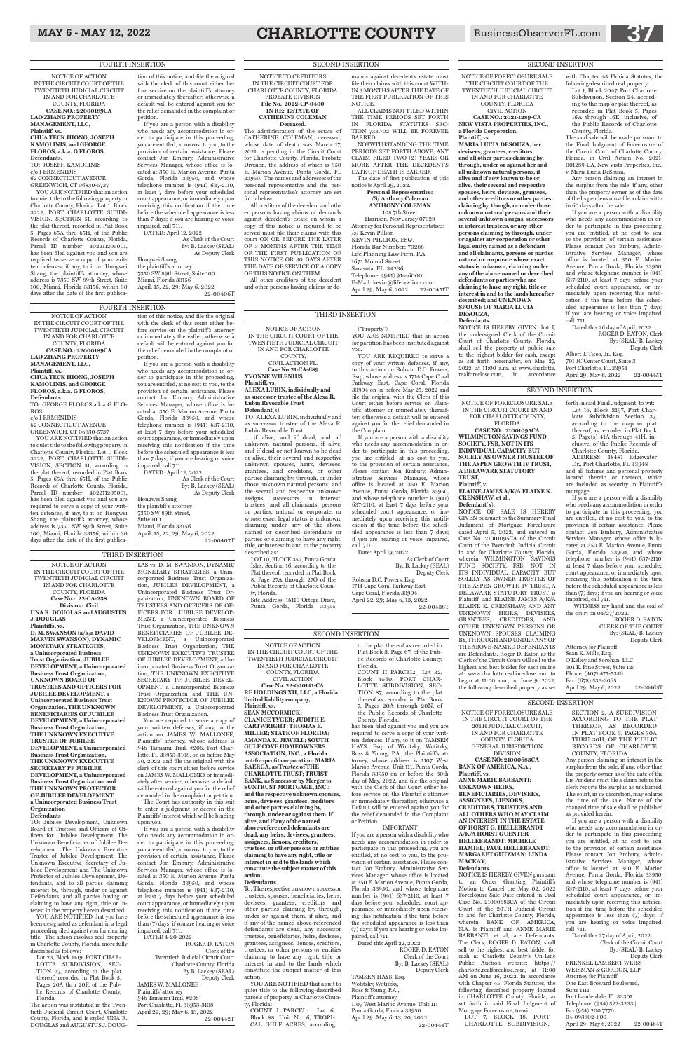NOTICE OF ACTION IN THE CIRCUIT COURT OF THE TWENTIETH JUDICIAL CIRCUIT IN AND FOR CHARLOTTE COUNTY, FLORIDA **CASE NO.: 22000189CA LAO ZHANG PROPERTY MANAGEMENT, LLC, Plaintiff, vs. CHUA TECK HIONG, JOSEPH KAMOLINIS, and GEORGE FLOROS, a.k.a. G FLOROS, Defendants.** TO: GEORGE FLOROS a.k.a G FLO-ROS c/o I ERMENIDIS

62 CONNECTICUT AVENUE GREENWICH, CT 06830-5737

YOU ARE NOTIFIED that an action to quiet title to the following property in Charlotte County, Florida: Lot 1, Block 3222, PORT CHARLOTTE SUBDI-VISION, SECTION 51, according to the plat thereof, recorded in Plat Book 5, Pages 65A thru 65H, of the Public Records of Charlotte County, Florida, Parcel ID number: 402211205001, has been filed against you and you are required to serve a copy of your written defenses, if any, to it on Hongwei Shang, the plaintiff's attorney, whose address is 7350 SW 89th Street, Suite 100, Miami, Florida 33156, within 30 days after the date of the first publica-

NOTICE OF ACTION IN THE CIRCUIT COURT OF THE TWENTIETH JUDICIAL CIRCUIT IN AND FOR CHARLOTTE COUNTY, FLORIDA **Case No.: 22-CA-238 Division: Civil UNA R. DOUGLAS and AUGUSTUS J. DOUGLAS Plaintiffs, vs. D. M. SWANSON (a/k/a DAVID MARVIN SWANSON), DYNAMIC MONETARY STRATEGIES, a Unincorporated Business Trust Organization, JUBILEE DEVELOPMENT, a Unincorporated Business Trust Organization, UNKNOWN BOARD OF TRUSTEES AND OFFICERS FOR JUBILEE DEVELOPMENT, a Unincorporated Business Trust Organization, THE UNKNOWN BENEFICIARIES OF JUBILEE DEVELOPMENT, a Unincorporated Business Trust Organization, THE UNKNOWN EXECUTIVE TRUSTEE OF JUBILEE DEVELOPMENT, a Unincorporated Business Trust Organization,<br>
THE INKNOWN EXECUTIVE** 

tion of this notice, and file the original with the clerk of this court either before service on the plaintiff's attorney or immediately thereafter; otherwise a default will be entered against you for the relief demanded in the complaint or petition. If you are a person with a disability who needs any accommodation in or-

#### **THE UNKNOWN SECRETARY PF JUBILEE DEVELOPMENT, a Unincorporated Business Trust Organization and THE UNKNOWN PROTECTOR OF JUBILEE DEVELOPMENT, a Unincorporated Business Trust Organization Defendants**

der to participate in this proceeding, you are entitled, at no cost to you, to the provision of certain assistance. Please contact Jon Embury, Administrative Services Manager, whose office is located at 350 E. Marion Avenue, Punta Gorda, Florida 33950, and whose telephone number is (941) 637-2110, at least 7 days before your scheduled court appearance, or immediately upon receiving this notification if the time before the scheduled appearance is less than 7 days; if you are hearing or voice impaired, call 711.

YOU ARE NOTIFIED that you have been designated as defendant in a legal proceeding filed against you for clearing title. The action involves real property in Charlotte County, Florida, more fully described as follows:

DATED: April 12, 2022 As Clerk of the Court By: B. Lackey (SEAL)

As Deputy Clerk Hongwei Shang the plaintiff 's attorney 7350 SW 89th Street,

Suite 100 Miami, Florida 33156 April. 15, 22, 29; May 6, 2022

22-00407T

### FOURTH INSERTION

TO: Jubilee Development, Unknown Board of Trustees and Officers of Officers for Jubilee Development, The Unknown Beneficiaries of Jubilee Development, The Unknown Executive Trustee of Jubilee Development, The Unknown Executive Secretary of Jubilee Development and The Unknown Protector of Jubilee Development, Defendants, and to all parties claiming interest by, through, under or against Defendants, and all parties having or claiming to have any right, title or interest in the property herein described.

Lot 23, Block 1419, PORT CHAR-LOTTE SUBDIVISION, SEC-TION 27, according to the plat thereof, recorded in Plat Book 5, Pages 20A thru 20F, of the Public Records of Charlotte County, Florida

The action was instituted in the Twentieth Judicial Circuit Court, Charlotte County, Florida, and is styled UNA R. DOUGLAS and AUGUSTUS J. DOUG-

LAS vs. D. M. SWANSON, DYNAMIC

MONETARY STRATEGIES, a Unincorporated Business Trust Organization, JUBILEE DEVELOPMENT, a Unincorporated Business Trust Organization, UNKNOWN BOARD OF TRUSTEES AND OFFICERS OF OF-FICERS FOR JUBILEE DEVELOP-MENT, a Unincorporated Business Trust Organization, THE UNKNOWN BENEFICIARIES OF JUBILEE DE-VELOPMENT, a Unincorporated Business Trust Organization, THE UNKNOWN EXECUTIVE TRUSTEE OF JUBILEE DEVELOPMENT, a Unincorporated Business Trust Organization, THE UNKNOWN EXECUTIVE SECRETARY PF JUBILEE DEVEL-OPMENT, a Unincorporated Business Trust Organization and THE UN-KNOWN PROTECTOR OF JUBILEE DEVELOPMENT, a Unincorporated

forth in said Final Judgment, to wit: Lot 16, Block 2197, Port Charlotte Subdivision Section 37, according to the map or plat thereof, as recorded in Plat Book 5, Page(s) 41A through 41H, inclusive, of the Public Records of Charlotte County, Florida. ADDRESS: 18481 Edgewater Dr., Port Charlotte, FL 33948 and all fixtures and personal property located therein or thereon, which are included as security in Plaintiff's

April 29; May 6, 2022 22-00445T

Business Trust Organization. You are required to serve a copy of your written defenses, if any, to the action on JAMES W. MALLONEE, Plaintiffs' attorney, whose address is 946 Tamiami Trail, #206, Port Charlotte, FL 33953-3108, on or before May 2, and file the original with the clerk of this court either before service on JAMES W. MALLONEE or immediately after service; otherwise, a default will be entered against you for the relief demanded in the complaint or petition. The Court has authority in this suit to enter a judgment or decree in the Plaintiffs' interest which will be binding upon you.

By: (SEAL) B. Lackey Deputy Clerk Attorney for Plaintiff: Sean K. Mills, Esq. O'Kelley and Sorohan, LLC 301 E. Pine Street, Suite 125 Phone: (407) 475-5350 Fax: (678) 533-3065 April 29; May 6, 2022 22-00465T

If you are a person with a disability who needs any accommodation in order to participate in this proceeding, you are entitled, at no cost to you, to the provision of certain assistance. Please contact Jon Embury, Administrative Services Manager, whose office is located at 350 E. Marion Avenue, Punta Gorda, Florida 33950, and whose telephone number is (941) 637-2110, at least 7 days before your scheduled court appearance, or immediately upon receiving this notification if the time before the scheduled appearance is less than (7) days; if you are hearing or voice impaired, call 711.

DATED 4-20-2022

#### ROGER D. EATON Clerk of the Twentieth Judicial Circuit Court Charlotte County, Florida By B. Lackey (SEAL) Deputy Clerk JAMES W. MALLONEE Plaintiffs' attorney 946 Tamiami Trail, #206 Port Charlotte, FL 33953-3108 April 22, 29; May 6, 13, 2022

22-00442T

THIRD INSERTION

NOTICE OF ACTION IN THE CIRCUIT COURT OF THE TWENTIETH JUDICIAL CIRCUIT IN AND FOR CHARLOTTE COUNTY, FLORIDA **CASE NO.: 22000189CA LAO ZHANG PROPERTY MANAGEMENT, LLC, Plaintiff, vs. CHUA TECK HIONG, JOSEPH KAMOLINIS, and GEORGE FLOROS, a.k.a. G FLOROS, Defendants.**

TO: JOSEPH KAMOLINIS c/o I ERMENIDIS 62 CONNECTICUT AVENUE GREENWICH, CT 06830-5737

> NOTICE OF FORECLOSURE SALE IN THE CIRCUIT COURT OF THE 20TH JUDICIAL CIRCUIT, IN AND FOR CHARLOTTE COUNTY, FLORIDA GENERAL JURISDICTION DIVISION **NO: 210006**

YOU ARE NOTIFIED that an action to quiet title to the following property in Charlotte County, Florida: Lot 1, Block 3222, PORT CHARLOTTE SUBDI-VISION, SECTION 51, according to the plat thereof, recorded in Plat Book 5, Pages 65A thru 65H, of the Public Records of Charlotte County, Florida, Parcel ID number: 402211205001, has been filed against you and you are required to serve a copy of your written defenses, if any, to it on Hongwei Shang, the plaintiff's attorney, whose address is 7350 SW 89th Street, Suite 100, Miami, Florida 33156, within 30 days after the date of the first publica-

#### tion of this notice, and file the original with the clerk of this court either before service on the plaintiff's attorney or immediately thereafter; otherwise a

default will be entered against you for the relief demanded in the complaint or petition. If you are a person with a disability who needs any accommodation in order to participate in this proceeding, you are entitled, at no cost to you, to the provision of certain assistance. Please contact Jon Embury, Administrative

> COUNTY, FLORIDA. w person claiming an in

Services Manager, whose office is located at 350 E. Marion Avenue, Punta Gorda, Florida 33950, and whose telephone number is (941) 637-2110, at least 7 days before your scheduled court appearance, or immediately upon receiving this notification if the time before the scheduled appearance is less than 7 days; if you are hearing or voice impaired, call 711. DATED: April 12, 2022

> Dated this 27 day of April, 2022. Clerk of the Circuit Court By: (SEAL) B. Lackey Deputy Clerk FRENKEL LAMBERT WEISS WEISMAN & GORDON, LLP Attorney for Plaintiff One East Broward Boulevard, Suite 1111 Fort Lauderdale, FL 33301 Telephone: (954) 522-3233 | Fax (954) 200 7770 04-093802-F00 April 29; May 6, 2022 22-00464T

As Clerk of the Court By: B. Lackey (SEAL) As Deputy Clerk

Hongwei Shang the plaintiff's attorney 7350 SW 89th Street, Suite 100 Miami, Florida 33156 April. 15, 22, 29; May 6, 2022

22-00406T

#### FOURTH INSERTION

NOTICE OF FORECLOSURE SALE IN THE CIRCUIT COURT IN AND FOR CHARLOTTE COUNTY,

FLORIDA **CASE NO.: 21001095CA WILMINGTON SAVINGS FUND SOCIETY, FSB, NOT IN ITS INDIVIDUAL CAPACITY BUT SOLELY AS OWNER TRUSTEE OF THE ASPEN GROWTH IV TRUST, A DELAWARE STATUTORY TRUST,**

#### **Plaintiff, v. ELAINE JAMES A/K/A ELAINE K. CRENSHAW, et al.,**

**Defendant(s).** NOTICE OF SALE IS HEREBY GIVEN pursuant to the Summary Final Judgment of Mortgage Foreclosure dated April 5, 2022, and entered in Case No. 21001095CA of the Circuit Court of the Twentieth Judicial Circuit in and for Charlotte County, Florida, wherein WILMINGTON SAVINGS FUND SOCIETY, FSB, NOT IN ITS INDIVIDUAL CAPACITY BUT SOLELY AS OWNER TRUSTEE OF THE ASPEN GROWTH IV TRUST, A DELAWARE STATUTORY TRUST is Plaintiff, and ELAINE JAMES A/K/A ELAINE K. CRENSHAW; AND ANY UNKNOWN HEIRS, DEVISEES, GRANTEES, CREDITORS, AND OTHER UNKNOWN PERSONS OR UNKNOWN SPOUSES CLAIMING BY, THROUGH AND UNDER ANY OF THE ABOVE-NAMED DEFENDANTS are Defendants. Roger D. Eaton as the Clerk of the Circuit Court will sell to the highest and best bidder for cash online at: www.charlotte.realforeclose.com to begin at 11:00 a.m., on June 9, 2022, the following described property as set

mortgage.

If you are a person with a disability who needs any accommodation in order to participate in this proceeding, you are entitled, at no cost to you, to the provision of certain assistance. Please contact Jon Embury, Administrative Services Manager, whose office is located at 350 E. Marion Avenue, Punta Gorda, Florida 33950, and whose telephone number is (941) 637-2110, at least 7 days before your scheduled court appearance, or immediately upon

receiving this notification if the time before the scheduled appearance is less than (7) days; if you are hearing or voice impaired, call 711. the court on 04/27/2022.

WITNESS my hand and the seal of

ROGER D. EATON CLERK OF THE COURT

YOU ARE NOTIFIED that an action for partition has been instituted against

NOTICE OF FORECLOSURE SALE THE CIRCUIT COURT OF THE TWENTIETH JUDICIAL CIRCUIT IN AND FOR CHARLOTTE COUNTY, FLORIDA

CIVIL ACTION **CASE NO.: 2021-1289-CA NEW VISTA PROPERTIES, INC., a Florida Corporation, Plaintiff, vs.** 

**MARIA LUCIA DESOUZA, her devisees, grantees, creditors, and all other parties claiming by, through, under or against her and all unknown natural persons, if alive and if now known to be or alive, their several and respective spouses, heirs, devisees, grantees, and other creditors or other parties claiming by, though, or under those unknown natural persons and their several unknown assigns, successors in interest trustees, or any other persons claiming by through, under or against any corporation or other legal entity named as a defendant and all claimants, persons or parties natural or corporate whose exact status is unknown, claiming under any of the above named or described defendants or parties who are claiming to have any right, title or interest in and to the lands hereafter described; and UNKNOWN SPOUSE OF MARIA LUCIA DESOUZA, Defendants.**

/s/ Kevin Pillion KEVIN PILLION, ESQ. Florida Bar Number: 70288 Life Planning Law Firm, P.A. 1671 Mound Street Sarasota, FL 34236 Telephone: (941) 914-6000 E-Mail: kevin@lifelawfirm.com April 29; May 6, 2022 22-00451T

NOTICE IS HEREBY GIVEN that I, the undersigned Clerk of the Circuit Court of Charlotte County, Florida, shall sell the property at public sale to the highest bidder for cash, except as set forth hereinafter, on May 27, 2022, at 11:00 a.m. at www.charlotte. realforeclose.com, in accordance

with Chapter 45 Florida Statutes, the following-described real property: Lot 1, Block 2047, Port Charlotte Subdivision, Section 24, according to the map or plat thereof, as recorded in Plat Book 5, Pages 16A through 16E, inclusive, of the Public Records of Charlotte

County, Florida

The said sale will be made pursuant to the Final Judgment of Foreclosure of the Circuit Court of Charlotte County, Florida, in Civil Action No. 2021- 001289-CA, New Vista Properties, Inc.,

v. Maria Lucia DeSouza.

Any person claiming an interest in the surplus from the sale, if any, other than the property owner as of the date of the lis pendens must file a claim with-

in 60 days after the sale.

If you are a person with a disability who needs any accommodation in order to participate in this proceeding, you are entitled, at no cost to you, to the provision of certain assistance. Please contact Jon Embury, Administrative Services Manager, whose office is located at 350 E. Marion Avenue, Punta Gorda, Florida 33950, and whose telephone number is (941) 637-2110, at least 7 days before your scheduled court appearance, or immediately upon receiving this notification if the time before the scheduled appearance is less than 7 days; if you are hearing or voice impaired,

call 711.

Dated this 26 day of April, 2022.

ROGER D. EATON, Clerk By: (SEAL) B. Lackey Deputy Clerk

Albert J. Tiseo, Jr., Esq. 701 JC Center Court, Suite 3 Port Charlotte, FL 33954

#### **BANK OF AMERICA, N.A., Plaintiff, vs.**

**ANNE MARIE BARBANTI; UNKNOWN HEIRS, BENEFICIARIES, DEVISEES, ASSIGNEES, LIENORS, CREDITORS, TRUSTEES AND ALL OTHERS WHO MAY CLAIM AN INTEREST IN THE ESTATE OF HORST G. HELLEBRANDT A/K/A HORST GUENTER HELLEBRANDT; MICHELE HAMIEL; PAUL HELLEBRANDT; MARGARET GUTZMAN; LINDA MACKAY,**

#### **Defendants.**

NOTICE IS HEREBY GIVEN pursuant to an Order Granting Plaintiff's Motion to Cancel the May 02, 2022 Foreclosure Sale Date entered in Civil Case No. 21000683CA of the Circuit Court of the 20TH Judicial Circuit in and for Charlotte County, Florida, wherein BANK OF AMERICA, N.A. is Plaintiff and ANNE MARIE BARBANTI, et al, are Defendants. The Clerk, ROGER D. EATON, shall sell to the highest and best bidder for cash at Charlotte County's On-Line Public Auction website: htttps:// charlotte.realforeclose.com, at 11:00 AM on June 16, 2022, in accordance with Chapter 45, Florida Statutes, the following described property located in CHARLOTTE County, Florida, as set forth in said Final Judgment of Mortgage Foreclosure, to-wit: LOT 7, BLOCK 18, PORT

CHARLOTTE SUBDIVISION,

SECTION 2, A SUBDIVISION ACCORDING TO THE PLAT THEREOF, AS RECORDED IN PLAT BOOK 3, PAGES 30A

THRU 30H, OF THE PUBLIC RECORDS OF CHARLOTTE

> surplus from the sale, if any, other than the property owner as of the date of the Lis Pendens must file a claim before the clerk reports the surplus as unclaimed. The court, in its discretion, may enlarge the time of the sale. Notice of the changed time of sale shall be published as provided herein.

If you are a person with a disability who needs any accommodation in order to participate in this proceeding, you are entitled, at no cost to you, to the provision of certain assistance. Please contact Jon Embury, Administrative Services Manager, whose office is located at 350 E. Marion Avenue, Punta Gorda, Florida 33950, and whose telephone number is (941) 637-2110, at least 7 days before your scheduled court appearance, or immediately upon receiving this notification if the time before the scheduled appearance is less than (7) days; if you are hearing or voice impaired, call 711.

SECOND INSERTION

#### SECOND INSERTION

SECOND INSERTION

NOTICE OF ACTION IN THE CIRCUIT COURT OF THE TWENTIETH JUDICIAL CIRCUIT IN AND FOR CHARLOTTE COUNTY, FLORIDA CIVIL ACTION **Case No. 22-000141-CA RE HOLDINGS XII, LLC, a Florida limited liability company, Plaintiff, vs.**

**SEAN MCCORMICK; CLANICE TYGER; JUDITH E. CARTWRIGHT; THOMAS E. MILLER; STATE OF FLORIDA; AMANDA K. JEWELL; SOUTH GULF COVE HOMEOWNERS ASSOCIATION, INC., a Florida**   $not$ -for-profit corporation; MAR<sup>1</sup> **BAERGA, as Trustee of THE CHARLOTTE TRUST; TRUIST BANK, as Successor by Merger to SUNTRUST MORTGAGE, INC.; and the respective unknown spouses, heirs, devisees, grantees, creditors and other parties claiming by, through, under or against them, if alive, and if any of the named above-referenced defendants are dead, any heirs, devisees, grantees, assignees, lienors, creditors, trustees, or other persons or entities claiming to have any right, title or interest in and to the lands which constitute the subject matter of this action,**

#### **Defendants.**

To: The respective unknown successor trustees, spouses, beneficiaries, heirs, devisees, grantees, creditors and other parties claiming by, through, under or against them, if alive, and if any of the named above-referenced defendants are dead, any successor trustees, beneficiaries, heirs, devisees, grantees, assignees, lienors, creditors, trustees, or other persons or entities claiming to have any right, title or interest in and to the lands which constitute the subject matter of this action,

YOU ARE NOTIFIED that a suit to quiet title to the following-described parcels of property in Charlotte County, Florida:

COUNT I PARCEL: Lot 6, Block 88, Unit No. 6, TROPI-CAL GULF ACRES, according

to the plat thereof as recorded in Plat Book 3, Page 67, of the Public Records of Charlotte County, Florida.

COUNT II PARCEL: Lot 32, Block 4560, PORT CHAR-LOTTE SUBDIVISION, SEC-TION 87, according to the plat thereof as recorded in Plat Book 7, Pages 20A through 20N, of the Public Records of Charlotte County, Florida.

has been filed against you and you are required to serve a copy of your written defenses, if any, to it on TAMSEN HAYS, Esq. of Wotitzky, Wotitzky, Ross & Young, P.A., the Plaintiff 's attorney, whose address is 1107 West Marion Avenue, Unit 111, Punta Gorda, Florida 33950 on or before the 30th day of May, 2022, and file the original with the Clerk of this Court either before service on the Plaintiff's attorney or immediately thereafter; otherwise a Default will be entered against you for the relief demanded in the Complaint or Petition..

#### IMPORTANT

If you are a person with a disability who needs any accommodation in order to participate in this proceeding, you are entitled, at no cost to you, to the provision of certain assistance. Please contact Jon Embury, Administrative Services Manager, whose office is located at 350 E. Marion Avenue, Punta Gorda, Florida 33950, and whose telephone number is (941) 637-2110, at least 7 days before your scheduled court appearance, or immediately upon receiving this notification if the time before the scheduled appearance is less than (7) days; if you are hearing or voice impaired, call 711.

Dated this April 22, 2022.

ROGER D. EATON Clerk of the Court By: B. Lackey (SEAL) Deputy Clerk

TAMSEN HAYS, Esq.

Wotitzky, Wotitzky, Ross & Young, P.A., Plaintiff's attorney 1107 West Marion Avenue, Unit 111 Punta Gorda, Florida 33950 April 29; May 6, 13, 20, 2022

22-00444T

SECOND INSERTION

NOTICE OF ACTION IN THE CIRCUIT COURT OF THE TWENTIETH JUDICIAL CIRCUIT IN AND FOR CHARLOTTE COUNTY, CIVIL ACTION FL. **Case No.21-CA-689 YVONNE WILENIUS Plaintiff, vs. ALEXA LUBIN, individually and as successor trustee of the Alexa R. Lubin Revocable Trust Defendant(s).** TO: ALEXA LUBIN, individually and as successor trustee of the Alexa R. Lubin Revocable Trust ... if alive, and if dead, and all

unknown natural persons, if alive, and if dead or not known to be dead or alive, their several and respective unknown spouses, heirs, devisees, grantees, and creditors, or other parties claiming by, through, or under those unknown natural persons; and the several and respective unknown assigns, successors in interest, trustees; and all claimants, persons or parties, natural or corporate, or whose exact legal status is unknown, claiming under any of the above named or described defendants or parties or claiming to have any right, title, or interest in and to the property described as:

LOT 10, BLOCK 352, Punta Gorda Isles, Section 16, according to the Plat thereof, recorded in Plat Book 8, Page 27A through 27O of the Public Records of Charlotte County, Florida. Site Address: 16110 Ortega Drive, Punta Gorda, Florida 33955

("Property")

you.

YOU ARE REQUIRED to serve a copy of your written defenses, if any, to this action on Robson D.C. Powers Esq., whose address is 1714 Cape Coral Parkway East, Cape Coral, Florida 33904 on or before May 25, 2022 and file the original with the Clerk of this Court either before service on Plaintiffs attorney or immediately thereafter; otherwise a default will be entered against you for the relief demanded in

the Complaint.

If you are a person with a disability who needs any accommodation in order to participate in this proceeding, you are entitled, at no cost to you, to the provision of certain assistance. Please contact Jon Embury, Administrative Services Manager, whose office is located at 350 E. Marion Avenue, Punta Gorda, Florida 33950,

and whose telephone number is (941) 637-2110, at least 7 days before your scheduled court appearance, or immediately upon receiving this notification if the time before the sched-

uled appearance is less than 7 days; if you are hearing or voice impaired, call 711.

Date: April 19, 2022

As Clerk of Court By: B. Lackey (SEAL) Deputy Clerk Robson D.C. Powers, Esq.

1714 Cape Coral Parkway East Cape Coral, Florida 33904 April 22, 29; May 6, 13, 2022 22-00438T

#### THIRD INSERTION

NOTICE TO CREDITORS IN THE CIRCUIT COURT FOR CHARLOTTE COUNTY, FLORIDA PROBATE DIVISION **File No. 2022-CP-0400 IN RE: ESTATE OF**

**CATHERINE COLEMAN Deceased.**

The administration of the estate of CATHERINE COLEMAN, deceased, whose date of death was March 17, 2021, is pending in the Circuit Court for Charlotte County, Florida, Probate Division, the address of which is 350 E. Marion Avenue, Punta Gorda, FL 33950. The names and addresses of the personal representative and the personal representative's attorney are set forth below.

All creditors of the decedent and other persons having claims or demands against decedent's estate on whom a copy of this notice is required to be served must file their claims with this court ON OR BEFORE THE LATER OF 3 MONTHS AFTER THE TIME OF THE FIRST PUBLICATION OF THIS NOTICE OR 30 DAYS AFTER THE DATE OF SERVICE OF A COPY OF THIS NOTICE ON THEM.

All other creditors of the decedent and other persons having claims or demands against decedent's estate must file their claims with this court WITH-IN 3 MONTHS AFTER THE DATE OF THE FIRST PUBLICATION OF THIS

NOTICE.

ALL CLAIMS NOT FILED WITHIN THE TIME PERIODS SET FORTH IN FLORIDA STATUTES SEC-TION 733.702 WILL BE FOREVER

BARRED.

NOTWITHSTANDING THE TIME PERIODS SET FORTH ABOVE, ANY CLAIM FILED TWO (2) YEARS OR MORE AFTER THE DECEDENT'S DATE OF DEATH IS BARRED. The date of first publication of this

notice is April 29, 2022.

**Personal Representative: /S/ Anthony Coleman ANTHONY COLEMAN** 108 7th Street Harrison, New Jersey 07029 Attorney for Personal Representative:

#### SECOND INSERTION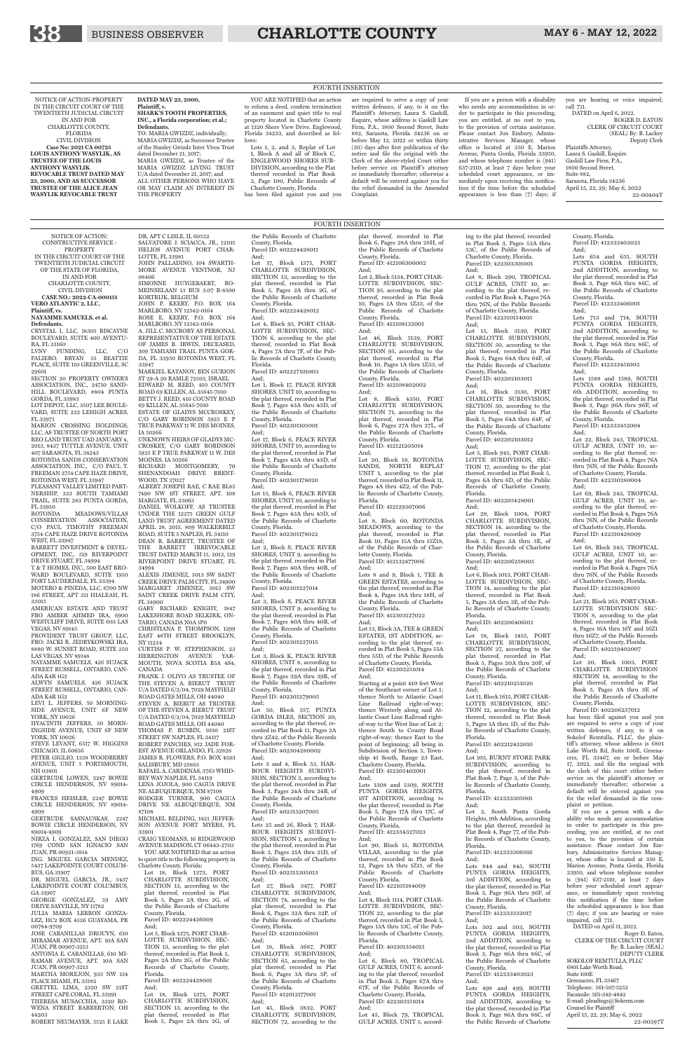NOTICE OF ACTION; CONSTRUCTIVE SERVICE - PROPERTY IN THE CIRCUIT COURT OF THE TWENTIETH JUDICIAL CIRCUIT OF THE STATE OF FLORIDA,

IN AND FOR CHARLOTTE COUNTY, CIVIL DIVISION

**CASE NO.: 2022-CA-000151**

**VERO ATLANTIC 2, LLC, Plaintiff, vs.**

**NAYAMME SAMUELS, et al.**

**Defendants.** CRYSTAL I, LLC, 18305 BISCAYNE BOULEVARD, SUITE 400 AVENTU-RA, FL 33160

LVNV FUNDING, LLC, C/O FALIERO, BRYAN 55 BEATTIE PLACE, SUITE 110 GREENVILLE, SC 29601

SECTION 20 PROPERTY OWNER'S ASSOCIATION, INC., 24710 SAND-HILL BOULEVARD, #804 PUNTA GORDA, FL 33983

MEADOWS/VILLAS CONSERVATION ASSOCIATION, C/O PAUL TIMOTHY FREEMAN 3754 CAPE HAZE DRIVE ROTONDA WEST, FL 33947

LOT DEPOT, LLC, 3507 LEE BOULE-VARD, SUITE 222 LEHIGH ACRES, FL 33971 MARION CROSSING HOLDINGS,

LLC, AS TRUSTEE OF NORTH PORT REO LAND TRUST UAD JANUARY 4, 2013, 8437 TUTTLE AVENUE, UNIT 407 SARASOTA, FL 34243

PROVIDENT TRUST GROUP, LLC, FBO: JACKI R. JEDRYKOWSKI IRA, 8880 W. SUNSET ROAD, SUITE 250 LAS VEGAS, NV 89148

ROTONDA SANDS CONSERVATION ASSOCIATION, INC., C/O PAUL T. FREEMAN 3754 CAPE HAZE DRIVE, ROTONDA WEST, FL 33947

PLEASANT VALLEY LIMITED PART-NERSHIP, 333 SOUTH TAMIAMI TRAIL, SUITE 283 PUNTA GORDA, FL 33950

BARRETT INVESTMENT & DEVEL-OPMENT, INC., 519 RIVERPOINT

DRIVE STUART, FL 34994 T & T HOMES, INC., 500 EAST BRO-WARD BOULEVARD, SUITE 1950

FORT LAUDERDALE, FL 33394 MOTERO & PINEDA, LLC, 6700 NW 186 STREET, APT 311 HIALEAH, FL

33015 AMERICAN ESTATE AND TRUST FBO AMBER AHMED IRA, 6900 WESTCLIFF DRIVE, SUITE 603 LAS VEGAS, NV 89145

NAYAMME SAMUELS, 426 SUJACK STREET RUSSELL, ONTARIO, CAN-ADA K4R 1G2

ST 29-A 20 RAMLE 72505, ISRAEL EDWARD M. REED, 410 COUNTY ROAD 69 KILLEN, AL 35645-7010 BETTY J. REED, 410 COUNTY ROAD 69 KILLEN, AL 35645-7010 ESTATE OF GLADYS MCCROSKEY.

ALWYN SAMUELS, 426 SUJACK STREET RUSSELL, ONTARIO, CAN-ADA K4R 1G2

LEVI L. JEFFERS, 50 MORNING-SIDE AVENUE, UNIT 6F NEW

YORK, NY 10026 HYACINTH JEFFERS, 50 MORN-INGSIDE AVENUE, UNIT 6F NEW

YORK, NY 10026 STEVE LEVANT, 6517 W. HIGGINS CHICAGO, IL 60656

PETER GIGLIO, 1338 WOODBERRY

AVENUE, UNIT 5 PORTSMOUTH, NH 03801 GERTRUDE LOWEN, 2247 BOWIE

CIRCLE HENDERSON, NV 89014- 4909

34994 ALEXIS JIMENEZ, 5013 SW SAINT CREEK DRIVE PALM CITY, FL 34900 MARGARET JIMENEZ, 5013 SW SAINT CREEK DRIVE PALM CITY,

FRANCES HEISLER, 2247 BOWIE CIRCLE HENDERSON, NV 89014- 4909

GERTRUDE SASNAUSKAS, 2247 BOWIE CIRCLE HENDERSON, NV 89014-4909

CHRISTIANA P. THOMPSON, 1299 EAST 48TH STREET BROOKLYN, NY 11234

NIRZA I. GONZALEZ, SAN DIEGO 1769 COND SAN IGNACIO SAN JUAN, PR 00921-3814

ING. MIGUEL GARCIA MENDEZ, 5437 LAKEPOINTE COURT COLUM-BUS, GA 31907

DR. MIGUEL GARCIA, JR., 5437 LAKEPOINTE COURT COLUMBUS, GA 31907

GEORGE GONZALEZ, 59 AMY DRIVE SAYVILLE, NY 11782 JULIA MARIA LEBRON GONZA-LEZ, HC2 BOX 4526 GUAYAMA, PR 00784-9709

JOSE CABANILLAS DROUYN, 610 MIRAMAR AVENUE, APT. 10A SAN JUAN, PR 00907-3213 ANTONIA E. CABANILLAS, 610 MI-RAMAR AVENUE, APT. 10A SAN JUAN, PR 00907-3213 MARTHA MOREJON, 933 NW 134 PLACE MIAMI, FL 33182 GRETTEL LIMA, 2320 SW 21ST STREET CAPE CORAL, FL 33991 THERESA MUSACCHIA, 3320 RO-WENA STREET BARBERTON, OH 44203 ROBERT NEUMAYER, 5525 E LAKE

DR, APT C LISLE, IL 60532 SALVATORE J. SCIACCA, JR., 12105 HELIOS AVENUE PORT CHAR-LOTTE, FL 33981 JOHN PALLADINO, 104 SWARTH-MORE AVENUE VENTNOR, NJ 08406

SIMONNE HUYGEBAERT, RO-MEINSELAAN 13 BUS 3.07 B-8500 KORTRIJK, BELGIUM JOHN P. KEERY, P.O. BOX 164

MARLBORO, NY 12542-0164 ROSE E. KEERY, P.O. BOX 164 MARLBORO, NY 12542-0164 A. JILL C. MCCRORY AS PERSONAL REPRESENTATIVE OF THE ESTATE OF JAMES B. IRWIN, DECEASED,

309 TAMIAMI TRAIL PUNTA GOR-DA, FL 33950 ROTONDA WEST, FL 33947 MARKIEL KATANOV, BEN GURION

C/O GARY ROBINSON 5925 E P TRUE PARKWAY 11 W. DES MOINES, IA 50266 UNKNOWN HEIRS OF GLADYS MC-

CROSKEY, C/O GARY ROBINSON 5925 E P TRUE PARKWAY 11 W. DES MOINES, IA 50266

RICHARD MONTGOMERY, 70 SHENANDOAH DRIVE BRENT-WOOD, TN 37027

ALBERT JOSEPH RAE, C RAE BL85 7490 NW 1ST STREET, APT. 108 MARGATE, FL 33063

DANIEL WOLKOFF, AS TRUSTEE UNDER THE 12275 GREEN GULF LAND TRUST AGREEMENT DATED APRIL 28, 2015, 809 WALKERBILT ROAD, SUITE 5 NAPLES, FL 34110 DEAN R. BARRETT, TRUSTEE OF THE BARRETT IRREVOCABLE TRUST DATED MARCH 15, 2013, 519 RIVERPOINT DRIVE STUART, FL

FL 34900 GARY RICHARD KNIGHT, 1847 LAKESHORE ROAD SELKIRK, ON-TARIO, CANADA N0A 1P0

CURTISS P. W. STEPHENSON, 23 HERRINGTON AVENUE YAR-MOUTH, NOVA SCOTIA B5A 4S4, CANADA

FRANK J. OLIVO AS TRUSTEE OF THE STEVEN A. BIERUT TRUST U/A DATED 6/2/04, 7029 MAYFIELD ROAD GATES MILLS, OH 44040 STEVEN A. BIERUT AS TRUSTEE OF THE STEVEN A. BIERUT TRUST U/A DATED 6/2/04, 7029 MAYFIELD ROAD GATES MILLS, OH 44040 THOMAS P. BUSBIN, 1030 21ST STREET SW NAPLES, FL 34117

Lot 8, Block 60, ROTONDA MEADOWS, according to the plat thereof, recorded in Plat Book 10, Pages 15A thru 15Z18, of the Public Records of Charlotte County, Florida. Parcel ID: 412132477006 And; Lots 8 and 9, Block 1, TEE & GREEN ESTATES, according to the plat thereof, recorded in Plat Book 4, Pages 18A thru 18H, of the Public Records of Charlotte County, Florida. Parcel ID: 412303127022 And; Lot 13, Block 3A, TEE & GREEN

ROBERT PANCHES, 812 JADE FOR-EST AVENUE ORLANDO, FL 32828 JAMES R. FLOWERS, P.O. BOX 4593 SALISBURY, MD 21803 RAFAEL A. CARDENAS, 3763 WHID-BEY WAY NAPLES, FL 34119 LENA JOJOLA, 900 CAGUA DRIVE NE ALBUQUERQUE, NM 87108 RODGER TURNER, 900 CAGUA DRIVE NE ALBUQUERQUE, NM 87108 MICHAEL BELDING, 1421 JEFFER-SON AVENUE FORT MYERS, FL 33901 CRAIG YEOMANS, 16 RIDGEWOOD AVENUE MADISON, CT 06443-2703 YOU ARE NOTIFIED that an action to quiet title to the following property in Charlotte County, Florida: Lot 18, Block 1373, PORT CHARLOTTE SUBDIVISION, SECTION 13, according to the plat thereof, recorded in Plat Book 5, Pages 2A thru 2G, of the Public Records of Charlotte County, Florida. Parcel ID: 402224426009 And; Lot 5, Block 1375, PORT CHAR-LOTTE SUBDIVISION, SEC-TION 13, according to the plat thereof, recorded in Plat Book 5, Pages 2A thru 2G, of the Public Records of Charlotte County, Florida. Parcel ID: 402224428001 And;

Lot 18, Block 1375, PORT CHARLOTTE SUBDIVISION, SECTION 13, according to the plat thereof, recorded in Plat Book 5, Pages 2A thru 2G, of SECTION 13, according to the plat thereof, recorded in Plat Book 5, Pages 2A thru 2G, of the Public Records of Charlotte County, Florida. Parcel ID: 402224428012

And; Lot 4, Block 95, PORT CHAR-LOTTE SUBDIVISION, SEC-TION 6, according to the plat thereof, recorded in Plat Book 4, Pages 7A thru 7F, of the Public Records of Charlotte County, Florida.

Parcel ID: 402227101003

And; Lot 1, Block 17, PEACE RIVER SHORES, UNIT 10, according to the plat thereof, recorded in Plat Book 7, Pages 43A thru 43D, of the Public Records of Charlotte County, Florida. Parcel ID: 402301105001

And; Lot 17, Block 6, PEACE RIVER SHORES, UNIT 10, according to the plat thereof, recorded in Plat Book 7, Pages 43A thru 43D, of the Public Records of Charlotte County, Florida.

Parcel ID: 402301178020 And;

> And; Lot 105, BURNT STORE PARK

Lot 15, Block 6, PEACE RIVER SHORES, UNIT 10, according to the plat thereof, recorded in Plat Book 7, Pages 43A thru 43D, of the Public Records of Charlotte County, Florida. Parcel ID: 402301178022

> SUBDIVISION, according to the plat thereof, recorded in Plat Book 7, Page 3, of the Public Records of Charlotte County, Florida.

And;

Lot 2, Block S, PEACE RIVER SHORES, UNIT 9, according to the plat thereof, recorded in Plat Book 7, Pages 40A thru 40B, of the Public Records of Charlotte County, Florida. Parcel ID: 402301227014

> Lots 844 and 845, SOUTH PUNTA GORDA HEIGHTS, 3rd ADDITION, according to the plat thereof, recorded in Plat Book 3, Page 96A thru 96F, of the Public Records of Charlotte County, Florida.

And; Lot 3, Block S, PEACE RIVER SHORES, UNIT 9, according to

> Lots 502 and 503, SOUTH PUNTA GORDA HEIGHTS, 2nd ADDITION, according to the plat thereof, recorded in Plat Book 3, Page 86A thru 86C, of the Public Records of Charlotte County, Florida. Parcel ID: 412333403023 And;

the plat thereof, recorded in Plat Book 7, Pages 40A thru 40B, of the Public Records of Charlotte County, Florida. Parcel ID: 402301227015

And; Lot 3, Block K, PEACE RIVER SHORES, UNIT 8, according to the plat thereof, recorded in Plat Book 7, Pages 39A thru 39B, of the Public Records of Charlotte County, Florida. Parcel ID: 402301279005

And; Lot 50, Block 557, PUNTA

GORDA ISLES, SECTION 20, according to the plat thereof, recorded in Plat Book 11, Pages 2A thru 2Z42, of the Public Records of Charlotte County, Florida. Parcel ID: 402304280002 And;

Lots 3 and 4, Block 53, HAR-BOUR HEIGHTS SUBDIVI-SION, SECTION 3, according to the plat thereof, recorded in Plat Book 3, Pages 24A thru 24B, of the Public Records of Charlotte County, Florida. Parcel ID: 402315207005

And; Lots 25 and 26, Block 7, HAR-BOUR HEIGHTS SUBDIVI-

SION, SECTION 1, according to the plat thereof, recorded in Plat Book 3, Pages 21A thru 21D, of the Public Records of Charlotte County, Florida.

Parcel ID: 402315305013 And;

Lot 27, Block 3477, PORT CHARLOTTE SUBDIVISION SECTION 74, according to the plat thereof, recorded in Plat Book 6, Pages 32A thru 32P, of the Public Records of Charlotte County, Florida. Parcel ID: 412010306001

And;

Lot 18, Block 3687, PORT CHARLOTTE SUBDIVISION, SECTION 65, according to the plat thereof, recorded in Plat Book 6, Pages 3A thru 3P, of the Public Records of Charlotte County, Florida. Parcel ID: 412012177001 And; Lot 45, Block 3832, PORT

CHARLOTTE SUBDIVISION, SECTION 72, according to the plat thereof, recorded in Plat Book 6, Pages 28A thru 28H, of the Public Records of Charlotte County, Florida. Parcel ID: 412106306002 And;

Lot 2, Block 5134, PORT CHAR-LOTTE SUBDIVISION, SEC-TION 95, according to the plat thereof, recorded in Plat Book 10, Pages 1A thru 1Z33, of the Public Records of Charlotte County, Florida. Parcel ID: 412108132001 And;

Lot 46, Block 5139, PORT CHARLOTTE SUBDIVISION, SECTION 95, according to the plat thereof, recorded in Plat Book 10, Pages 1A thru 1Z33, of the Public Records of Charlotte County, Florida.

Parcel ID: 412108402002 And;

Lot 8, Block 4350, PORT CHARLOTTE SUBDIVISION, SECTION 71, according to the plat thereof, recorded in Plat Book 6, Pages 27A thru 27L, of the Public Records of Charlotte County, Florida. Parcel ID: 412121205014

And; Lot 20, Block 18, ROTONDA SANDS, NORTH REPLAT UNIT 1, according to the plat thereof, recorded in Plat Book 11, Pages 4A thru 4Z2, of the Public Records of Charlotte County, Florida.

Parcel ID: 412129307006 And;

ESTATES, 1ST ADDITION, according to the plat thereof, recorded in Plat Book 5, Pages 55A thru 55D, of the Public Records of Charlotte County, Florida. Parcel ID: 412303251014 And;

Starting at a point 410 feet West of the Southeast corner of Lot 1; thence North to Atlantic Coast Line Railroad right-of-way; thence Westerly along said Atlantic Coast Line Railroad rightof-way to the West line of Lot 2; thence South to County Road right-of-way; thence East to the point of beginning; all being in Subdivision of Section 5, Township 41 South, Range 23 East,

Charlotte County, Florida. Parcel ID: 412305402001 And;

Lots 1308 and 1309, SOUTH PUNTA GORDA HEIGHTS, 1ST ADDITION, according to the plat thereof, recorded in Plat Book 5, Pages 17A thru 17C, of the Public Records of Charlotte County, Florida. Parcel ID: 412334327023 And;

Lot 90, Block 15, ROTONDA VILLAS, according to the plat thereof, recorded in Plat Book 12, Pages 1A thru 1Z15, of the Public Records of Charlotte County, Florida. Parcel ID: 422105184009

And; Lot 4, Block 1114, PORT CHAR-LOTTE SUBDIVISION, SEC-TION 22, according to the plat thereof, recorded in Plat Book 5, Pages 13A thru 13C, of the Public Records of Charlotte County, Florida.

Parcel ID: 402101354013 And;

Lot 6, Block 80, TROPICAL GULF ACRES, UNIT 6, according to the plat thereof, recorded in Plat Book 3, Pages 67A thru 67F, of the Public Records of Charlotte County, Florida. Parcel ID: 422303151014

And;

Lot 45, Block 79, TROPICAL GULF ACRES, UNIT 5, according to the plat thereof, recorded in Plat Book 3, Pages 53A thru 53C, of the Public Records of Charlotte County, Florida. Parcel ID: 422303301001 And;

Lot 8, Block 290, TROPICAL GULF ACRES, UNIT 10, according to the plat thereof, recorded in Plat Book 4, Pages 76A thru 76N, of the Public Records of Charlotte County, Florida. Parcel ID: 422310154005 And;

Lot 15, Block 3130, PORT CHARLOTTE SUBDIVISION, SECTION 50, according to the plat thereof, recorded in Plat Book 5, Pages 64A thru 64F, of the Public Records of Charlotte County, Florida. Parcel ID: 402202103011

And; Lot 16, Block 3130, PORT CHARLOTTE SUBDIVISION, SECTION 50, according to the plat thereof, recorded in Plat Book 5, Pages 64A thru 64F, of the Public Records of Charlotte County, Florida. Parcel ID: 402202103012

And; Lot 5, Block 945, PORT CHAR-LOTTE SUBDIVISION, SEC-TION 17, according to the plat thereof, recorded in Plat Book 5, Pages 6A thru 6D, of the Public Records of Charlotte County, Florida. Parcel ID: 402205428001

And; Lot 28, Block 1004, PORT CHARLOTTE SUBDIVISION, SECTION 14, according to the plat thereof, recorded in Plat Book 5, Pages 3A thru 3E, of the Public Records of Charlotte County, Florida. Parcel ID: 402206258005 And;

Lot 6, Block 1013, PORT CHAR-LOTTE SUBDIVISION, SEC-TION 14, according to the plat thereof, recorded in Plat Book 5, Pages 3A thru 3E, of the Public Records of Charlotte County, Florida. Parcel ID: 402206406011

the Public Records of Charlotte County, Florida. Parcel ID: 402224428011 And; Lot 17, Block 1375, PORT CHARLOTTE SUBDIVISION, FOURTH INSERTION

And;

Lot 18, Block 1455, PORT CHARLOTTE SUBDIVISION, SECTION 27, according to the plat thereof, recorded in Plat Book 5, Pages 20A thru 20F, of the Public Records of Charlotte County, Florida. Parcel ID: 402210251020

And; Lot 11, Block 1615, PORT CHAR-LOTTE SUBDIVISION, SEC-TION 12, according to the plat thereof, recorded in Plat Book 5, Pages 1A thru 1D, of the Public Records of Charlotte County, Florida. Parcel ID: 402212432010

Parcel ID: 412333305001 And;

Lot 2, South Punta Gorda Heights, 9th Addition, according to the plat thereof, recorded in Plat Book 4, Page 77, of the Public Records of Charlotte County, Florida.

Parcel ID: 412333306016 And;

Parcel ID: 412333332017 And;

Lots 498 and 499, SOUTH PUNTA GORDA HEIGHTS, 2nd ADDITION, according to the plat thereof, recorded in Plat Book 3, Page 86A thru 86C, of the Public Records of Charlotte

County, Florida. Parcel ID: 412333403025 And;

Lots 654 and 655, SOUTH PUNTA GORDA HEIGHTS, 2nd ADDITION, according to the plat thereof, recorded in Plat Book 3, Page 86A thru 86C, of the Public Records of Charlotte County, Florida. Parcel ID: 412333406001

And; Lots 713 and 714, SOUTH PUNTA GORDA HEIGHTS, 2nd ADDITION, according to the plat thereof, recorded in Plat

Book 3, Page 86A thru 86C, of the Public Records of Charlotte County, Florida. Parcel ID: 412333451003 And;

Lots 1588 and 1589, SOUTH PUNTA GORDA HEIGHTS, 6th ADDITION, according to the plat thereof, recorded in Plat Book 3, Page 96A thru 96F, of the Public Records of Charlotte County, Florida. Parcel ID: 412333452004

And; Lot 22, Block 243, TROPICAL GULF ACRES, UNIT 10, according to the plat thereof, recorded in Plat Book 4, Pages 76A thru 76N, of the Public Records of Charlotte County, Florida. Parcel ID: 422310280004 And;

Lot 69, Block 243, TROPICAL GULF ACRES, UNIT 10, according to the plat thereof, recorded in Plat Book 4, Pages 76A thru 76N, of the Public Records of Charlotte County, Florida. Parcel ID: 422310428009 And;

Lot 68, Block 243, TROPICAL GULF ACRES, UNIT 10, according to the plat thereof, recorded in Plat Book 4, Pages 76A thru 76N, of the Public Records of Charlotte County, Florida. Parcel ID: 422310428010

And; Lot 21, Block 263, PORT CHAR-LOTTE SUBDIVISION SEC-TION 8, according to the plat thereof, recorded in Plat Book 4, Pages 16A thru 16Y and 16Z1 thru 16Z7, of the Public Records of Charlotte County, Florida. Parcel ID: 402219402007 And;

Lot 20, Block 1003, PORT CHARLOTTE SUBDIVISION SECTION 14, according to the plat thereof, recorded in Plat Book 5, Pages 3A thru 3E of the Public Records of Charlotte County, Florida. Parcel ID: 402206257012

has been filed against you and you are required to serve a copy of your written defenses, if any, to it on Sokolof Remtulla, PLLC, the plaintiff's attorney, whose address is 6801 Lake Worth Rd, Suite 100E, Greenacres, FL 33467, on or before May

17, 2022, and file the original with the clerk of this court either before service on the plaintiff's attorney or immediately thereafter; otherwise a default will be entered against you for the relief demanded in the complaint or petition.

If you are a person with a disability who needs any accommodation in order to participate in this proceeding, you are entitled, at no cost to you, to the provision of certain assistance. Please contact Jon Embury, Administrative Services Manager, whose office is located at 350 E. Marion Avenue, Punta Gorda, Florida 33950, and whose telephone number is (941) 637-2110, at least 7 days before your scheduled court appearance, or immediately upon receiving this notification if the time before the scheduled appearance is less than (7) days; if you are hearing or voice impaired, call 711.

DATED on April 11, 2022.

Roger D. Eaton, CLERK OF THE CIRCUIT COURT By: B. Lackey (SEAL) DEPUTY CLERK SOKOLOF REMTULLA, PLLC 6801 Lake Worth Road, Suite 100E Greenacres, FL 33467 Telephone: 561-507-5252 Facsimile: 561-342-4842 E-mail: pleadings@Sokrem.com Counsel for Plaintiff April 15, 22, 29; May 6, 2022 22-00397T

NOTICE OF ACTION-PROPERTY IN THE CIRCUIT COURT OF THE TWENTIETH JUDICIAL CIRCUIT IN AND FOR CHARLOTTE COUNTY, FLORIDA CIVIL DIVISION **Case No: 2021 CA 00725 LOUIS ANTHONY WASYLIK, AS TRUSTEE OF THE LOUIS ANTHONY WASYLIK REVOCABLE TRUST DATED MAY 23, 2000, AND AS SUCCESSOR TRUSTEE OF THE ALICE JEAN WASYLIK REVOCABLE TRUST** 

#### **DATED MAY 23, 2000, Plaintiff, v. SHARK'S TOOTH PROPERTIES, INC., a Florida corporation; et al.; Defendants.**

TO: MARIA GWIZDZ, individually; MARIA GWIZDZ, as Successor Trustee of the Stanley Gwizdz Inter Vivos Trust dated December 21, 2017; MARIA GWIZDZ, as Trustee of the MARIA GWIZDZ LIVING TRUST U/A dated December 21, 2017; and ALL OTHER PERSONS WHO HAVE OR MAY CLAIM AN INTEREST IN THE PROPERTY

YOU ARE NOTIFIED that an action to reform a deed, confirm termination of an easement and quiet title to real property located in Charlotte County at 1320 Shore View Drive, Englewood, Florida 34233, and described as follows:

Lots 1, 2, and 3, Replat of Lot 1, Block A and all of Block C, ENGLEWOOD SHORES SUB-DIVISION, according to the Plat thereof recorded in Plat Book 2, Page 100, Public Records of Charlotte County, Florida has been filed against you and you

are required to serve a copy of your written defenses, if any, to it on the Plaintiff 's Attorney, Laura S. Gaskill, Esquire, whose address is Gaskill Law Firm, P.A., 1800 Second Street, Suite 882, Sarasota, Florida 34236 on or before May 12, 2022 or within thirty (30) days after first publication of the notice and file the original with the Clerk of the above-styled Court either before service on Plaintiff's attorney or immediately thereafter; otherwise a default will be entered against you for the relief demanded in the Amended Complaint.

If you are a person with a disability who needs any accommodation in order to participate in this proceeding, you are entitled, at no cost to you, to the provision of certain assistance. Please contact Jon Embury, Administrative Services Manager, whose office is located at 350 E. Marion Avenue, Punta Gorda, Florida 33950, and whose telephone number is (941) 637-2110, at least 7 days before your scheduled court appearance, or immediately upon receiving this notification if the time before the scheduled appearance is less than (7) days; if you are hearing or voice impaired, call 711. DATED on April 6, 2022.

ROGER D. EATON CLERK OF CIRCUIT COURT (SEAL) By: B. Lackey Deputy Clerk Plaintiffs Attorney, Laura S. Gaskill, Esquire Gaskill Law Firm, P.A.,

1800 Second Street, Suite 882, Sarasota, Florida 34236 April 15, 22, 29; May 6, 2022

22-00404T

FOURTH INSERTION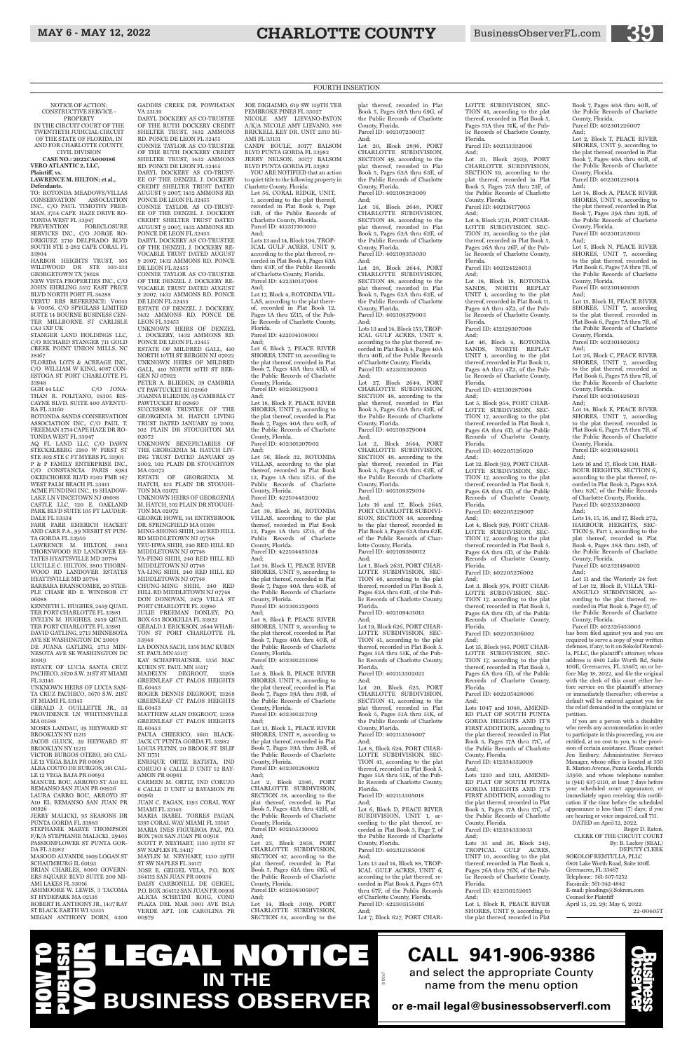NOTICE OF ACTION; CONSTRUCTIVE SERVICE -

**PROPERTY** IN THE CIRCUIT COURT OF THE TWENTIETH JUDICIAL CIRCUIT OF THE STATE OF FLORIDA, IN AND FOR CHARLOTTE COUNTY, CIVIL DIVISION

**CASE NO.: 2022CA000186 VERO ATLANTIC 2, LLC, Plaintiff, vs.** 

PREVENTION FORECLOSURE SERVICES INC., C/O JORGE RO-DRIGUEZ 2710 DELPRADO BLVD SOUTH STE 2-282 CAPE CORAL FL 33904

#### **LAWRENCE M. HILTON; et al., Defendants.**

TO: ROTONDA MEADOWS/VILLAS CONSERVATION ASSOCIATION INC., C/O PAUL TIMOTHY FREE-MAN, 3754 CAPE HAZE DRIVE RO-TONDA WEST FL 33947

C/O JONA-THAN R. POLITANO, 18305 BIS-CAYNE BLVD. SUITE 400 AVENTU-RA FL 33160

HARBOR HEIGHTS TRUST, 105 WILDWOOD DR STE 103-133 GEORGETOWN TX 78628

AQ FL LAND LLC, C/O DAWN STECKELBERG 2180 W FIRST ST STE 302 STE C FT MYERS FL 33901 P & P FAMILY ENTERPRISE INC. C/O CONSTANCIA PARIS 8983 OKEECHOBEE BLVD #202 PMB 167 WEST PALM BEACH FL 33411

NEW VISTA PROPERTIES INC., C/O JOHN EHRLING 5557 EAST PRICE BLVD NORTH PORT FL 34288

VERTU RBS REFERENCE: V0055 & V0056, C/O SPYGLASS LIMITED SUITE 14 BOURNE BUSINESS CEN-TER MILLBORNE ST CARLISLE CA3 5XF UK

STANGER LAND HOLDINGS LLC, C/O RICHARD STANGER 711 GOLD CREEK POINT UNION MILLS, NC 28167

FLORIDA LOTS & ACREAGE INC... C/O WILLIAM W KING, 4087 CON-ESTOGA ST PORT CHARLOTTE FL 33948<br>GGH 44 LLC

ESTATE OF LUCIA SANTA CRUZ PACHECO, 3670 S.W. 21ST ST MIAMI FL 33145 UNKNOWN HEIRS OF LUCIA SAN-

ROTONDA SANDS CONSERVATION ASSOCIATION INC., C/O PAUL T. FREEMAN 3754 CAPE HAZE DR RO-TONDA WEST FL 33947

LE 12 VEGA BAJA PR 00693 ALBA COUTO DE BURGOS, 261 CAL-LE 12 VEGA BAJA PR 00693 MANUEL BOU, ARROYO ST A10 EL REMANSO SAN JUAN PR 00926 LAURA CARRO BOU, ARROYO ST A10 EL REMANSO SAN JUAN PR 00926 JERRY MALICKI, 95 SEASONS DR PUNTA GORDA FL 33983 STEPHANIE MARYE THOMPSON F/K/A STEPHANIE MALICKI, 29405 PASSIONFLOWER ST PUNTA GOR-DA FL 33982 MASOOD ALVANDI, 1409 LOGAN ST SCHAUMBURG IL 60193 BRIAN CHARLES, 8000 GOVERN-ERS SQUARE BLVD SUITE 200 MI-AMI LAKES FL 33016 ASHMOORE W. LEWIS, 3 TACOMA ST HYDEPARK MA 02136 ROBERT H. ANTHONY JR., 1437 RAY ST BLACK EARTH WI 53515 MEGAN ANTHONY DORN, 4300

ACME FUNDING INC., 19 SHADOW-LAKE LN VINCETOWN NJ 08088 CASTLE LLC, 120 E. OAKLAND PARK BLVD SUITE 105 FT LAUDER-

DALE FL 33334 FARR FARR EMERICH HACKET AND CARR P.A., 99 NESBIT ST PUN-

TA GORDA FL 33950 LAWRENCE M. HILTON, 3803

THORNWOOD RD LANDOVER ES-TATES HYATTSVILLE MD 20784 LUCILLE C. HILTON, 3803 THORN-WOOD RD LANDOVER ESTATES

HYATTSVILLE MD 20784 BARBARA BRANSCOMBE, 20 STEE-

PLE CHASE RD E. WINDSOR CT 06088 KENNETH L. HUGHES, 2459 QUAIL

TER PORT CHARLOTTE FL 33981 EVELYN M. HUGHES, 2459 QUAIL TER PORT CHARLOTTE FL 33981 DAVID GATLING, 2713 MINNESOTA AVE SE WASHINGTON DC 20019 DE JUANA GATLING, 2713 MIN-NESOTA AVE SE WASHINGTON DC 20019

TA CRUZ PACHECO, 3670 S.W. 21ST ST MIAMI FL 33145

GERALD J. OUILLETTE JR., 33 PROVIDENCE LN WHITINSVILLE

MA 01588 MOSES LANDAU, 39 HEYWARD ST BROOKLYN NY 11211

JACOB GLUCK, 39 HEYWARD ST BROOKLYN NY 11211 VICTOR BURGOS OTERO, 261 CAL-

PAULA CHIERICO, 5601 BLACK-JACK CT PUNTA GORDA FL 33982 LOUIS FLYNN, 20 BROOK ST. ISLIP

GADDES CREEK DR. POWHATAN VA 23139

> JERRY NELSON, 30177 BALSOM BLVD PUNTA GORDA FL 33982 YOU ARE NOTIFIED that an action

RD. PONCE DE LEON FL 32455

SHELTER TRUST, 1432 AMMONS RD. PONCE DE LEON FL 32455 DARYL DOCKERY AS CO-TRUST-EE OF THE DENZEL J. DOCKERY CREDIT SHELTER TRUST DATED AUGUST 9 2007, 1432 AMMONS RD. PONCE DE LEON FL 32455 CONNIE TAYLOR AS CO-TRUST-EE OF THE DENZEL J. DOCKERY CREDIT SHELTER TRUST DATED AUGUST 9 2007, 1432 AMMONS RD. PONCE DE LEON FL 32455 DARYL DOCKERY AS CO-TRUSTEE OF THE DENZEL J. DOCKERY RE-VOCABLE TRUST DATED AUGUST 9 2007, 1432 AMMONS RD. PONCE

DE LEON FL 32455

CONNIE TAYLOR AS CO-TRUSTEE OF THE DENZEL J. DOCKERY RE-VOCABLE TRUST DATED AUGUST 9 2007, 1432 AMMONS RD. PONCE

DE LEON FL 32455

ESTATE OF DENZEL J. DOCKERY, 1432 AMMONS RD. PONCE DE

LEON FL 32455

UNKNOWN HEIRS OF DENZEL DOCKERY, 1432 AMMONS RD. PONCE DE LEON FL 32455 ESTATE OF MILDRED GALL, 410 NORTH 10TH ST BERGEN NJ 07022 UNKNOWN HEIRS OF MILDRED GALL, 410 NORTH 10TH ST BER-

GEN NJ 07022

PETER A. BLIEDEN, 39 CAMBRIA CT PAWTUCKET RI 02860 JOANNA BLIEDEN, 39 CAMBRIA CT

PAWTUCKET RI 02860

SUCCESSOR TRUSTEE OF THE GEORGENIA M. HATCH LIVING TRUST DATED JANUARY 29 2002, 102 PLAIN DR STOUGHTON MA

02072

UNKNOWN BENEFICIARIES OF THE GEORGENIA M. HATCH LIV-ING TRUST DATED JANUARY 29 2002, 102 PLAIN DR STOUGHTON

MA 02072

ESTATE OF GEORGENIA M. HATCH, 102 PLAIN DR STOUGH-

TON MA 02072

UNKNOWN HEIRS OF GEORGENIA M. HATCH, 102 PLAIN DR STOUGH-

TON MA 02072

GEORGE HOWE, 141 ENTRYBROOK DR. SPRINGFIELD MA 01108 MING-SHONG SHIH, 240 RED HILL RD MIDDLETOWN NJ 07748 YEU-HWA SHIH, 240 RED HILL RD MIDDLETOWN NJ 07748

DARYL DOCKERY AS CO-TRUSTEE OF THE RUTH DOCKERY CREDIT SHELTER TRUST, 1432 AMMONS CONNIE TAYLOR AS CO-TRUSTEE OF THE RUTH DOCKERY CREDIT JOE DIGIAIMO, 619 SW 159TH TER PEMBROKE PINES FL 33027 NICOLE AMY LIEVANO-PATON A/K/A NICOLE AMY LIEVANO, 888 BRICKELL KEY DR. UNIT 2310 MI-AMI FL 33131 CANDY BOULE, 30177 BALSOM BLVD PUNTA GORDA FL 33982

YA-FENG SHIH, 240 RED HILL RD

MIDDLETOWN NJ 07748 YA-LING SHIH, 240 RED HILL RD MIDDLETOWN NJ 07748

CHUNG-MING SHIH, 240 RED HILL RD MIDDLETOWN NJ 07748 DON DONOVAN, 2479 VILLA ST PORT CHARLOTTE FL 33980 JULIE FREEMAN DONLEY, P.O. BOX 655 BOOKELIA FL 33922 GERALD J. ERICKSON, 2644 WHAR-TON ST PORT CHARLOTTE FL

33948

LA DONNA SACH, 1356 MAC KUBIN

KAY SCHAFFHAUSER, 1356 MAC KUBIN ST. PAUL MN 55117 MADELYN DEGROOT, 13268 GREENLEAF CT PALOS HEIGHTS

IL 60453

ROGER DENNIS DEGROOT, 13268 GREENLEAF CT PALOS HEIGHTS

IL 60453

MATTHEW ALAN DEGROOT, 13268 GREENLEAF CT PALOS HEIGHTS

IL 60453

NY 11751

ST. PAUL MN 55117

ENRIQUE ORTIZ BATISTA, IND CORUJO 6 CALLE D UNIT 12 BAY-AMON PR 00961 CARMEN M. ORTIZ, IND CORUJO 6 CALLE D UNIT 12 BAYAMON PR 00961 JUAN C. PAGAN, 1395 CORAL WAY MIAMI FL 33145 MARIA ISABEL TORRES PAGAN, 1395 CORAL WAY MIAMI FL 33145 MARIA INES FIGUEROA PAZ, P.O. BOX 7801 SAN JUAN PR 00916 SCOTT P. NEYHART, 1130 39TH ST SW NAPLES FL 34117 MAYLIN M. NEYHART, 1130 39TH ST SW NAPLES FL 34117 JOSE E. GEIGEL VELA, P.O. BOX 364112 SAN JUAN PR 00936 DAISY CARBONELL DE GEIGEL, P.O. BOX 364112 SAN JUAN PR 00936 ALICIA SCHETINI ROIG, COND PLAZA DEL MAR 3001 AVE ISLA VERDE APT. 10E CAROLINA PR 00979

Lots 13 and 14, Block 88, TROP-ICAL GULF ACRES, UNIT 6, according to the plat thereof, recorded in Plat Book 3, Pages 67A thru 67F, of the Public Records of Charlotte County, Florida. Parcel ID: 422303155016 And; Lot 7, Block 627, PORT CHAR-

to quiet title to the following property in Charlotte County, Florida: Lot 56, CORAL RIDGE, UNIT, 1, according to the plat thereof,

recorded in Plat Book 4, Page 15B, of the Public Records of Charlotte County, Florida. Parcel ID: 412317103010 And;

> Parcel ID: 412130287004 And; Lot 5, Block 954, PORT CHAR-

Lots 13 and 14, Block 194, TROP-ICAL GULF ACRES, UNIT 9, according to the plat thereof, recorded in Plat Book 4, Pages 63A thru 63F, of the Public Records of Charlotte County, Florida. Parcel ID: 422310137006 And;

Lot 17, Block 4, ROTONDA VIL-LAS, according to the plat thereof, recorded in Plat Book 12, Pages 1A thru 1Z15, of the Public Records of Charlotte County, Florida.

Parcel ID: 422104108003 And;

Lot 6, Block 7, PEACE RIVER SHORES, UNIT 10, according to the plat thereof, recorded in Plat Book 7, Pages 43A thru 43D, of the Public Records of Charlotte County, Florida. Parcel ID: 402301179003

And; Lot 18, Block F, PEACE RIVER SHORES, UNIT 9, according to the plat thereof, recorded in Plat Book 7, Pages 40A thru 40B, of the Public Records of Charlotte County, Florida. Parcel ID: 402301207002

And;

Lot 56, Block 32, ROTONDA VILLAS, according to the plat thereof, recorded in Plat Book 12, Pages 1A thru 1Z15, of the Public Records of Charlotte County, Florida.

> Lot 1, Block R, PEACE RIVER SHORES, UNIT 9, according to the plat thereof, recorded in Plat

Parcel ID: 422104452002 And;

Lot 38, Block 36, ROTONDA VILLAS, according to the plat thereof, recorded in Plat Book 12, Pages 1A thru 1Z15, of the Public Records of Charlotte County, Florida. Parcel ID: 422104455024

And; Lot 14, Block U, PEACE RIVER SHORES, UNIT 9, according to the plat thereof, recorded in Plat Book 7, Pages 40A thru 40B, of the Public Records of Charlotte County, Florida. Parcel ID: 402301229002

And;

Lot 8, Block P, PEACE RIVER SHORES, UNIT 9, according to the plat thereof, recorded in Plat Book 7, Pages 40A thru 40B, of the Public Records of Charlotte County, Florida. Parcel ID: 402301231008

And;

Lot 9, Block B, PEACE RIVER SHORES, UNIT 8, according to the plat thereof, recorded in Plat Book 7, Pages 39A thru 39B, of the Public Records of Charlotte County, Florida.

Parcel ID: 402301257019

And; Lot 13, Block L, PEACE RIVER SHORES, UNIT 8, according to the plat thereof, recorded in Plat Book 7, Pages 39A thru 39B, of the Public Records of Charlotte County, Florida. Parcel ID: 402301280002 And; Lot 2, Block 2386, PORT CHARLOTTE SUBDIVISION, SECTION 38, according to the plat thereof, recorded in Plat Book 5, Pages 42A thru 42H, of the Public Records of Charlotte County, Florida. Parcel ID: 402105310002 And;

Lot 23, Block 2858, PORT CHARLOTTE SUBDIVISION, SECTION 47, according to the plat thereof, recorded in Plat Book 5, Pages 61A thru 61G, of the Public Records of Charlotte County, Florida. Parcel ID: 402106305007 And;

Lot 14, Block 3019, PORT CHARLOTTE SUBDIVISION, SECTION 55, according to the

anager, whose office is located at 350 E. Marion Avenue, Punta Gorda, Florida 33950, and whose telephone number is (941) 637-2110, at least 7 days before your scheduled court appearance, or immediately upon receiving this notification if the time before the scheduled appearance is less than (7) days; if you are hearing or voice impaired, call 711. DATED on April 12, 2022.

plat thereof, recorded in Plat Book 5, Pages 69A thru 69G, of the Public Records of Charlotte County, Florida. Parcel ID: 402107230017

And; Lot 20, Block 2896, PORT CHARLOTTE SUBDIVISION, SECTION 49, according to the plat thereof, recorded in Plat Book 5, Pages 63A thru 63E, of the Public Records of Charlotte County, Florida. Parcel ID: 402108282009

And; Lot 16, Block 2648, PORT CHARLOTTE SUBDIVISION, SECTION 48, according to the plat thereof, recorded in Plat Book 5, Pages 62A thru 62E, of the Public Records of Charlotte County, Florida.

Parcel ID: 402109353030 And;

Lot 28, Block 2644, PORT CHARLOTTE SUBDIVISION, SECTION 48, according to the plat thereof, recorded in Plat Book 5, Pages 62A thru 62E, of the Public Records of Charlotte County, Florida.

Parcel ID: 402109379003 And;

Lots 13 and 14, Block 153, TROP-ICAL GULF ACRES, UNIT 8, according to the plat thereof, recorded in Plat Book 4, Pages 40A thru 40B, of the Public Records of Charlotte County, Florida. Parcel ID: 422302302003 And;

Lot 27, Block 2644, PORT CHARLOTTE SUBDIVISION, SECTION 48, according to the plat thereof, recorded in Plat Book 5, Pages 62A thru 62E, of the Public Records of Charlotte County, Florida. Parcel ID: 402109379004

And; Lot 2, Block 2644, PORT CHARLOTTE SUBDIVISION, SECTION 48, according to the plat thereof, recorded in Plat Book 5, Pages 62A thru 62E, of the Public Records of Charlotte County, Florida. Parcel ID: 402109379014

And; Lots 16 and 17, Block 2645, PORT CHARLOTTE SUBDIVI-SION, SECTION 48, according to the plat thereof, recorded in Plat Book 5, Pages 62A thru 62E, of the Public Records of Charlotte County, Florida.

Parcel ID: 402109380012 And; Lot 1, Block 2631, PORT CHAR-

LOTTE SUBDIVISION, SEC-TION 48, according to the plat thereof, recorded in Plat Book 5, Pages 62A thru 62E, of the Public Records of Charlotte County, Florida.

Parcel ID: 402109431013

And; Lot 19, Block 626, PORT CHAR-LOTTE SUBDIVISION, SEC-TION 41, according to the plat thereof, recorded in Plat Book 5, Pages 51A thru 51K, of the Public Records of Charlotte County, Florida.

Parcel ID: 402113302021

And; Lot 20, Block 625, PORT CHARLOTTE SUBDIVISION, SECTION 41, according to the plat thereof, recorded in Plat Book 5, Pages 51A thru 51K, of the Public Records of Charlotte County, Florida.

Parcel ID: 402113304007 And; Lot 8, Block 624, PORT CHAR-LOTTE SUBDIVISION, SEC-

TION 41, according to the plat thereof, recorded in Plat Book 5, Pages 51A thru 51K, of the Public Records of Charlotte County, Florida. Parcel ID: 402113305018 And; Lot 6, Block D, PEACE RIVER SUBDIVISION, UNIT 1, ac-

cording to the plat thereof, recorded in Plat Book 3, Page 7, of the Public Records of Charlotte County, Florida. Parcel ID: 402312185006 And;

LOTTE SUBDIVISION, SEC-TION 41, according to the plat thereof, recorded in Plat Book 5, Pages 51A thru 51K, of the Public Records of Charlotte County, Florida. Parcel ID: 402113332006

And; Lot 31, Block 2939, PORT CHARLOTTE SUBDIVISION, SECTION 59, according to the plat thereof, recorded in Plat Book 5, Pages 73A thru 73F, of the Public Records of Charlotte County, Florida. Parcel ID: 402116177005

And; Lot 4, Block 2731, PORT CHAR-LOTTE SUBDIVISION, SEC-TION 31, according to the plat thereof, recorded in Plat Book 5, Pages 26A thru 26F, of the Public Records of Charlotte County, Florida. Parcel ID: 402124128013

And; Lot 18, Block 18, ROTONDA SANDS, NORTH REPLAT UNIT 1, according to the plat thereof, recorded in Plat Book 11, Pages 4A thru 4Z2, of the Public Records of Charlotte County, Florida. Parcel ID: 412129307008

And; Lot 46, Block 4, ROTONDA SANDS, NORTH REPLAT UNIT 1, according to the plat thereof, recorded in Plat Book 11, Pages 4A thru 4Z2, of the Public Records of Charlotte County, Florida.

LOTTE SUBDIVISION, SEC-TION 17, according to the plat thereof, recorded in Plat Book 5, Pages 6A thru 6D, of the Public Records of Charlotte County, Florida. Parcel ID: 402205126020

And;

Lot 12, Block 929, PORT CHAR-LOTTE SUBDIVISION, SEC-TION 17, according to the plat thereof, recorded in Plat Book 5, Pages 6A thru 6D, of the Public Records of Charlotte County, Florida. Parcel ID: 402205229007

#### And;

Lot 4, Block 929, PORT CHAR-LOTTE SUBDIVISION, SEC-TION 17, according to the plat thereof, recorded in Plat Book 5, Pages 6A thru 6D, of the Public Records of Charlotte County, Florida.

Parcel ID: 402205276002 And;

Lot 3, Block 974, PORT CHAR-LOTTE SUBDIVISION, SEC-TION 17, according to the plat thereof, recorded in Plat Book 5, Pages 6A thru 6D, of the Public Records of Charlotte County, Florida. Parcel ID: 402205306002

And; Lot 15, Block 945, PORT CHAR-LOTTE SUBDIVISION, SEC-TION 17, according to the plat thereof, recorded in Plat Book 5, Pages 6A thru 6D, of the Public Records of Charlotte County, Florida.

Parcel ID: 402205428006 And;

Lots 1047 and 1048, AMEND-ED PLAT OF SOUTH PUNTA GORDA HEIGHTS AND IT'S FIRST ADDITION, according to the plat thereof, recorded in Plat Book 5, Pages 17A thru 17C, of the Public Records of Charlotte County, Florida.

Parcel ID: 412334332009 And;

Lots 1210 and 1211, AMEND-ED PLAT OF SOUTH PUNTA GORDA HEIGHTS AND IT'S FIRST ADDITION, according to the plat thereof, recorded in Plat Book 5, Pages 17A thru 17C, of the Public Records of Charlotte County, Florida. Parcel ID: 412334333033 And;

Lots 35 and 36, Block 249, TROPICAL GULF ACRES, UNIT 10, according to the plat thereof, recorded in Plat Book 4, Pages 76A thru 76N, of the Public Records of Charlotte County, Florida.

Parcel ID: 422310252015 And;

Book 7, Pages 40A thru 40B, of the Public Records of Charlotte County, Florida. Parcel ID: 402301226007

And; Lot 2, Block T, PEACE RIVER SHORES, UNIT 9, according to the plat thereof, recorded in Plat Book 7, Pages 40A thru 40B, of the Public Records of Charlotte County, Florida. Parcel ID: 402301228014

And;

Lot 14, Block A, PEACE RIVER SHORES, UNIT 8, according to the plat thereof, recorded in Plat Book 7, Pages 39A thru 39B, of the Public Records of Charlotte County, Florida. Parcel ID: 402301252003

And; Lot 5, Block N, PEACE RIVER SHORES, UNIT 7, according

to the plat thereof, recorded in Plat Book 6, Pages 7A thru 7B, of the Public Records of Charlotte County, Florida. Parcel ID: 402301401005

And; Lot 15, Block H, PEACE RIVER

SHORES, UNIT 7, according to the plat thereof, recorded in Plat Book 6, Pages 7A thru 7B, of the Public Records of Charlotte County, Florida. Parcel ID: 402301402012

And; Lot 26, Block C, PEACE RIVER SHORES, UNIT 7, according to the plat thereof, recorded in Plat Book 6, Pages 7A thru 7B, of the Public Records of Charlotte County, Florida.

Parcel ID: 402301426021 And;

Lot 14, Block E, PEACE RIVER SHORES, UNIT 7, according to the plat thereof, recorded in Plat Book 6, Pages 7A thru 7B, of the Public Records of Charlotte County, Florida. Parcel ID: 402301428011

And;

Lots 16 and 17, Block 130, HAR-BOUR HEIGHTS, SECTION 6, according to the plat thereof, recorded in Plat Book 3, Pages 82A thru 82C, of the Public Records of Charlotte County, Florida. Parcel ID: 402315204003 And;

Lots 14, 15, 16, and 17, Block 272, HARBOUR HEIGHTS, SEC-TION 9, Part 1, according to the plat thereof, recorded in Plat Book 4, Pages 38A thru 38D, of the Public Records of Charlotte County, Florida. Parcel ID: 402321494002

And;

Lot 11 and the Westerly 24 feet of Lot 12, Block B, VILLA TRI-ANGULO SUBDIVISION, according to the plat thereof, recorded in Plat Book 4, Page 67, of the Public Records of Charlotte

County, Florida. Parcel ID: 402326453003 has been filed against you and you are required to serve a copy of your written defenses, if any, to it on Sokolof Remtulla, PLLC, the plaintiff's attorney, whose address is 6801 Lake Worth Rd, Suite 100E, Greenacres, FL 33467, on or before May 18, 2022, and file the original with the clerk of this court either before service on the plaintiff's attorney or immediately thereafter; otherwise a default will be entered against you for the relief demanded in the complaint or

petition.

If you are a person with a disability who needs any accommodation in order to participate in this proceeding, you are entitled, at no cost to you, to the provision of certain assistance. Please contact Jon Embury, Administrative Services

Roger D. Eaton, CLERK OF THE CIRCUIT COURT By: B. Lackey (SEAL)

DEPUTY CLERK SOKOLOF REMTULLA, PLLC 6801 Lake Worth Road, Suite 100E Greenacres, FL 33467 Telephone: 561-507-5252 Facsimile: 561-342-4842 E-mail: pleadings@Sokrem.com Counsel for Plaintiff April 15, 22, 29; May 6, 2022 22-00405T

FOURTH INSERTION

LV10267

# **CALL 941-906-9386**

### LEGAL NOTICE **IN THE BUSINESS OBSERVER** HOW TO PUBLISH YOUR

and select the appropriate County name from the menu option

**or e-mail legal@businessobserverfl.com**